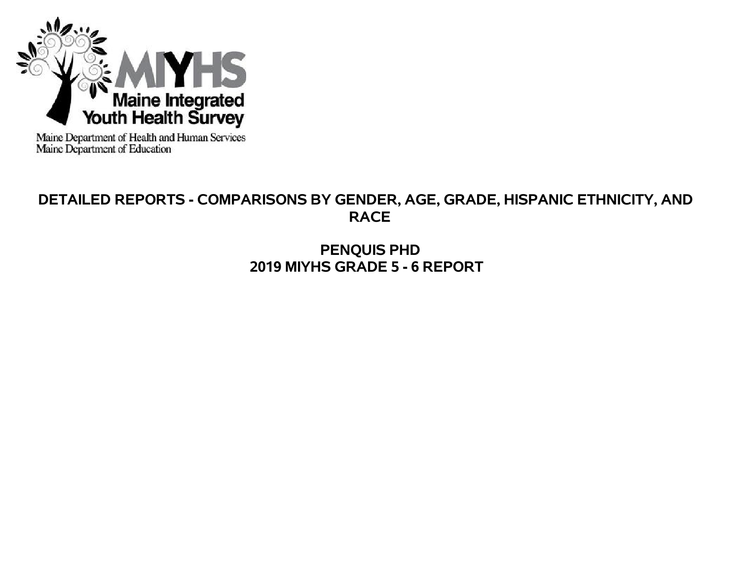

Maine Department of Health and Human Services<br>Maine Department of Education

# **DETAILED REPORTS - COMPARISONS BY GENDER, AGE, GRADE, HISPANIC ETHNICITY, AND RACE**

**PENQUIS PHD 2019 MIYHS GRADE 5 - 6 REPORT**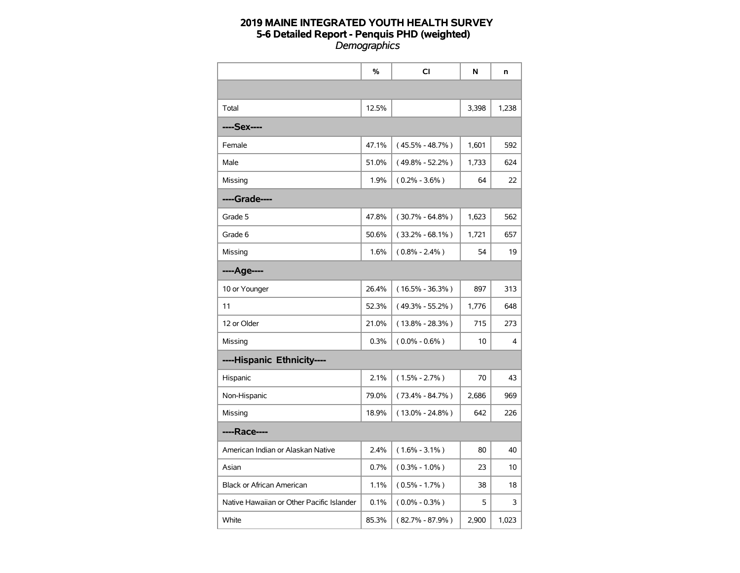|                                           | %     | CI                  | N     | n     |
|-------------------------------------------|-------|---------------------|-------|-------|
|                                           |       |                     |       |       |
| Total                                     | 12.5% |                     | 3,398 | 1,238 |
| ----Sex----                               |       |                     |       |       |
| Female                                    | 47.1% | $(45.5\% - 48.7\%)$ | 1,601 | 592   |
| Male                                      | 51.0% | $(49.8\% - 52.2\%)$ | 1,733 | 624   |
| Missing                                   | 1.9%  | $(0.2\% - 3.6\%)$   | 64    | 22    |
| ----Grade----                             |       |                     |       |       |
| Grade 5                                   | 47.8% | $(30.7\% - 64.8\%)$ | 1,623 | 562   |
| Grade 6                                   | 50.6% | $(33.2\% - 68.1\%)$ | 1,721 | 657   |
| Missing                                   | 1.6%  | $(0.8\% - 2.4\%)$   | 54    | 19    |
| ----Age----                               |       |                     |       |       |
| 10 or Younger                             | 26.4% | $(16.5\% - 36.3\%)$ | 897   | 313   |
| 11                                        | 52.3% | $(49.3\% - 55.2\%)$ | 1,776 | 648   |
| 12 or Older                               | 21.0% | $(13.8\% - 28.3\%)$ | 715   | 273   |
| Missing                                   | 0.3%  | $(0.0\% - 0.6\%)$   | 10    | 4     |
| ----Hispanic Ethnicity----                |       |                     |       |       |
| Hispanic                                  | 2.1%  | $(1.5\% - 2.7\%)$   | 70    | 43    |
| Non-Hispanic                              | 79.0% | $(73.4\% - 84.7\%)$ | 2,686 | 969   |
| Missing                                   | 18.9% | $(13.0\% - 24.8\%)$ | 642   | 226   |
| ----Race----                              |       |                     |       |       |
| American Indian or Alaskan Native         | 2.4%  | $(1.6\% - 3.1\%)$   | 80    | 40    |
| Asian                                     | 0.7%  | $(0.3\% - 1.0\%)$   | 23    | 10    |
| <b>Black or African American</b>          | 1.1%  | $(0.5\% - 1.7\%)$   | 38    | 18    |
| Native Hawaiian or Other Pacific Islander | 0.1%  | $(0.0\% - 0.3\%)$   | 5     | 3     |
| White                                     | 85.3% | $(82.7\% - 87.9\%)$ | 2,900 | 1,023 |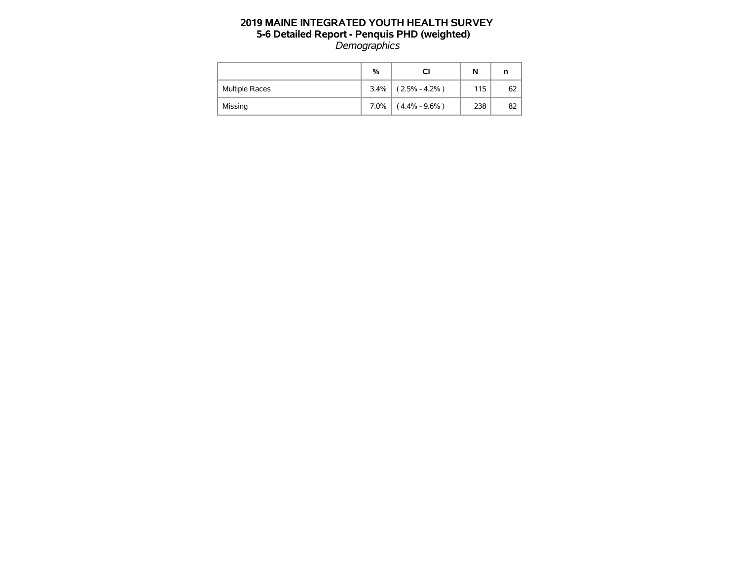|                       | %    |                   | N   | n  |
|-----------------------|------|-------------------|-----|----|
| <b>Multiple Races</b> | 3.4% | $(2.5\% - 4.2\%)$ | 115 | 62 |
| Missing               | 7.0% | $(4.4\% - 9.6\%)$ | 238 | 82 |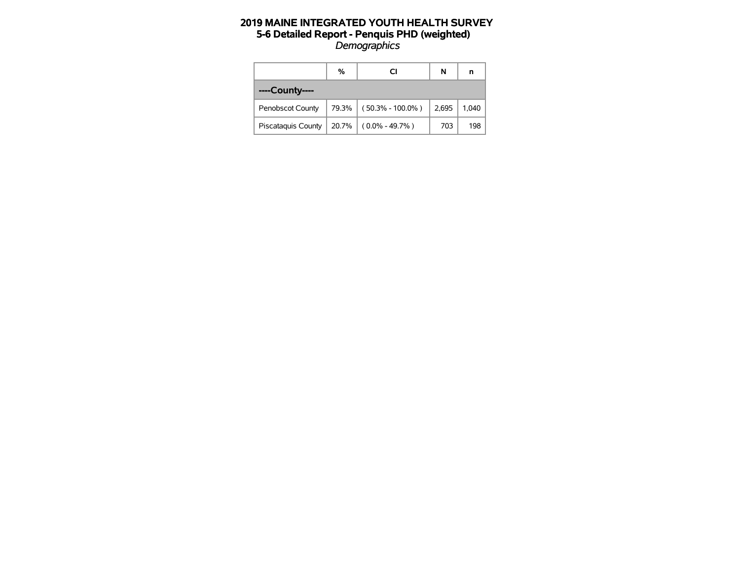|                           | %     | CI                   | N     | n     |
|---------------------------|-------|----------------------|-------|-------|
| ----County----            |       |                      |       |       |
| Penobscot County          | 79.3% | $(50.3\% - 100.0\%)$ | 2,695 | 1,040 |
| <b>Piscataguis County</b> | 20.7% | $(0.0\% - 49.7\%)$   | 703   | 198   |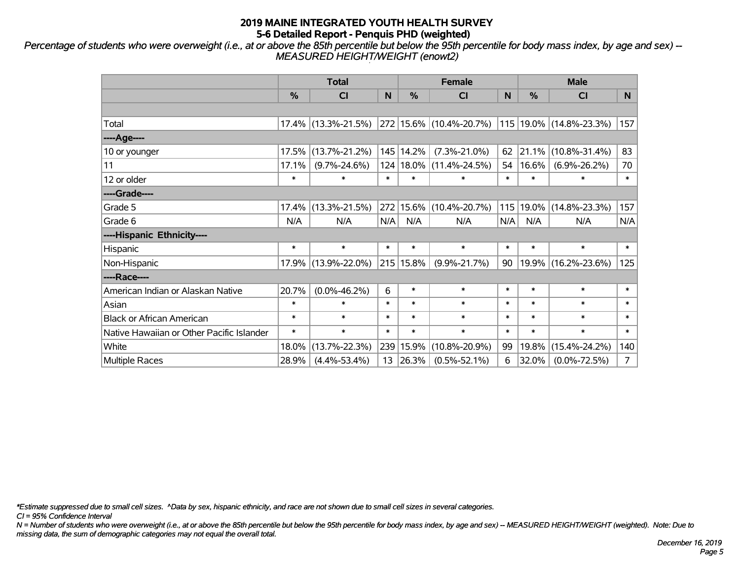*Percentage of students who were overweight (i.e., at or above the 85th percentile but below the 95th percentile for body mass index, by age and sex) -- MEASURED HEIGHT/WEIGHT (enowt2)*

|                                           |        | <b>Total</b>        |        |               | <b>Female</b>                |        | <b>Male</b> |                         |                |  |
|-------------------------------------------|--------|---------------------|--------|---------------|------------------------------|--------|-------------|-------------------------|----------------|--|
|                                           | %      | <b>CI</b>           | N      | $\frac{0}{0}$ | <b>CI</b>                    | N      | %           | <b>CI</b>               | N.             |  |
|                                           |        |                     |        |               |                              |        |             |                         |                |  |
| Total                                     |        | 17.4% (13.3%-21.5%) |        |               | $ 272 15.6\% $ (10.4%-20.7%) |        |             | 115 19.0% (14.8%-23.3%) | 157            |  |
| ----Age----                               |        |                     |        |               |                              |        |             |                         |                |  |
| 10 or younger                             | 17.5%  | $(13.7\% - 21.2\%)$ |        | 145 14.2%     | $(7.3\% - 21.0\%)$           | 62     | 21.1%       | $(10.8\% - 31.4\%)$     | 83             |  |
| 11                                        | 17.1%  | $(9.7\% - 24.6\%)$  |        |               | 124   18.0%   (11.4%-24.5%)  | 54     | 16.6%       | $(6.9\% - 26.2\%)$      | 70             |  |
| 12 or older                               | $\ast$ | $\ast$              | $\ast$ | $\ast$        | $\ast$                       | $\ast$ | $\ast$      | $\ast$                  | $\ast$         |  |
| ----Grade----                             |        |                     |        |               |                              |        |             |                         |                |  |
| Grade 5                                   | 17.4%  | $(13.3\% - 21.5\%)$ | 272    |               | 15.6% (10.4%-20.7%)          |        | 115 19.0%   | $(14.8\% - 23.3\%)$     | 157            |  |
| Grade 6                                   | N/A    | N/A                 | N/A    | N/A           | N/A                          | N/A    | N/A         | N/A                     | N/A            |  |
| ----Hispanic Ethnicity----                |        |                     |        |               |                              |        |             |                         |                |  |
| Hispanic                                  | $\ast$ | $\ast$              | $\ast$ | $\ast$        | $\ast$                       | $\ast$ | $\ast$      | $\ast$                  | $\ast$         |  |
| Non-Hispanic                              |        | 17.9% (13.9%-22.0%) |        | $215 15.8\%$  | $(9.9\% - 21.7\%)$           | 90     |             | 19.9% (16.2%-23.6%)     | 125            |  |
| ----Race----                              |        |                     |        |               |                              |        |             |                         |                |  |
| American Indian or Alaskan Native         | 20.7%  | $(0.0\% - 46.2\%)$  | 6      | $\ast$        | $\ast$                       | $\ast$ | $\ast$      | $\ast$                  | $\ast$         |  |
| Asian                                     | $\ast$ | $\ast$              | $\ast$ | $\ast$        | $\ast$                       | $\ast$ | $\ast$      | $\ast$                  | $\ast$         |  |
| <b>Black or African American</b>          | $\ast$ | $\ast$              | $\ast$ | $\ast$        | $\ast$                       | $\ast$ | $\ast$      | $\ast$                  | $\ast$         |  |
| Native Hawaiian or Other Pacific Islander | $\ast$ | $\ast$              | $\ast$ | $\ast$        | $\ast$                       | $\ast$ | $\ast$      | $\ast$                  | $\ast$         |  |
| White                                     | 18.0%  | $(13.7\% - 22.3\%)$ | 239    | 15.9%         | $(10.8\% - 20.9\%)$          | 99     | 19.8%       | $(15.4\% - 24.2\%)$     | 140            |  |
| <b>Multiple Races</b>                     | 28.9%  | $(4.4\% - 53.4\%)$  | 13     | 26.3%         | $(0.5\% - 52.1\%)$           | 6      | 32.0%       | $(0.0\% - 72.5\%)$      | $\overline{7}$ |  |

*\*Estimate suppressed due to small cell sizes. ^Data by sex, hispanic ethnicity, and race are not shown due to small cell sizes in several categories.*

*CI = 95% Confidence Interval*

*N = Number of students who were overweight (i.e., at or above the 85th percentile but below the 95th percentile for body mass index, by age and sex) -- MEASURED HEIGHT/WEIGHT (weighted). Note: Due to missing data, the sum of demographic categories may not equal the overall total.*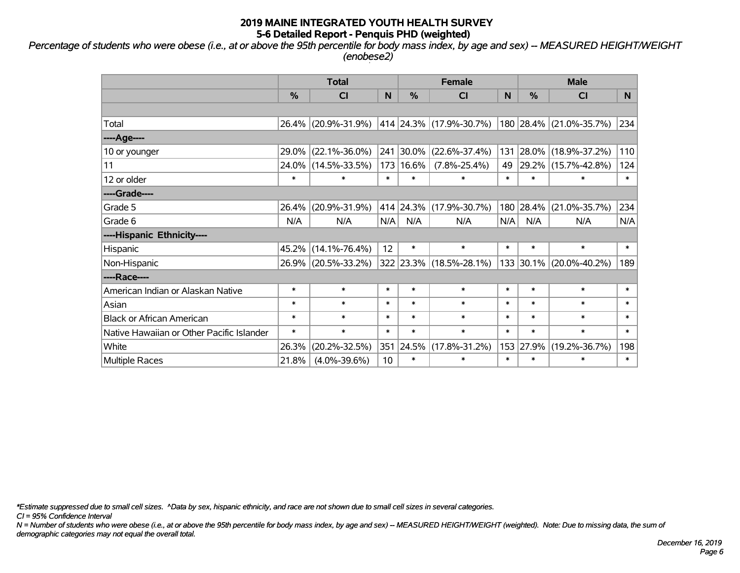*Percentage of students who were obese (i.e., at or above the 95th percentile for body mass index, by age and sex) -- MEASURED HEIGHT/WEIGHT (enobese2)*

|                                           |          | <b>Total</b>        |        |           | <b>Female</b>           |        | <b>Male</b> |                         |        |  |
|-------------------------------------------|----------|---------------------|--------|-----------|-------------------------|--------|-------------|-------------------------|--------|--|
|                                           | %        | <b>CI</b>           | N      | %         | <b>CI</b>               | N      | %           | <b>CI</b>               | N.     |  |
|                                           |          |                     |        |           |                         |        |             |                         |        |  |
| Total                                     | $26.4\%$ | $(20.9\% - 31.9\%)$ |        |           | 414 24.3% (17.9%-30.7%) |        |             | 180 28.4% (21.0%-35.7%) | 234    |  |
| ----Age----                               |          |                     |        |           |                         |        |             |                         |        |  |
| 10 or younger                             | 29.0%    | $(22.1\% - 36.0\%)$ | 241    | 30.0%     | $(22.6\% - 37.4\%)$     | 131    | 28.0%       | $(18.9\% - 37.2\%)$     | 110    |  |
| 11                                        | 24.0%    | $(14.5\% - 33.5\%)$ | 173    | 16.6%     | $(7.8\% - 25.4\%)$      | 49     |             | 29.2% (15.7%-42.8%)     | 124    |  |
| 12 or older                               | $\ast$   | ∗                   | $\ast$ | $\ast$    | $\ast$                  | $\ast$ | $\ast$      | $\ast$                  | $\ast$ |  |
| ----Grade----                             |          |                     |        |           |                         |        |             |                         |        |  |
| Grade 5                                   | 26.4%    | $(20.9\% - 31.9\%)$ |        | 414 24.3% | $(17.9\% - 30.7\%)$     | 180    | 28.4%       | $(21.0\% - 35.7\%)$     | 234    |  |
| Grade 6                                   | N/A      | N/A                 | N/A    | N/A       | N/A                     | N/A    | N/A         | N/A                     | N/A    |  |
| ----Hispanic Ethnicity----                |          |                     |        |           |                         |        |             |                         |        |  |
| Hispanic                                  | 45.2%    | $(14.1\% - 76.4\%)$ | 12     | $\ast$    | $\ast$                  | $\ast$ | $\ast$      | $\ast$                  | $\ast$ |  |
| Non-Hispanic                              |          | 26.9% (20.5%-33.2%) |        |           | 322 23.3% (18.5%-28.1%) |        | 133 30.1%   | $(20.0\% - 40.2\%)$     | 189    |  |
| ----Race----                              |          |                     |        |           |                         |        |             |                         |        |  |
| American Indian or Alaskan Native         | $\ast$   | $\ast$              | $\ast$ | $\ast$    | $\ast$                  | $\ast$ | $\ast$      | $\ast$                  | $\ast$ |  |
| Asian                                     | $\ast$   | $\ast$              | $\ast$ | $\ast$    | $\ast$                  | $\ast$ | $\ast$      | $\ast$                  | $\ast$ |  |
| <b>Black or African American</b>          | $\ast$   | $\ast$              | $\ast$ | $\ast$    | $\ast$                  | $\ast$ | $\ast$      | $\ast$                  | $\ast$ |  |
| Native Hawaiian or Other Pacific Islander | $\ast$   | $\ast$              | $\ast$ | $\ast$    | $\ast$                  | $\ast$ | $\ast$      | $\ast$                  | $\ast$ |  |
| White                                     | 26.3%    | $(20.2\% - 32.5\%)$ | 351    | 24.5%     | $(17.8\% - 31.2\%)$     |        | 153 27.9%   | $(19.2\% - 36.7\%)$     | 198    |  |
| Multiple Races                            | 21.8%    | $(4.0\% - 39.6\%)$  | 10     | $\ast$    | $\ast$                  | $\ast$ | $\ast$      | $\ast$                  | $\ast$ |  |

*\*Estimate suppressed due to small cell sizes. ^Data by sex, hispanic ethnicity, and race are not shown due to small cell sizes in several categories.*

*CI = 95% Confidence Interval*

*N = Number of students who were obese (i.e., at or above the 95th percentile for body mass index, by age and sex) -- MEASURED HEIGHT/WEIGHT (weighted). Note: Due to missing data, the sum of demographic categories may not equal the overall total.*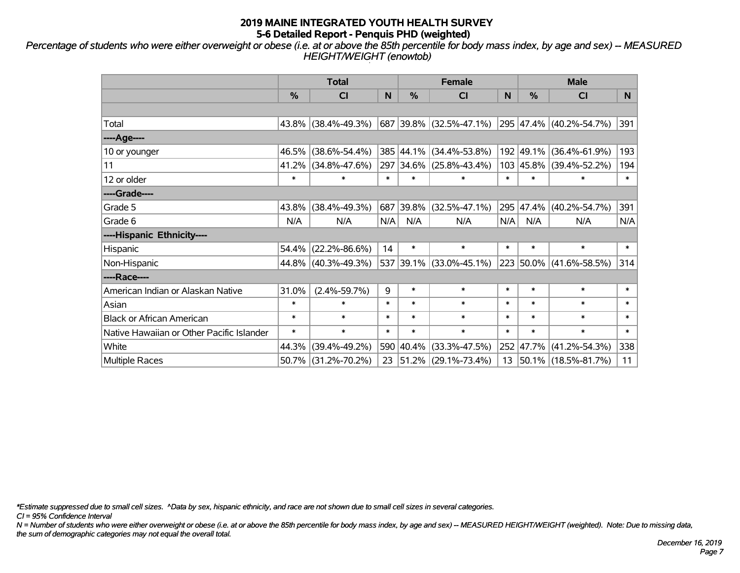*Percentage of students who were either overweight or obese (i.e. at or above the 85th percentile for body mass index, by age and sex) -- MEASURED HEIGHT/WEIGHT (enowtob)*

|                                           |        | <b>Total</b>        |        |               | <b>Female</b>            |        | <b>Male</b> |                          |        |  |
|-------------------------------------------|--------|---------------------|--------|---------------|--------------------------|--------|-------------|--------------------------|--------|--|
|                                           | %      | <b>CI</b>           | N      | $\frac{0}{0}$ | <b>CI</b>                | N      | %           | <b>CI</b>                | N      |  |
|                                           |        |                     |        |               |                          |        |             |                          |        |  |
| Total                                     |        | 43.8% (38.4%-49.3%) |        |               | 687 39.8% (32.5%-47.1%)  |        |             | 295 47.4% (40.2%-54.7%)  | 391    |  |
| ----Age----                               |        |                     |        |               |                          |        |             |                          |        |  |
| 10 or younger                             | 46.5%  | $(38.6\% - 54.4\%)$ |        | 385 44.1%     | $(34.4\% - 53.8\%)$      |        | 192 49.1%   | $(36.4\% - 61.9\%)$      | 193    |  |
| 11                                        | 41.2%  | $(34.8\% - 47.6\%)$ | 297    |               | $ 34.6\% $ (25.8%-43.4%) |        |             | 103 45.8% (39.4%-52.2%)  | 194    |  |
| 12 or older                               | $\ast$ | $\ast$              | $\ast$ | $\ast$        | $\ast$                   | $\ast$ | $\ast$      | $\ast$                   | $\ast$ |  |
| ----Grade----                             |        |                     |        |               |                          |        |             |                          |        |  |
| Grade 5                                   | 43.8%  | $(38.4\% - 49.3\%)$ | 687    | 39.8%         | $(32.5\% - 47.1\%)$      |        | 295 47.4%   | $(40.2\% - 54.7\%)$      | 391    |  |
| Grade 6                                   | N/A    | N/A                 | N/A    | N/A           | N/A                      | N/A    | N/A         | N/A                      | N/A    |  |
| ----Hispanic Ethnicity----                |        |                     |        |               |                          |        |             |                          |        |  |
| Hispanic                                  | 54.4%  | $(22.2\% - 86.6\%)$ | 14     | $\ast$        | $\ast$                   | $\ast$ | $\ast$      | $\ast$                   | $\ast$ |  |
| Non-Hispanic                              |        | 44.8% (40.3%-49.3%) |        |               | 537 39.1% (33.0%-45.1%)  |        | 223 50.0%   | $(41.6\% - 58.5\%)$      | 314    |  |
| ----Race----                              |        |                     |        |               |                          |        |             |                          |        |  |
| American Indian or Alaskan Native         | 31.0%  | $(2.4\% - 59.7\%)$  | 9      | $\ast$        | $\ast$                   | $\ast$ | $\ast$      | $\ast$                   | $\ast$ |  |
| Asian                                     | $\ast$ | $\ast$              | $\ast$ | $\ast$        | $\ast$                   | $\ast$ | $\ast$      | $\ast$                   | $\ast$ |  |
| <b>Black or African American</b>          | $\ast$ | $\ast$              | $\ast$ | $\ast$        | $\ast$                   | $\ast$ | $\ast$      | $\ast$                   | $\ast$ |  |
| Native Hawaiian or Other Pacific Islander | $\ast$ | $\ast$              | $\ast$ | $\ast$        | $\ast$                   | $\ast$ | $\ast$      | $\ast$                   | $\ast$ |  |
| White                                     | 44.3%  | $(39.4\% - 49.2\%)$ | 590    | $ 40.4\% $    | $(33.3\% - 47.5\%)$      |        | 252 47.7%   | $(41.2\% - 54.3\%)$      | 338    |  |
| <b>Multiple Races</b>                     |        | 50.7% (31.2%-70.2%) | 23     |               | $ 51.2\% $ (29.1%-73.4%) | 13     |             | $ 50.1\% $ (18.5%-81.7%) | 11     |  |

*\*Estimate suppressed due to small cell sizes. ^Data by sex, hispanic ethnicity, and race are not shown due to small cell sizes in several categories.*

*CI = 95% Confidence Interval*

*N = Number of students who were either overweight or obese (i.e. at or above the 85th percentile for body mass index, by age and sex) -- MEASURED HEIGHT/WEIGHT (weighted). Note: Due to missing data, the sum of demographic categories may not equal the overall total.*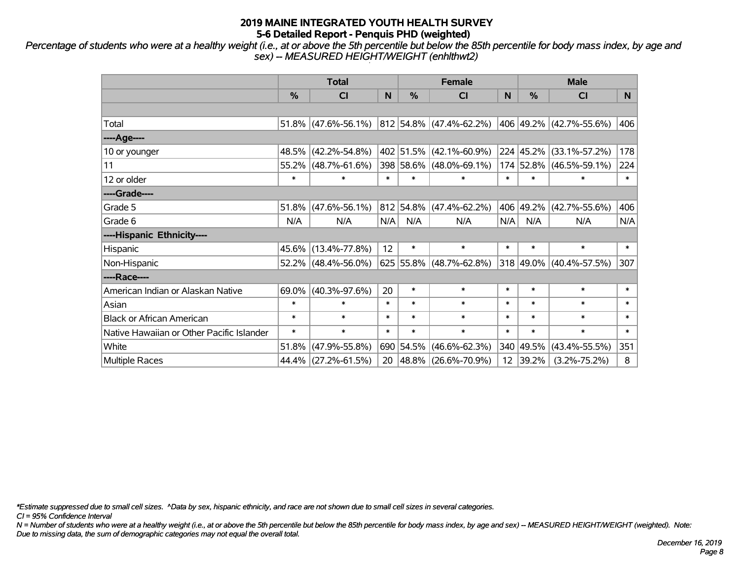*Percentage of students who were at a healthy weight (i.e., at or above the 5th percentile but below the 85th percentile for body mass index, by age and sex) -- MEASURED HEIGHT/WEIGHT (enhlthwt2)*

|                                           |               | <b>Total</b>           |        |           | <b>Female</b>             |        | <b>Male</b> |                         |        |  |
|-------------------------------------------|---------------|------------------------|--------|-----------|---------------------------|--------|-------------|-------------------------|--------|--|
|                                           | $\frac{0}{0}$ | <b>CI</b>              | N      | $\%$      | <b>CI</b>                 | N      | $\%$        | <b>CI</b>               | N.     |  |
|                                           |               |                        |        |           |                           |        |             |                         |        |  |
| Total                                     |               | $51.8\%$ (47.6%-56.1%) |        |           | 812 54.8% (47.4%-62.2%)   |        |             | 406 49.2% (42.7%-55.6%) | 406    |  |
| ----Age----                               |               |                        |        |           |                           |        |             |                         |        |  |
| 10 or younger                             |               | 48.5% (42.2%-54.8%)    |        |           | 402 51.5% (42.1%-60.9%)   |        | 224 45.2%   | $(33.1\% - 57.2\%)$     | 178    |  |
| 11                                        |               | 55.2% (48.7%-61.6%)    |        |           | 398 58.6% (48.0%-69.1%)   |        | 174 52.8%   | $(46.5\% - 59.1\%)$     | 224    |  |
| 12 or older                               | $\ast$        | $\ast$                 | $\ast$ | $\ast$    | $\ast$                    | $\ast$ | $\ast$      | $\ast$                  | $\ast$ |  |
| ----Grade----                             |               |                        |        |           |                           |        |             |                         |        |  |
| Grade 5                                   | 51.8%         | $(47.6\% - 56.1\%)$    |        | 812 54.8% | $(47.4\% - 62.2\%)$       |        | 406 49.2%   | $(42.7\% - 55.6\%)$     | 406    |  |
| Grade 6                                   | N/A           | N/A                    | N/A    | N/A       | N/A                       | N/A    | N/A         | N/A                     | N/A    |  |
| ----Hispanic Ethnicity----                |               |                        |        |           |                           |        |             |                         |        |  |
| Hispanic                                  |               | 45.6% (13.4%-77.8%)    | 12     | $\ast$    | $\ast$                    | $\ast$ | $\ast$      | $\ast$                  | $\ast$ |  |
| Non-Hispanic                              |               | $52.2\%$ (48.4%-56.0%) |        |           | $625$ 55.8% (48.7%-62.8%) |        | 318 49.0%   | $(40.4\% - 57.5\%)$     | 307    |  |
| ----Race----                              |               |                        |        |           |                           |        |             |                         |        |  |
| American Indian or Alaskan Native         |               | $69.0\%$ (40.3%-97.6%) | 20     | $\ast$    | $\ast$                    | $\ast$ | $\ast$      | $\ast$                  | $\ast$ |  |
| Asian                                     | $\ast$        | $\ast$                 | $\ast$ | $\ast$    | $\ast$                    | $\ast$ | $\ast$      | $\ast$                  | $\ast$ |  |
| <b>Black or African American</b>          | $\ast$        | $\ast$                 | $\ast$ | $\ast$    | $\ast$                    | $\ast$ | $\ast$      | $\ast$                  | $\ast$ |  |
| Native Hawaiian or Other Pacific Islander | $\ast$        | $\ast$                 | $\ast$ | $\ast$    | $\ast$                    | $\ast$ | $\ast$      | $\ast$                  | $\ast$ |  |
| White                                     | 51.8%         | $(47.9\% - 55.8\%)$    |        | 690 54.5% | $(46.6\% - 62.3\%)$       |        | 340 49.5%   | $(43.4\% - 55.5\%)$     | 351    |  |
| <b>Multiple Races</b>                     |               | 44.4% (27.2%-61.5%)    | 20     |           | $ 48.8\% $ (26.6%-70.9%)  |        | 12 39.2%    | $(3.2\% - 75.2\%)$      | 8      |  |

*\*Estimate suppressed due to small cell sizes. ^Data by sex, hispanic ethnicity, and race are not shown due to small cell sizes in several categories.*

*CI = 95% Confidence Interval*

*N = Number of students who were at a healthy weight (i.e., at or above the 5th percentile but below the 85th percentile for body mass index, by age and sex) -- MEASURED HEIGHT/WEIGHT (weighted). Note: Due to missing data, the sum of demographic categories may not equal the overall total.*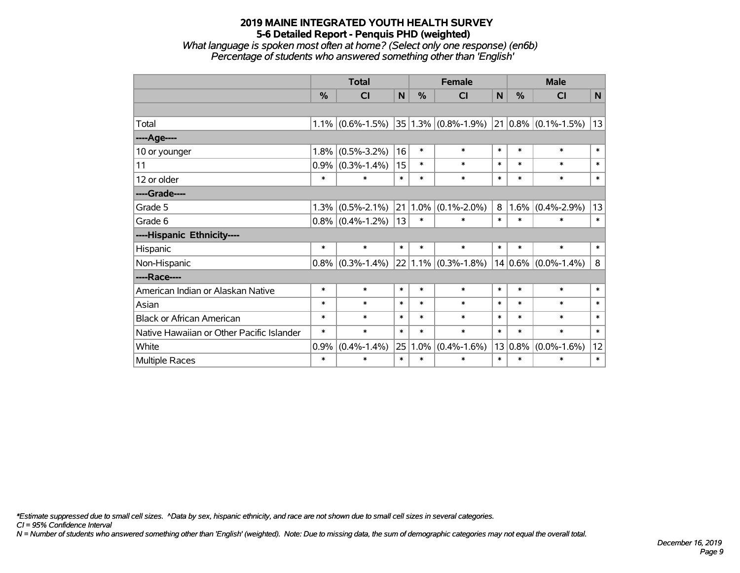*What language is spoken most often at home? (Select only one response) (en6b) Percentage of students who answered something other than 'English'*

|                                           |        | <b>Total</b>        |        |        | <b>Female</b>            |              | <b>Male</b> |                          |              |
|-------------------------------------------|--------|---------------------|--------|--------|--------------------------|--------------|-------------|--------------------------|--------------|
|                                           | %      | <b>CI</b>           | N      | %      | <b>CI</b>                | $\mathsf{N}$ | %           | <b>CI</b>                | $\mathsf{N}$ |
|                                           |        |                     |        |        |                          |              |             |                          |              |
| Total                                     |        | $1.1\%$ (0.6%-1.5%) |        |        | $ 35 1.3\% $ (0.8%-1.9%) |              |             | $ 21 0.8\% $ (0.1%-1.5%) | 13           |
| ----Age----                               |        |                     |        |        |                          |              |             |                          |              |
| 10 or younger                             | 1.8%   | $(0.5\% - 3.2\%)$   | 16     | $\ast$ | $\ast$                   | $\ast$       | $\ast$      | $\ast$                   | $\ast$       |
| 11                                        | 0.9%   | $(0.3\% - 1.4\%)$   | 15     | $\ast$ | $\ast$                   | $\ast$       | $\ast$      | $\ast$                   | $\ast$       |
| 12 or older                               | $\ast$ | $\ast$              | $\ast$ | $\ast$ | $\ast$                   | $\ast$       | $\ast$      | $\ast$                   | $\ast$       |
| ----Grade----                             |        |                     |        |        |                          |              |             |                          |              |
| Grade 5                                   | 1.3%   | $(0.5\% - 2.1\%)$   | 21     | 1.0%   | $(0.1\% - 2.0\%)$        | 8            | 1.6%        | $(0.4\% - 2.9\%)$        | 13           |
| Grade 6                                   |        | $0.8\%$ (0.4%-1.2%) | 13     | $\ast$ | $\ast$                   | $\ast$       | $\ast$      | $\ast$                   | $\ast$       |
| ----Hispanic Ethnicity----                |        |                     |        |        |                          |              |             |                          |              |
| Hispanic                                  | $\ast$ | $\ast$              | $\ast$ | $\ast$ | $\ast$                   | $\ast$       | $\ast$      | $\ast$                   | $\ast$       |
| Non-Hispanic                              |        | $0.8\%$ (0.3%-1.4%) |        |        | $22 1.1\% $ (0.3%-1.8%)  |              |             | $14 0.6\% $ (0.0%-1.4%)  | 8            |
| ----Race----                              |        |                     |        |        |                          |              |             |                          |              |
| American Indian or Alaskan Native         | $\ast$ | $\ast$              | $\ast$ | $\ast$ | $\ast$                   | $\ast$       | $\ast$      | $\ast$                   | $\ast$       |
| Asian                                     | $\ast$ | $\ast$              | $\ast$ | $\ast$ | $\ast$                   | $\ast$       | $\ast$      | $\ast$                   | $\ast$       |
| <b>Black or African American</b>          | $\ast$ | $\ast$              | $\ast$ | $\ast$ | $\ast$                   | $\ast$       | $\ast$      | $\ast$                   | $\ast$       |
| Native Hawaiian or Other Pacific Islander | $\ast$ | $\ast$              | $\ast$ | $\ast$ | $\ast$                   | $\ast$       | $\ast$      | $\ast$                   | $\ast$       |
| White                                     | 0.9%   | $(0.4\% - 1.4\%)$   | 25     | 1.0%   | $(0.4\% - 1.6\%)$        | 13           | 0.8%        | $(0.0\% - 1.6\%)$        | 12           |
| Multiple Races                            | $\ast$ | $\ast$              | $\ast$ | $\ast$ | $\ast$                   | $\ast$       | $\ast$      | $\ast$                   | $\ast$       |

*\*Estimate suppressed due to small cell sizes. ^Data by sex, hispanic ethnicity, and race are not shown due to small cell sizes in several categories.*

*CI = 95% Confidence Interval*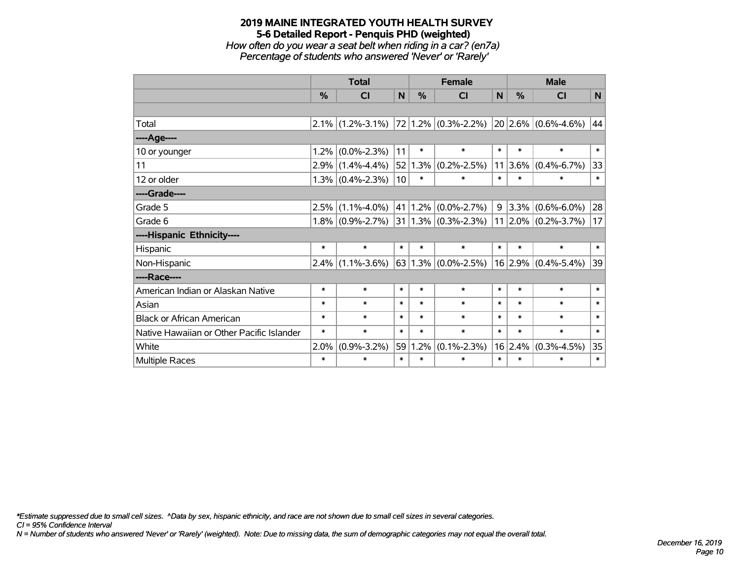*How often do you wear a seat belt when riding in a car? (en7a) Percentage of students who answered 'Never' or 'Rarely'*

|                                           |         | <b>Total</b>        |              |        | <b>Female</b>                |        |               | <b>Male</b>                  |        |  |
|-------------------------------------------|---------|---------------------|--------------|--------|------------------------------|--------|---------------|------------------------------|--------|--|
|                                           | %       | <b>CI</b>           | $\mathsf{N}$ | %      | <b>CI</b>                    | N      | $\frac{9}{6}$ | <b>CI</b>                    | N      |  |
|                                           |         |                     |              |        |                              |        |               |                              |        |  |
| Total                                     |         | $2.1\%$ (1.2%-3.1%) |              |        | $ 72 1.2\% $ (0.3%-2.2%)     |        |               | $ 20 2.6\% $ (0.6%-4.6%)     | 44     |  |
| ----Age----                               |         |                     |              |        |                              |        |               |                              |        |  |
| 10 or younger                             | 1.2%    | $(0.0\% - 2.3\%)$   | 11           | $\ast$ | $\ast$                       | $\ast$ | $\ast$        | $\ast$                       | $\ast$ |  |
| 11                                        | 2.9%    | $(1.4\% - 4.4\%)$   | 52           | 1.3%   | $(0.2\% - 2.5\%)$            | 11     | 3.6%          | $(0.4\% - 6.7\%)$            | 33     |  |
| 12 or older                               |         | $1.3\%$ (0.4%-2.3%) | 10           | $\ast$ | $\ast$                       | $\ast$ | $\ast$        | $\ast$                       | $\ast$ |  |
| ----Grade----                             |         |                     |              |        |                              |        |               |                              |        |  |
| Grade 5                                   | 2.5%    | $(1.1\% - 4.0\%)$   | 41           | 1.2%   | $(0.0\% - 2.7\%)$            | 9      | 3.3%          | $(0.6\% - 6.0\%)$            | 28     |  |
| Grade 6                                   |         | $1.8\%$ (0.9%-2.7%) |              |        | $ 31 1.3\%  (0.3\% - 2.3\%)$ |        |               | $ 11 2.0\%  (0.2\% - 3.7\%)$ | 17     |  |
| ----Hispanic Ethnicity----                |         |                     |              |        |                              |        |               |                              |        |  |
| Hispanic                                  | $\ast$  | $\ast$              | $\ast$       | $\ast$ | $\ast$                       | $\ast$ | $\ast$        | $\ast$                       | $\ast$ |  |
| Non-Hispanic                              | $2.4\%$ | $(1.1\% - 3.6\%)$   |              |        | 63 1.3% $(0.0\% - 2.5\%)$    |        |               | $16$ 2.9% (0.4%-5.4%)        | 39     |  |
| ----Race----                              |         |                     |              |        |                              |        |               |                              |        |  |
| American Indian or Alaskan Native         | $\ast$  | $\ast$              | $\ast$       | $\ast$ | $\ast$                       | $\ast$ | $\ast$        | $\ast$                       | $\ast$ |  |
| Asian                                     | $\ast$  | $\ast$              | $\ast$       | $\ast$ | $\ast$                       | $\ast$ | $\ast$        | $\ast$                       | $\ast$ |  |
| <b>Black or African American</b>          | $\ast$  | $\ast$              | $\ast$       | $\ast$ | $\ast$                       | $\ast$ | $\ast$        | $\ast$                       | $\ast$ |  |
| Native Hawaiian or Other Pacific Islander | $\ast$  | $\ast$              | $\ast$       | $\ast$ | $\ast$                       | $\ast$ | $\ast$        | $\ast$                       | $\ast$ |  |
| White                                     | 2.0%    | $(0.9\% - 3.2\%)$   | 59           | 1.2%   | $(0.1\% - 2.3\%)$            | 16     | 2.4%          | $(0.3\% - 4.5\%)$            | 35     |  |
| Multiple Races                            | $\ast$  | $\ast$              | $\ast$       | $\ast$ | $\ast$                       | $\ast$ | $\ast$        | $\ast$                       | $\ast$ |  |

*\*Estimate suppressed due to small cell sizes. ^Data by sex, hispanic ethnicity, and race are not shown due to small cell sizes in several categories.*

*CI = 95% Confidence Interval*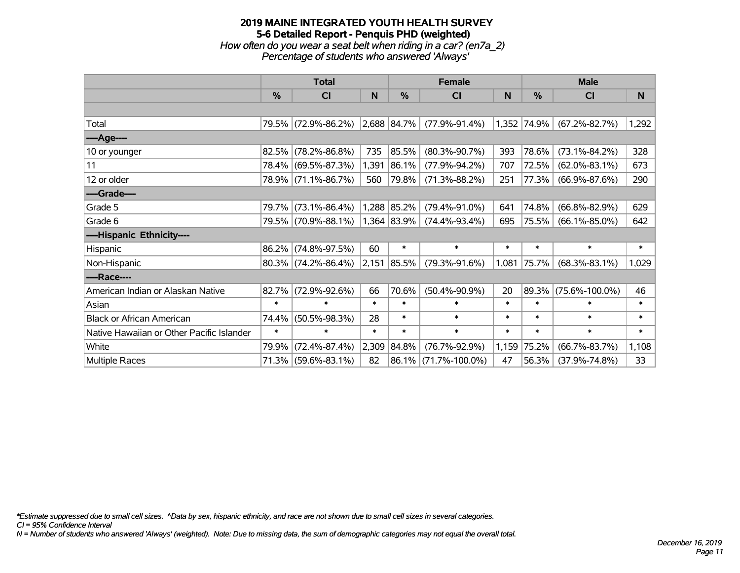## **2019 MAINE INTEGRATED YOUTH HEALTH SURVEY 5-6 Detailed Report - Penquis PHD (weighted)** *How often do you wear a seat belt when riding in a car? (en7a\_2) Percentage of students who answered 'Always'*

|                                           |        | <b>Total</b>           |        |                  | <b>Female</b>        |        | <b>Male</b>   |                      |        |  |
|-------------------------------------------|--------|------------------------|--------|------------------|----------------------|--------|---------------|----------------------|--------|--|
|                                           | $\%$   | CI                     | N      | %                | C <sub>l</sub>       | N      | $\frac{0}{0}$ | <b>CI</b>            | N      |  |
|                                           |        |                        |        |                  |                      |        |               |                      |        |  |
| Total                                     |        | 79.5% (72.9%-86.2%)    |        | $ 2,688 84.7\% $ | $(77.9\% - 91.4\%)$  |        | 1,352 74.9%   | $(67.2\% - 82.7\%)$  | 1,292  |  |
| ----Age----                               |        |                        |        |                  |                      |        |               |                      |        |  |
| 10 or younger                             | 82.5%  | $(78.2\% - 86.8\%)$    | 735    | 85.5%            | $(80.3\% - 90.7\%)$  | 393    | 78.6%         | $(73.1\% - 84.2\%)$  | 328    |  |
| 11                                        | 78.4%  | $(69.5\% - 87.3\%)$    | 1,391  | 86.1%            | $(77.9\% - 94.2\%)$  | 707    | 72.5%         | $(62.0\% - 83.1\%)$  | 673    |  |
| 12 or older                               |        | 78.9% (71.1%-86.7%)    | 560    | 79.8%            | $(71.3\% - 88.2\%)$  | 251    | 77.3%         | $(66.9\% - 87.6\%)$  | 290    |  |
| ----Grade----                             |        |                        |        |                  |                      |        |               |                      |        |  |
| Grade 5                                   | 79.7%  | $(73.1\% - 86.4\%)$    |        | 1,288 85.2%      | $(79.4\% - 91.0\%)$  | 641    | 74.8%         | $(66.8\% - 82.9\%)$  | 629    |  |
| Grade 6                                   |        | 79.5% (70.9%-88.1%)    |        | 1,364 83.9%      | $(74.4\% - 93.4\%)$  | 695    | 75.5%         | $(66.1\% - 85.0\%)$  | 642    |  |
| ----Hispanic Ethnicity----                |        |                        |        |                  |                      |        |               |                      |        |  |
| Hispanic                                  | 86.2%  | $(74.8\% - 97.5\%)$    | 60     | $\ast$           | $\ast$               | $\ast$ | $\ast$        | $\ast$               | $\ast$ |  |
| Non-Hispanic                              |        | $80.3\%$ (74.2%-86.4%) | 2,151  | 85.5%            | $(79.3\% - 91.6\%)$  | 1,081  | 75.7%         | $(68.3\% - 83.1\%)$  | 1,029  |  |
| ----Race----                              |        |                        |        |                  |                      |        |               |                      |        |  |
| American Indian or Alaskan Native         | 82.7%  | $(72.9\% - 92.6\%)$    | 66     | 70.6%            | $(50.4\% - 90.9\%)$  | 20     | 89.3%         | $(75.6\% - 100.0\%)$ | 46     |  |
| Asian                                     | $\ast$ | $\ast$                 | $\ast$ | $\ast$           | $\ast$               | $\ast$ | $\ast$        | $\ast$               | $\ast$ |  |
| <b>Black or African American</b>          | 74.4%  | $(50.5\% - 98.3\%)$    | 28     | $\ast$           | $\ast$               | $\ast$ | $\ast$        | $\ast$               | $\ast$ |  |
| Native Hawaiian or Other Pacific Islander | $\ast$ | $\ast$                 | $\ast$ | $\ast$           | $\ast$               | $\ast$ | $\ast$        | $\ast$               | $\ast$ |  |
| White                                     | 79.9%  | $(72.4\% - 87.4\%)$    | 2,309  | 84.8%            | $(76.7\% - 92.9\%)$  | 1,159  | 75.2%         | $(66.7\% - 83.7\%)$  | 1,108  |  |
| <b>Multiple Races</b>                     |        | 71.3% (59.6%-83.1%)    | 82     |                  | 86.1% (71.7%-100.0%) | 47     | 56.3%         | $(37.9\% - 74.8\%)$  | 33     |  |

*\*Estimate suppressed due to small cell sizes. ^Data by sex, hispanic ethnicity, and race are not shown due to small cell sizes in several categories.*

*CI = 95% Confidence Interval*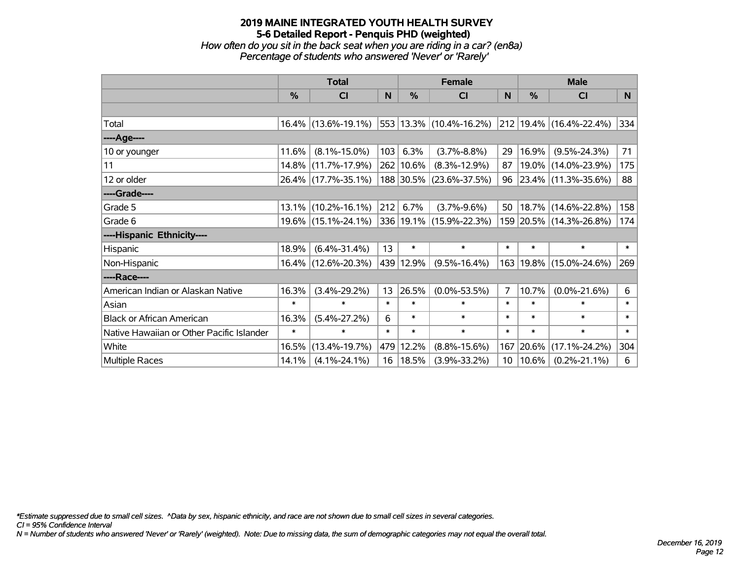*How often do you sit in the back seat when you are riding in a car? (en8a) Percentage of students who answered 'Never' or 'Rarely'*

|                                           |               | <b>Total</b>           |        |               | <b>Female</b>           |                 | <b>Male</b> |                         |        |  |
|-------------------------------------------|---------------|------------------------|--------|---------------|-------------------------|-----------------|-------------|-------------------------|--------|--|
|                                           | $\frac{0}{0}$ | CI                     | N      | $\frac{0}{0}$ | <b>CI</b>               | <b>N</b>        | %           | <b>CI</b>               | N      |  |
|                                           |               |                        |        |               |                         |                 |             |                         |        |  |
| Total                                     |               | $16.4\%$ (13.6%-19.1%) |        |               | 553 13.3% (10.4%-16.2%) |                 |             | 212 19.4% (16.4%-22.4%) | 334    |  |
| ----Age----                               |               |                        |        |               |                         |                 |             |                         |        |  |
| 10 or younger                             | 11.6%         | $(8.1\% - 15.0\%)$     | 103    | 6.3%          | $(3.7\% - 8.8\%)$       | 29              | 16.9%       | $(9.5\% - 24.3\%)$      | 71     |  |
| 11                                        | 14.8%         | $(11.7\% - 17.9\%)$    |        | 262   10.6%   | $(8.3\% - 12.9\%)$      | 87              |             | 19.0% (14.0%-23.9%)     | 175    |  |
| 12 or older                               |               | 26.4% (17.7%-35.1%)    |        |               | 188 30.5% (23.6%-37.5%) | 96              |             | 23.4% (11.3%-35.6%)     | 88     |  |
| ----Grade----                             |               |                        |        |               |                         |                 |             |                         |        |  |
| Grade 5                                   | $13.1\%$      | $(10.2\% - 16.1\%)$    | 212    | 6.7%          | $(3.7\% - 9.6\%)$       | 50              | 18.7%       | $(14.6\% - 22.8\%)$     | 158    |  |
| Grade 6                                   |               | 19.6% (15.1%-24.1%)    |        |               | 336 19.1% (15.9%-22.3%) |                 |             | 159 20.5% (14.3%-26.8%) | 174    |  |
| ----Hispanic Ethnicity----                |               |                        |        |               |                         |                 |             |                         |        |  |
| Hispanic                                  | 18.9%         | $(6.4\% - 31.4\%)$     | 13     | $\ast$        | $\ast$                  | $\ast$          | $\ast$      | $\ast$                  | $\ast$ |  |
| Non-Hispanic                              |               | 16.4% (12.6%-20.3%)    |        | 439 12.9%     | $(9.5\% - 16.4\%)$      | 163             |             | $19.8\%$ (15.0%-24.6%)  | 269    |  |
| ----Race----                              |               |                        |        |               |                         |                 |             |                         |        |  |
| American Indian or Alaskan Native         | 16.3%         | $(3.4\% - 29.2\%)$     | 13     | 26.5%         | $(0.0\% - 53.5\%)$      | $\overline{7}$  | 10.7%       | $(0.0\% - 21.6\%)$      | 6      |  |
| Asian                                     | $\ast$        | $\ast$                 | $\ast$ | $\ast$        | $\ast$                  | $\ast$          | $\ast$      | $\ast$                  | $\ast$ |  |
| <b>Black or African American</b>          | 16.3%         | $(5.4\% - 27.2\%)$     | 6      | $\ast$        | $\ast$                  | $\ast$          | $\ast$      | $\ast$                  | $\ast$ |  |
| Native Hawaiian or Other Pacific Islander | $\ast$        | $\ast$                 | $\ast$ | $\ast$        | $\ast$                  | $\ast$          | $\ast$      | $\ast$                  | $\ast$ |  |
| White                                     | 16.5%         | $(13.4\% - 19.7\%)$    |        | 479 12.2%     | $(8.8\% - 15.6\%)$      | 167             | 20.6%       | $(17.1\% - 24.2\%)$     | 304    |  |
| <b>Multiple Races</b>                     | 14.1%         | $(4.1\% - 24.1\%)$     |        | 16   18.5%    | $(3.9\% - 33.2\%)$      | 10 <sup>°</sup> | 10.6%       | $(0.2\% - 21.1\%)$      | 6      |  |

*\*Estimate suppressed due to small cell sizes. ^Data by sex, hispanic ethnicity, and race are not shown due to small cell sizes in several categories.*

*CI = 95% Confidence Interval*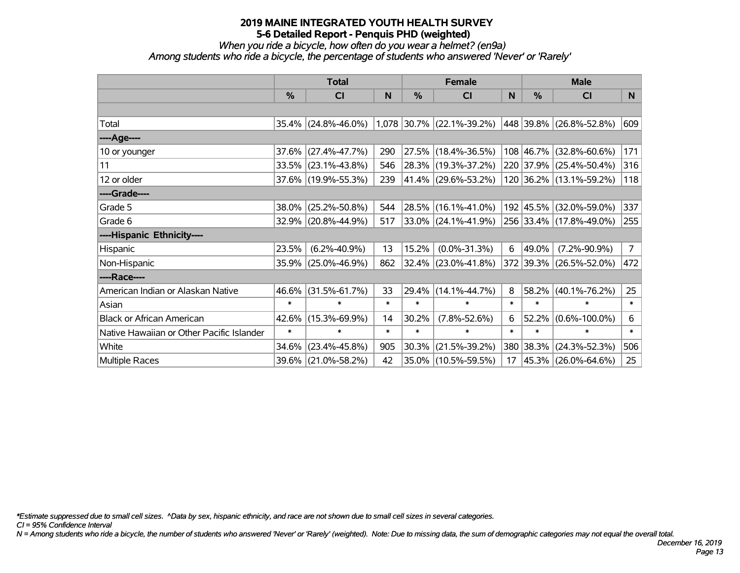# *When you ride a bicycle, how often do you wear a helmet? (en9a)*

*Among students who ride a bicycle, the percentage of students who answered 'Never' or 'Rarely'*

|                                           |               | <b>Total</b>        |        |               | <b>Female</b>               |        | <b>Male</b>   |                         |                |  |
|-------------------------------------------|---------------|---------------------|--------|---------------|-----------------------------|--------|---------------|-------------------------|----------------|--|
|                                           | $\frac{0}{0}$ | <b>CI</b>           | N      | $\frac{0}{0}$ | C <sub>l</sub>              | N      | $\frac{0}{0}$ | <b>CI</b>               | N              |  |
|                                           |               |                     |        |               |                             |        |               |                         |                |  |
| Total                                     |               | 35.4% (24.8%-46.0%) |        |               | $1,078$ 30.7% (22.1%-39.2%) |        |               | 448 39.8% (26.8%-52.8%) | 609            |  |
| ----Age----                               |               |                     |        |               |                             |        |               |                         |                |  |
| 10 or younger                             | 37.6%         | $(27.4\% - 47.7\%)$ | 290    | 27.5%         | $(18.4\% - 36.5\%)$         |        |               | 108 46.7% (32.8%-60.6%) | 171            |  |
| 11                                        |               | 33.5% (23.1%-43.8%) | 546    |               | 28.3% (19.3%-37.2%)         |        |               | 220 37.9% (25.4%-50.4%) | 316            |  |
| 12 or older                               |               | 37.6% (19.9%-55.3%) | 239    |               | 41.4% (29.6%-53.2%)         |        |               | 120 36.2% (13.1%-59.2%) | 118            |  |
| ----Grade----                             |               |                     |        |               |                             |        |               |                         |                |  |
| Grade 5                                   | 38.0%         | $(25.2\% - 50.8\%)$ | 544    |               | 28.5% (16.1%-41.0%)         |        |               | 192 45.5% (32.0%-59.0%) | 337            |  |
| Grade 6                                   |               | 32.9% (20.8%-44.9%) | 517    |               | $33.0\%$ (24.1%-41.9%)      |        |               | 256 33.4% (17.8%-49.0%) | 255            |  |
| ----Hispanic Ethnicity----                |               |                     |        |               |                             |        |               |                         |                |  |
| Hispanic                                  | 23.5%         | $(6.2\% - 40.9\%)$  | 13     | 15.2%         | $(0.0\% - 31.3\%)$          | 6      | 49.0%         | $(7.2\% - 90.9\%)$      | $\overline{7}$ |  |
| Non-Hispanic                              |               | 35.9% (25.0%-46.9%) | 862    | 32.4%         | $(23.0\% - 41.8\%)$         |        |               | 372 39.3% (26.5%-52.0%) | 472            |  |
| ----Race----                              |               |                     |        |               |                             |        |               |                         |                |  |
| American Indian or Alaskan Native         | 46.6%         | $(31.5\% - 61.7\%)$ | 33     | 29.4%         | $(14.1\% - 44.7\%)$         | 8      | 58.2%         | $(40.1\% - 76.2\%)$     | 25             |  |
| Asian                                     | $\ast$        | $\ast$              | $\ast$ | $\ast$        | $\ast$                      | $\ast$ | $\ast$        | $\ast$                  | $\ast$         |  |
| <b>Black or African American</b>          | 42.6%         | $(15.3\% - 69.9\%)$ | 14     | 30.2%         | $(7.8\% - 52.6\%)$          | 6      | 52.2%         | $(0.6\% - 100.0\%)$     | 6              |  |
| Native Hawaiian or Other Pacific Islander | $\ast$        | $\ast$              | $\ast$ | $\ast$        | $\ast$                      | $\ast$ | $\ast$        | $\ast$                  | $\ast$         |  |
| White                                     | 34.6%         | $(23.4\% - 45.8\%)$ | 905    | 30.3%         | $(21.5\% - 39.2\%)$         | 380    | 38.3%         | $(24.3\% - 52.3\%)$     | 506            |  |
| Multiple Races                            |               | 39.6% (21.0%-58.2%) | 42     | 35.0%         | $(10.5\% - 59.5\%)$         | 17     |               | 45.3% (26.0%-64.6%)     | 25             |  |

*\*Estimate suppressed due to small cell sizes. ^Data by sex, hispanic ethnicity, and race are not shown due to small cell sizes in several categories.*

*CI = 95% Confidence Interval*

*N = Among students who ride a bicycle, the number of students who answered 'Never' or 'Rarely' (weighted). Note: Due to missing data, the sum of demographic categories may not equal the overall total.*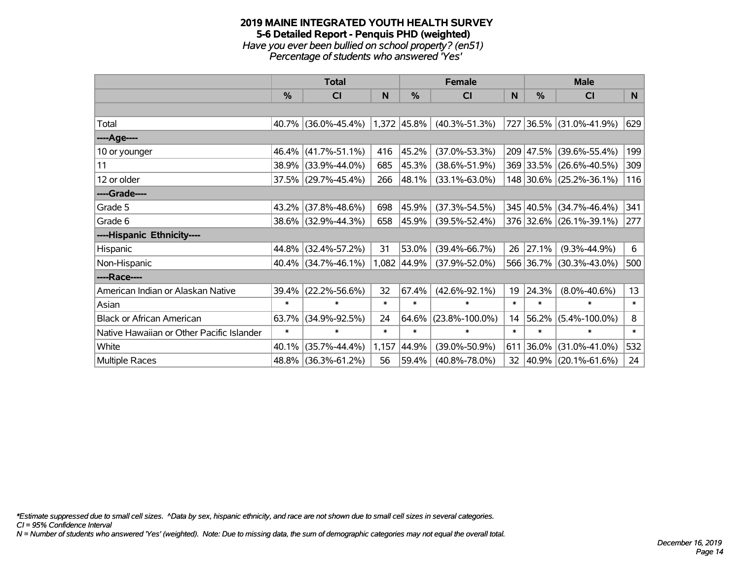#### **2019 MAINE INTEGRATED YOUTH HEALTH SURVEY 5-6 Detailed Report - Penquis PHD (weighted)** *Have you ever been bullied on school property? (en51) Percentage of students who answered 'Yes'*

|                                           | <b>Total</b> |                     |        | <b>Female</b> | <b>Male</b>          |                 |           |                          |        |
|-------------------------------------------|--------------|---------------------|--------|---------------|----------------------|-----------------|-----------|--------------------------|--------|
|                                           | %            | <b>CI</b>           | N      | %             | <b>CI</b>            | N               | %         | <b>CI</b>                | N      |
|                                           |              |                     |        |               |                      |                 |           |                          |        |
| Total                                     | 40.7%        | $(36.0\% - 45.4\%)$ |        | 1,372 45.8%   | $(40.3\% - 51.3\%)$  | 727             |           | 36.5% (31.0%-41.9%)      | 629    |
| ----Age----                               |              |                     |        |               |                      |                 |           |                          |        |
| 10 or younger                             | 46.4%        | $(41.7\% - 51.1\%)$ | 416    | 45.2%         | $(37.0\% - 53.3\%)$  |                 | 209 47.5% | $(39.6\% - 55.4\%)$      | 199    |
| 11                                        | 38.9%        | $(33.9\% - 44.0\%)$ | 685    | 45.3%         | $(38.6\% - 51.9\%)$  |                 |           | 369 33.5% (26.6%-40.5%)  | 309    |
| 12 or older                               |              | 37.5% (29.7%-45.4%) | 266    | $ 48.1\% $    | $(33.1\% - 63.0\%)$  |                 |           | 148 30.6% (25.2%-36.1%)  | 116    |
| ----Grade----                             |              |                     |        |               |                      |                 |           |                          |        |
| Grade 5                                   | 43.2%        | $(37.8\% - 48.6\%)$ | 698    | 45.9%         | $(37.3\% - 54.5\%)$  |                 |           | 345 40.5% (34.7%-46.4%)  | 341    |
| Grade 6                                   |              | 38.6% (32.9%-44.3%) | 658    | $ 45.9\% $    | $(39.5\% - 52.4\%)$  |                 |           | 376 32.6% (26.1%-39.1%)  | 277    |
| ----Hispanic Ethnicity----                |              |                     |        |               |                      |                 |           |                          |        |
| Hispanic                                  | 44.8%        | $(32.4\% - 57.2\%)$ | 31     | 53.0%         | $(39.4\% - 66.7\%)$  | 26              | 27.1%     | $(9.3\% - 44.9\%)$       | 6      |
| Non-Hispanic                              |              | 40.4% (34.7%-46.1%) |        | 1,082 44.9%   | $(37.9\% - 52.0\%)$  |                 |           | 566 36.7% (30.3%-43.0%)  | 500    |
| ----Race----                              |              |                     |        |               |                      |                 |           |                          |        |
| American Indian or Alaskan Native         | 39.4%        | $(22.2\% - 56.6\%)$ | 32     | 67.4%         | $(42.6\% - 92.1\%)$  | 19              | 24.3%     | $(8.0\% - 40.6\%)$       | 13     |
| Asian                                     | $\ast$       | $\ast$              | $\ast$ | $\ast$        | $\ast$               | $\ast$          | $\ast$    | $\ast$                   | $\ast$ |
| <b>Black or African American</b>          | 63.7%        | $(34.9\% - 92.5\%)$ | 24     | 64.6%         | $(23.8\% - 100.0\%)$ | 14              | 56.2%     | $(5.4\% - 100.0\%)$      | 8      |
| Native Hawaiian or Other Pacific Islander | $\ast$       | $\ast$              | $\ast$ | $\ast$        | $\ast$               | $\ast$          | $\ast$    | $\ast$                   | $\ast$ |
| White                                     | 40.1%        | $(35.7\% - 44.4\%)$ | 1,157  | 44.9%         | $(39.0\% - 50.9\%)$  | 611             | 36.0%     | $(31.0\% - 41.0\%)$      | 532    |
| Multiple Races                            | 48.8%        | $(36.3\% - 61.2\%)$ | 56     | 59.4%         | $(40.8\% - 78.0\%)$  | 32 <sub>2</sub> |           | $ 40.9\% $ (20.1%-61.6%) | 24     |

*\*Estimate suppressed due to small cell sizes. ^Data by sex, hispanic ethnicity, and race are not shown due to small cell sizes in several categories.*

*CI = 95% Confidence Interval*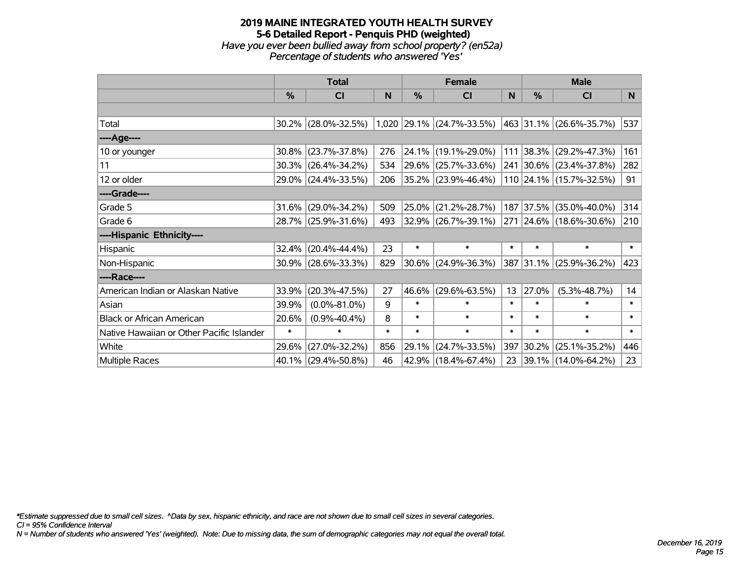## **2019 MAINE INTEGRATED YOUTH HEALTH SURVEY 5-6 Detailed Report - Penquis PHD (weighted)** *Have you ever been bullied away from school property? (en52a) Percentage of students who answered 'Yes'*

|                                           | <b>Total</b>  |                     |        |            | <b>Female</b>               |        | <b>Male</b> |                                 |        |  |
|-------------------------------------------|---------------|---------------------|--------|------------|-----------------------------|--------|-------------|---------------------------------|--------|--|
|                                           | $\frac{0}{0}$ | CI                  | N      | %          | <b>CI</b>                   | N      | %           | <b>CI</b>                       | N      |  |
|                                           |               |                     |        |            |                             |        |             |                                 |        |  |
| Total                                     |               | 30.2% (28.0%-32.5%) |        |            | $1,020$ 29.1% (24.7%-33.5%) |        |             | $ 463 31.1\% (26.6\% - 35.7\%)$ | 537    |  |
| ----Age----                               |               |                     |        |            |                             |        |             |                                 |        |  |
| 10 or younger                             | 30.8%         | $(23.7\% - 37.8\%)$ | 276    | $ 24.1\% $ | $(19.1\% - 29.0\%)$         |        |             | 111 38.3% (29.2%-47.3%)         | 161    |  |
| 11                                        |               | 30.3% (26.4%-34.2%) | 534    | 29.6%      | $(25.7\% - 33.6\%)$         |        |             | 241 30.6% (23.4%-37.8%)         | 282    |  |
| 12 or older                               |               | 29.0% (24.4%-33.5%) | 206    |            | $ 35.2\% $ (23.9%-46.4%)    |        |             | 110 24.1% (15.7%-32.5%)         | 91     |  |
| ----Grade----                             |               |                     |        |            |                             |        |             |                                 |        |  |
| Grade 5                                   | 31.6%         | $(29.0\% - 34.2\%)$ | 509    | 25.0%      | $(21.2\% - 28.7\%)$         |        |             | 187 37.5% (35.0%-40.0%)         | 314    |  |
| Grade 6                                   |               | 28.7% (25.9%-31.6%) | 493    |            | 32.9% (26.7%-39.1%)         |        |             | 271 24.6% (18.6%-30.6%)         | 210    |  |
| ----Hispanic Ethnicity----                |               |                     |        |            |                             |        |             |                                 |        |  |
| Hispanic                                  | 32.4%         | $(20.4\% - 44.4\%)$ | 23     | $\ast$     | $\ast$                      | $\ast$ | $\ast$      | $\ast$                          | $\ast$ |  |
| Non-Hispanic                              |               | 30.9% (28.6%-33.3%) | 829    |            | $30.6\%$ (24.9%-36.3%)      |        |             | 387 31.1% (25.9%-36.2%)         | 423    |  |
| ----Race----                              |               |                     |        |            |                             |        |             |                                 |        |  |
| American Indian or Alaskan Native         | 33.9%         | $(20.3\% - 47.5\%)$ | 27     | 46.6%      | $(29.6\% - 63.5\%)$         | 13     | 27.0%       | $(5.3\% - 48.7\%)$              | 14     |  |
| Asian                                     | 39.9%         | $(0.0\% - 81.0\%)$  | 9      | $\ast$     | $\ast$                      | $\ast$ | $\ast$      | $\ast$                          | $\ast$ |  |
| <b>Black or African American</b>          | 20.6%         | $(0.9\% - 40.4\%)$  | 8      | $\ast$     | $\ast$                      | $\ast$ | $\ast$      | $\ast$                          | $\ast$ |  |
| Native Hawaiian or Other Pacific Islander | $\ast$        | $\ast$              | $\ast$ | $\ast$     | $\ast$                      | $\ast$ | $\ast$      | $\ast$                          | $\ast$ |  |
| White                                     | 29.6%         | $(27.0\% - 32.2\%)$ | 856    | 29.1%      | $(24.7\% - 33.5\%)$         | 397    | 30.2%       | $(25.1\% - 35.2\%)$             | 446    |  |
| <b>Multiple Races</b>                     |               | 40.1% (29.4%-50.8%) | 46     |            | 42.9% (18.4%-67.4%)         | 23     |             | $ 39.1\% $ (14.0%-64.2%)        | 23     |  |

*\*Estimate suppressed due to small cell sizes. ^Data by sex, hispanic ethnicity, and race are not shown due to small cell sizes in several categories.*

*CI = 95% Confidence Interval*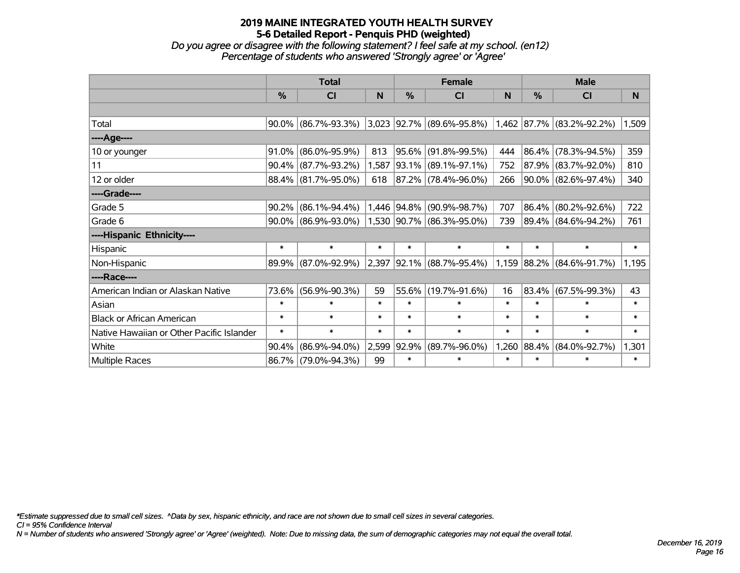*Do you agree or disagree with the following statement? I feel safe at my school. (en12) Percentage of students who answered 'Strongly agree' or 'Agree'*

|                                           | <b>Total</b> |                        |        | <b>Female</b> |                                                       | <b>Male</b> |             |                     |        |
|-------------------------------------------|--------------|------------------------|--------|---------------|-------------------------------------------------------|-------------|-------------|---------------------|--------|
|                                           | $\%$         | <b>CI</b>              | N      | $\frac{0}{0}$ | <b>CI</b>                                             | N           | %           | <b>CI</b>           | N      |
|                                           |              |                        |        |               |                                                       |             |             |                     |        |
| Total                                     |              | $90.0\%$ (86.7%-93.3%) |        |               | $3,023$ 92.7% (89.6%-95.8%) 1,462 87.7% (83.2%-92.2%) |             |             |                     | 1,509  |
| ----Age----                               |              |                        |        |               |                                                       |             |             |                     |        |
| 10 or younger                             | 91.0%        | $(86.0\% - 95.9\%)$    | 813    | $ 95.6\% $    | $(91.8\% - 99.5\%)$                                   | 444         | $ 86.4\% $  | $(78.3\% - 94.5\%)$ | 359    |
| 11                                        |              | $90.4\%$ (87.7%-93.2%) | 1,587  |               | 93.1% (89.1%-97.1%)                                   | 752         |             | 87.9% (83.7%-92.0%) | 810    |
| 12 or older                               |              | 88.4% (81.7%-95.0%)    | 618    |               | 87.2% (78.4%-96.0%)                                   | 266         |             | 90.0% (82.6%-97.4%) | 340    |
| ----Grade----                             |              |                        |        |               |                                                       |             |             |                     |        |
| Grade 5                                   | 90.2%        | $(86.1\% - 94.4\%)$    |        | 1,446 94.8%   | $(90.9\% - 98.7\%)$                                   | 707         | 86.4%       | $(80.2\% - 92.6\%)$ | 722    |
| Grade 6                                   |              | $90.0\%$ (86.9%-93.0%) |        |               | 1,530 90.7% (86.3%-95.0%)                             | 739         |             | 89.4% (84.6%-94.2%) | 761    |
| ----Hispanic Ethnicity----                |              |                        |        |               |                                                       |             |             |                     |        |
| Hispanic                                  | $\ast$       | $\ast$                 | $\ast$ | $\ast$        | $\ast$                                                | $\ast$      | $\ast$      | $\ast$              | $\ast$ |
| Non-Hispanic                              |              | 89.9% (87.0%-92.9%)    | 2,397  |               | $ 92.1\% $ (88.7%-95.4%)                              |             | 1,159 88.2% | $(84.6\% - 91.7\%)$ | 1,195  |
| ----Race----                              |              |                        |        |               |                                                       |             |             |                     |        |
| American Indian or Alaskan Native         | 73.6%        | $(56.9\% - 90.3\%)$    | 59     | 55.6%         | $(19.7\% - 91.6\%)$                                   | 16          | 83.4%       | $(67.5\% - 99.3\%)$ | 43     |
| Asian                                     | $\ast$       | $\ast$                 | $\ast$ | $\ast$        | $\ast$                                                | $\ast$      | $\ast$      | $\ast$              | $\ast$ |
| <b>Black or African American</b>          | $\ast$       | $\ast$                 | $\ast$ | $\ast$        | $\ast$                                                | $\ast$      | $\ast$      | $\ast$              | $\ast$ |
| Native Hawaiian or Other Pacific Islander | $\ast$       | $\ast$                 | $\ast$ | $\ast$        | $\ast$                                                | $\ast$      | $\ast$      | $\ast$              | $\ast$ |
| White                                     | 90.4%        | $(86.9\% - 94.0\%)$    | 2,599  | 92.9%         | $(89.7\% - 96.0\%)$                                   | 1,260       | 88.4%       | $(84.0\% - 92.7\%)$ | 1,301  |
| Multiple Races                            |              | 86.7% (79.0%-94.3%)    | 99     | $\ast$        | $\ast$                                                | $\ast$      | $\ast$      | $\ast$              | $\ast$ |

*\*Estimate suppressed due to small cell sizes. ^Data by sex, hispanic ethnicity, and race are not shown due to small cell sizes in several categories.*

*CI = 95% Confidence Interval*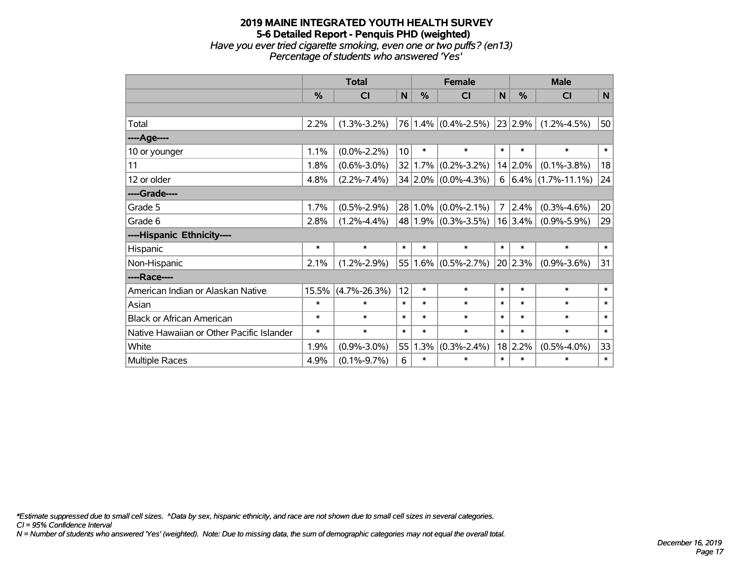## **2019 MAINE INTEGRATED YOUTH HEALTH SURVEY 5-6 Detailed Report - Penquis PHD (weighted)** *Have you ever tried cigarette smoking, even one or two puffs? (en13) Percentage of students who answered 'Yes'*

|                                           | <b>Total</b>  |                    |        |               | <b>Female</b>           |                | <b>Male</b>  |                        |             |  |
|-------------------------------------------|---------------|--------------------|--------|---------------|-------------------------|----------------|--------------|------------------------|-------------|--|
|                                           | $\frac{0}{0}$ | <b>CI</b>          | N      | $\frac{0}{0}$ | C <sub>l</sub>          | $\mathsf{N}$   | %            | <b>CI</b>              | $\mathbf N$ |  |
|                                           |               |                    |        |               |                         |                |              |                        |             |  |
| Total                                     | 2.2%          | $(1.3\% - 3.2\%)$  |        |               | 76 1.4% (0.4%-2.5%)     |                | $ 23 2.9\% $ | $(1.2\% - 4.5\%)$      | 50          |  |
| ---- Age----                              |               |                    |        |               |                         |                |              |                        |             |  |
| 10 or younger                             | 1.1%          | $(0.0\% - 2.2\%)$  | 10     | $\ast$        | $\ast$                  | $\ast$         | $\ast$       | $\ast$                 | $\ast$      |  |
| 11                                        | 1.8%          | $(0.6\% - 3.0\%)$  |        |               | $32 1.7\% $ (0.2%-3.2%) |                | 14 2.0%      | $(0.1\% - 3.8\%)$      | 18          |  |
| 12 or older                               | 4.8%          | $(2.2\% - 7.4\%)$  |        |               | 34 2.0% (0.0%-4.3%)     | 6              |              | $ 6.4\% $ (1.7%-11.1%) | 24          |  |
| ----Grade----                             |               |                    |        |               |                         |                |              |                        |             |  |
| Grade 5                                   | 1.7%          | $(0.5\% - 2.9\%)$  |        |               | $28 1.0\% $ (0.0%-2.1%) | $\overline{7}$ | 2.4%         | $(0.3\% - 4.6\%)$      | 20          |  |
| Grade 6                                   | 2.8%          | $(1.2\% - 4.4\%)$  |        |               | $48 1.9\% $ (0.3%-3.5%) |                | 16 3.4%      | $(0.9\% - 5.9\%)$      | 29          |  |
| ----Hispanic Ethnicity----                |               |                    |        |               |                         |                |              |                        |             |  |
| Hispanic                                  | $\ast$        | $\ast$             | $\ast$ | $\ast$        | $\ast$                  | $\ast$         | $\ast$       | $\ast$                 | $\ast$      |  |
| Non-Hispanic                              | 2.1%          | $(1.2\% - 2.9\%)$  |        |               | $55 1.6\% $ (0.5%-2.7%) |                | 20 2.3%      | $(0.9\% - 3.6\%)$      | 31          |  |
| ----Race----                              |               |                    |        |               |                         |                |              |                        |             |  |
| American Indian or Alaskan Native         | 15.5%         | $(4.7\% - 26.3\%)$ | 12     | $\ast$        | $\ast$                  | $\ast$         | $\ast$       | $\ast$                 | $\ast$      |  |
| Asian                                     | $\ast$        | $\ast$             | $\ast$ | $\ast$        | $\ast$                  | $\ast$         | $\ast$       | $\ast$                 | $\ast$      |  |
| <b>Black or African American</b>          | $\ast$        | $\ast$             | $\ast$ | $\ast$        | $\ast$                  | $\ast$         | $\ast$       | $\ast$                 | $\ast$      |  |
| Native Hawaiian or Other Pacific Islander | $\ast$        | $\ast$             | $\ast$ | $\ast$        | $\ast$                  | $\ast$         | $\ast$       | $\ast$                 | $\ast$      |  |
| White                                     | 1.9%          | $(0.9\% - 3.0\%)$  | 55     | 1.3%          | $(0.3\% - 2.4\%)$       |                | 18 2.2%      | $(0.5\% - 4.0\%)$      | 33          |  |
| Multiple Races                            | 4.9%          | $(0.1\% - 9.7\%)$  | 6      | $\ast$        | $\ast$                  | $\ast$         | $\ast$       | $\ast$                 | $\ast$      |  |

*\*Estimate suppressed due to small cell sizes. ^Data by sex, hispanic ethnicity, and race are not shown due to small cell sizes in several categories.*

*CI = 95% Confidence Interval*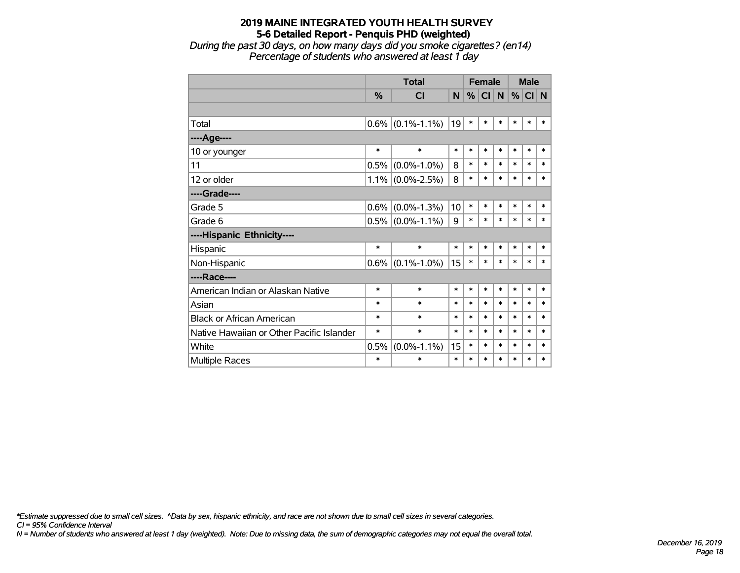*During the past 30 days, on how many days did you smoke cigarettes? (en14) Percentage of students who answered at least 1 day*

|                                           |               | <b>Total</b>      |        | <b>Female</b> |           |        | <b>Male</b> |        |        |
|-------------------------------------------|---------------|-------------------|--------|---------------|-----------|--------|-------------|--------|--------|
|                                           | $\frac{0}{0}$ | <b>CI</b>         | N      | %             | <b>CI</b> | N.     | %           | CI N   |        |
|                                           |               |                   |        |               |           |        |             |        |        |
| Total                                     | 0.6%          | $(0.1\% - 1.1\%)$ | 19     | $\ast$        | $\ast$    | $\ast$ | $\ast$      | $\ast$ | *      |
| ----Age----                               |               |                   |        |               |           |        |             |        |        |
| 10 or younger                             | $\ast$        | $\ast$            | $\ast$ | $\ast$        | $\ast$    | $\ast$ | $\ast$      | $\ast$ | $\ast$ |
| 11                                        | 0.5%          | $(0.0\% - 1.0\%)$ | 8      | $\ast$        | $\ast$    | $\ast$ | $\ast$      | $\ast$ | $\ast$ |
| 12 or older                               | 1.1%          | $(0.0\% - 2.5\%)$ | 8      | $\ast$        | $\ast$    | $\ast$ | $\ast$      | $\ast$ | $\ast$ |
| ----Grade----                             |               |                   |        |               |           |        |             |        |        |
| Grade 5                                   | 0.6%          | $(0.0\% - 1.3\%)$ | 10     | $\ast$        | $\ast$    | $\ast$ | $\ast$      | $\ast$ | $\ast$ |
| Grade 6                                   | 0.5%          | $(0.0\% - 1.1\%)$ | 9      | $\ast$        | $\ast$    | $\ast$ | $\ast$      | $\ast$ | $\ast$ |
| ----Hispanic Ethnicity----                |               |                   |        |               |           |        |             |        |        |
| Hispanic                                  | *             | $\ast$            | $\ast$ | $\ast$        | $\ast$    | *      | $\ast$      | $\ast$ | $\ast$ |
| Non-Hispanic                              | $0.6\%$       | $(0.1\% - 1.0\%)$ | 15     | $\ast$        | $\ast$    | $\ast$ | $\ast$      | $\ast$ | *      |
| ----Race----                              |               |                   |        |               |           |        |             |        |        |
| American Indian or Alaskan Native         | $\ast$        | $\ast$            | $\ast$ | $\ast$        | $\ast$    | $\ast$ | $\ast$      | $\ast$ | $\ast$ |
| Asian                                     | $\ast$        | $\ast$            | $\ast$ | $\ast$        | $\ast$    | $\ast$ | $\ast$      | $\ast$ | $\ast$ |
| <b>Black or African American</b>          | $\ast$        | $\ast$            | $\ast$ | $\ast$        | $\ast$    | $\ast$ | $\ast$      | $\ast$ | $\ast$ |
| Native Hawaiian or Other Pacific Islander | *             | $\ast$            | $\ast$ | $\ast$        | $\ast$    | $\ast$ | $\ast$      | $\ast$ | $\ast$ |
| White                                     | 0.5%          | $(0.0\% - 1.1\%)$ | 15     | $\ast$        | $\ast$    | $\ast$ | $\ast$      | $\ast$ | $\ast$ |
| Multiple Races                            | $\ast$        | $\ast$            | $\ast$ | $\ast$        | $\ast$    | $\ast$ | $\ast$      | $\ast$ | $\ast$ |

*\*Estimate suppressed due to small cell sizes. ^Data by sex, hispanic ethnicity, and race are not shown due to small cell sizes in several categories.*

*CI = 95% Confidence Interval*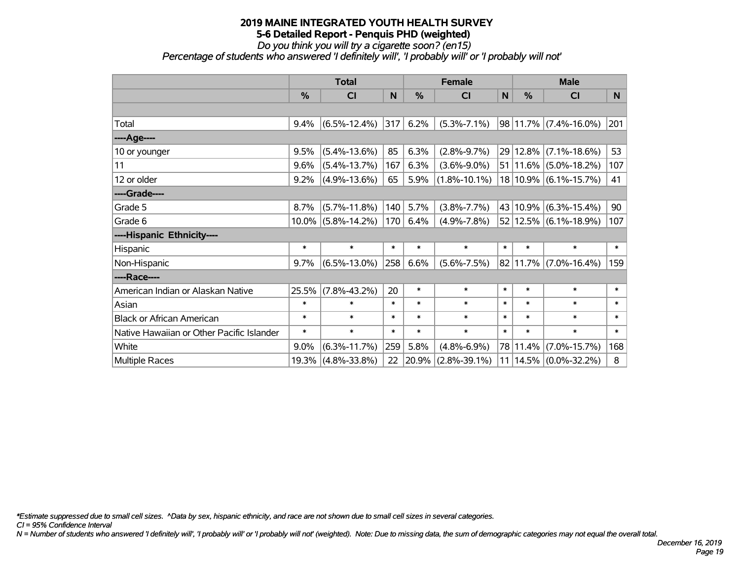*Do you think you will try a cigarette soon? (en15)*

*Percentage of students who answered 'I definitely will', 'I probably will' or 'I probably will not'*

|                                           | <b>Total</b> |                       |        | <b>Female</b> |                    |        | <b>Male</b> |                           |        |
|-------------------------------------------|--------------|-----------------------|--------|---------------|--------------------|--------|-------------|---------------------------|--------|
|                                           | $\%$         | <b>CI</b>             | N      | $\frac{9}{6}$ | <b>CI</b>          | N      | %           | <b>CI</b>                 | N.     |
|                                           |              |                       |        |               |                    |        |             |                           |        |
| Total                                     | 9.4%         | $(6.5\% - 12.4\%)$    | 317    | 6.2%          | $(5.3\% - 7.1\%)$  |        |             | $98 11.7\% $ (7.4%-16.0%) | 201    |
| ----Age----                               |              |                       |        |               |                    |        |             |                           |        |
| 10 or younger                             | 9.5%         | $(5.4\% - 13.6\%)$    | 85     | 6.3%          | $(2.8\% - 9.7\%)$  |        | 29 12.8%    | $(7.1\% - 18.6\%)$        | 53     |
| 11                                        | 9.6%         | $(5.4\% - 13.7\%)$    | 167    | 6.3%          | $(3.6\% - 9.0\%)$  |        |             | $51 11.6\% $ (5.0%-18.2%) | 107    |
| 12 or older                               | 9.2%         | $(4.9\% - 13.6\%)$    | 65     | 5.9%          | $(1.8\% - 10.1\%)$ |        |             | 18 10.9% (6.1%-15.7%)     | 41     |
| ----Grade----                             |              |                       |        |               |                    |        |             |                           |        |
| Grade 5                                   | 8.7%         | $(5.7\% - 11.8\%)$    | 140    | 5.7%          | $(3.8\% - 7.7\%)$  | 43     |             | $10.9\%$ (6.3%-15.4%)     | 90     |
| Grade 6                                   |              | $10.0\%$ (5.8%-14.2%) | 170    | 6.4%          | $(4.9\% - 7.8\%)$  |        |             | $52 12.5\% $ (6.1%-18.9%) | 107    |
| ----Hispanic Ethnicity----                |              |                       |        |               |                    |        |             |                           |        |
| Hispanic                                  | $\ast$       | $\ast$                | $\ast$ | $\ast$        | $\ast$             | $\ast$ | $\ast$      | $\ast$                    | $\ast$ |
| Non-Hispanic                              | 9.7%         | $(6.5\% - 13.0\%)$    | 258    | 6.6%          | $(5.6\% - 7.5\%)$  |        | 82 11.7%    | $(7.0\% - 16.4\%)$        | 159    |
| ----Race----                              |              |                       |        |               |                    |        |             |                           |        |
| American Indian or Alaskan Native         | 25.5%        | $(7.8\% - 43.2\%)$    | 20     | $\ast$        | $\ast$             | $\ast$ | $\ast$      | $\ast$                    | $\ast$ |
| Asian                                     | $\ast$       | $\ast$                | $\ast$ | $\ast$        | $\ast$             | $\ast$ | $\ast$      | $\ast$                    | $\ast$ |
| <b>Black or African American</b>          | $\ast$       | $\ast$                | $\ast$ | $\ast$        | $\ast$             | $\ast$ | $\ast$      | $\ast$                    | $\ast$ |
| Native Hawaiian or Other Pacific Islander | $\ast$       | $\ast$                | $\ast$ | $\ast$        | $\ast$             | $\ast$ | $\ast$      | $\ast$                    | $\ast$ |
| White                                     | 9.0%         | $(6.3\% - 11.7\%)$    | 259    | 5.8%          | $(4.8\% - 6.9\%)$  |        | 78 11.4%    | $(7.0\% - 15.7\%)$        | 168    |
| Multiple Races                            | 19.3%        | $(4.8\% - 33.8\%)$    | 22     | $ 20.9\% $    | $(2.8\% - 39.1\%)$ |        |             | $11 14.5\% $ (0.0%-32.2%) | 8      |

*\*Estimate suppressed due to small cell sizes. ^Data by sex, hispanic ethnicity, and race are not shown due to small cell sizes in several categories.*

*CI = 95% Confidence Interval*

*N = Number of students who answered 'I definitely will', 'I probably will' or 'I probably will not' (weighted). Note: Due to missing data, the sum of demographic categories may not equal the overall total.*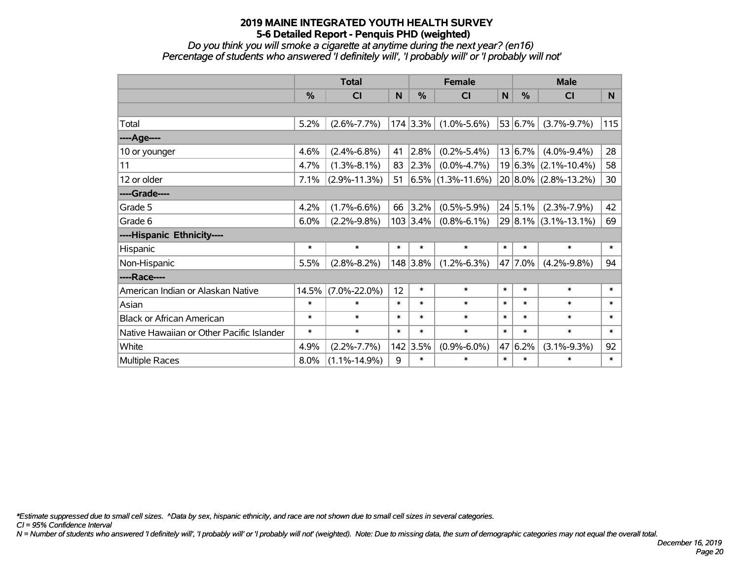*Do you think you will smoke a cigarette at anytime during the next year? (en16) Percentage of students who answered 'I definitely will', 'I probably will' or 'I probably will not'*

|                                           | <b>Total</b>  |                    |        |            | <b>Female</b>        |        | <b>Male</b>   |                      |        |
|-------------------------------------------|---------------|--------------------|--------|------------|----------------------|--------|---------------|----------------------|--------|
|                                           | $\frac{0}{0}$ | <b>CI</b>          | N      | %          | <b>CI</b>            | N      | $\frac{0}{0}$ | <b>CI</b>            | N.     |
|                                           |               |                    |        |            |                      |        |               |                      |        |
| Total                                     | 5.2%          | $(2.6\% - 7.7\%)$  |        | 174 3.3%   | $(1.0\% - 5.6\%)$    |        | 53 6.7%       | $(3.7\% - 9.7\%)$    | 115    |
| ---- Age----                              |               |                    |        |            |                      |        |               |                      |        |
| 10 or younger                             | 4.6%          | $(2.4\% - 6.8\%)$  | 41     | 2.8%       | $(0.2\% - 5.4\%)$    |        | 13 6.7%       | $(4.0\% - 9.4\%)$    | 28     |
| 11                                        | 4.7%          | $(1.3\% - 8.1\%)$  | 83     | 2.3%       | $(0.0\% - 4.7\%)$    |        | $19 6.3\% $   | $(2.1\% - 10.4\%)$   | 58     |
| 12 or older                               | 7.1%          | $(2.9\% - 11.3\%)$ | 51     |            | $6.5\%$ (1.3%-11.6%) |        |               | 20 8.0% (2.8%-13.2%) | 30     |
| ----Grade----                             |               |                    |        |            |                      |        |               |                      |        |
| Grade 5                                   | 4.2%          | $(1.7\% - 6.6\%)$  | 66     | 3.2%       | $(0.5\% - 5.9\%)$    |        | 24 5.1%       | $(2.3\% - 7.9\%)$    | 42     |
| Grade 6                                   | 6.0%          | $(2.2\% - 9.8\%)$  |        | $103$ 3.4% | $(0.8\% - 6.1\%)$    |        |               | 29 8.1% (3.1%-13.1%) | 69     |
| ----Hispanic Ethnicity----                |               |                    |        |            |                      |        |               |                      |        |
| Hispanic                                  | $\ast$        | $\ast$             | $\ast$ | $\ast$     | $\ast$               | $\ast$ | $\ast$        | $\ast$               | $\ast$ |
| Non-Hispanic                              | 5.5%          | $(2.8\% - 8.2\%)$  |        | 148 3.8%   | $(1.2\% - 6.3\%)$    |        | 47 7.0%       | $(4.2\% - 9.8\%)$    | 94     |
| ----Race----                              |               |                    |        |            |                      |        |               |                      |        |
| American Indian or Alaskan Native         | 14.5%         | $(7.0\% - 22.0\%)$ | 12     | $\ast$     | $\ast$               | $\ast$ | $\ast$        | $\ast$               | $\ast$ |
| Asian                                     | $\ast$        | $\ast$             | $\ast$ | $\ast$     | $\ast$               | $\ast$ | $\ast$        | $\ast$               | $\ast$ |
| <b>Black or African American</b>          | $\ast$        | $\ast$             | $\ast$ | $\ast$     | $\ast$               | $\ast$ | $\ast$        | $\ast$               | $\ast$ |
| Native Hawaiian or Other Pacific Islander | $\ast$        | $\ast$             | $\ast$ | $\ast$     | $\ast$               | $\ast$ | $\ast$        | $\ast$               | $\ast$ |
| White                                     | 4.9%          | $(2.2\% - 7.7\%)$  |        | 142 3.5%   | $(0.9\% - 6.0\%)$    | 47     | 6.2%          | $(3.1\% - 9.3\%)$    | 92     |
| Multiple Races                            | 8.0%          | $(1.1\% - 14.9\%)$ | 9      | $\ast$     | $\ast$               | $\ast$ | $\ast$        | $\ast$               | $\ast$ |

*\*Estimate suppressed due to small cell sizes. ^Data by sex, hispanic ethnicity, and race are not shown due to small cell sizes in several categories.*

*CI = 95% Confidence Interval*

*N = Number of students who answered 'I definitely will', 'I probably will' or 'I probably will not' (weighted). Note: Due to missing data, the sum of demographic categories may not equal the overall total.*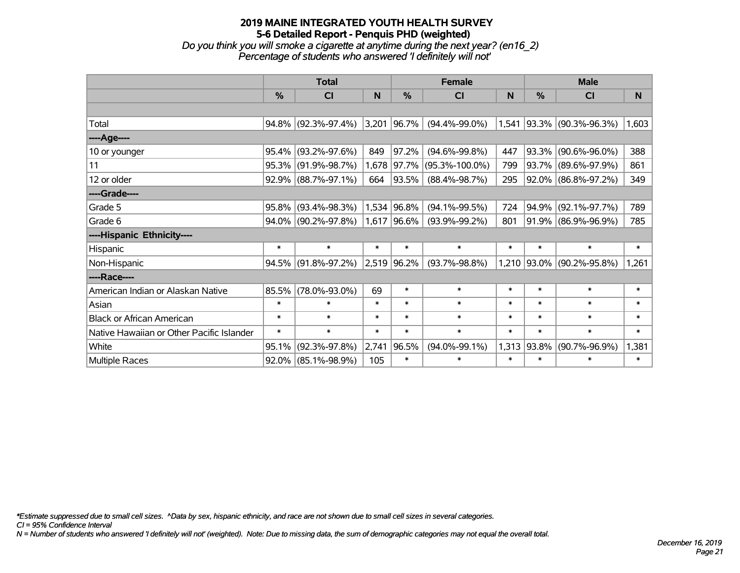## **2019 MAINE INTEGRATED YOUTH HEALTH SURVEY 5-6 Detailed Report - Penquis PHD (weighted)** *Do you think you will smoke a cigarette at anytime during the next year? (en16\_2) Percentage of students who answered 'I definitely will not'*

|                                           | <b>Total</b>  |                        |        | <b>Female</b> | <b>Male</b>          |        |        |                           |        |
|-------------------------------------------|---------------|------------------------|--------|---------------|----------------------|--------|--------|---------------------------|--------|
|                                           | $\frac{9}{6}$ | <b>CI</b>              | N      | $\frac{0}{0}$ | C <sub>l</sub>       | N      | %      | CI                        | N      |
|                                           |               |                        |        |               |                      |        |        |                           |        |
| Total                                     |               | 94.8% (92.3%-97.4%)    | 3,201  | 96.7%         | $(94.4\% - 99.0\%)$  |        |        | 1,541 93.3% (90.3%-96.3%) | 1,603  |
| ----Age----                               |               |                        |        |               |                      |        |        |                           |        |
| 10 or younger                             | 95.4%         | $(93.2\% - 97.6\%)$    | 849    | 97.2%         | $(94.6\% - 99.8\%)$  | 447    |        | 93.3% (90.6%-96.0%)       | 388    |
| 11                                        |               | 95.3% (91.9%-98.7%)    | 1,678  | 97.7%         | $(95.3\% - 100.0\%)$ | 799    |        | 93.7% (89.6%-97.9%)       | 861    |
| 12 or older                               |               | $92.9\%$ (88.7%-97.1%) | 664    | 93.5%         | $(88.4\% - 98.7\%)$  | 295    |        | 92.0% (86.8%-97.2%)       | 349    |
| ----Grade----                             |               |                        |        |               |                      |        |        |                           |        |
| Grade 5                                   | 95.8%         | $(93.4\% - 98.3\%)$    |        | 1,534 96.8%   | $(94.1\% - 99.5\%)$  | 724    |        | 94.9% (92.1%-97.7%)       | 789    |
| Grade 6                                   |               | $94.0\%$ (90.2%-97.8%) |        | 1,617 96.6%   | $(93.9\% - 99.2\%)$  | 801    |        | 91.9% (86.9%-96.9%)       | 785    |
| ----Hispanic Ethnicity----                |               |                        |        |               |                      |        |        |                           |        |
| Hispanic                                  | $\ast$        | $\ast$                 | $\ast$ | $\ast$        | $\ast$               | $\ast$ | $\ast$ | $\ast$                    | $\ast$ |
| Non-Hispanic                              |               | $94.5\%$ (91.8%-97.2%) |        | 2,519 96.2%   | $(93.7\% - 98.8\%)$  |        |        | 1,210 93.0% (90.2%-95.8%) | 1,261  |
| ----Race----                              |               |                        |        |               |                      |        |        |                           |        |
| American Indian or Alaskan Native         | 85.5%         | $(78.0\% - 93.0\%)$    | 69     | $\ast$        | $\ast$               | $\ast$ | $\ast$ | $\ast$                    | $\ast$ |
| Asian                                     | $\ast$        | $\ast$                 | $\ast$ | $\ast$        | $\ast$               | $\ast$ | $\ast$ | $\ast$                    | $\ast$ |
| <b>Black or African American</b>          | $\ast$        | $\ast$                 | $\ast$ | $\ast$        | $\ast$               | $\ast$ | $\ast$ | $\ast$                    | $\ast$ |
| Native Hawaiian or Other Pacific Islander | $\ast$        | $\ast$                 | $\ast$ | $\ast$        | $\ast$               | $\ast$ | $\ast$ | $\ast$                    | $\ast$ |
| White                                     | 95.1%         | $(92.3\% - 97.8\%)$    | 2,741  | 96.5%         | $(94.0\% - 99.1\%)$  | 1,313  | 93.8%  | $(90.7\% - 96.9\%)$       | 1,381  |
| <b>Multiple Races</b>                     |               | $92.0\%$ (85.1%-98.9%) | 105    | $\ast$        | $\ast$               | $\ast$ | $\ast$ | $\ast$                    | $\ast$ |

*\*Estimate suppressed due to small cell sizes. ^Data by sex, hispanic ethnicity, and race are not shown due to small cell sizes in several categories.*

*CI = 95% Confidence Interval*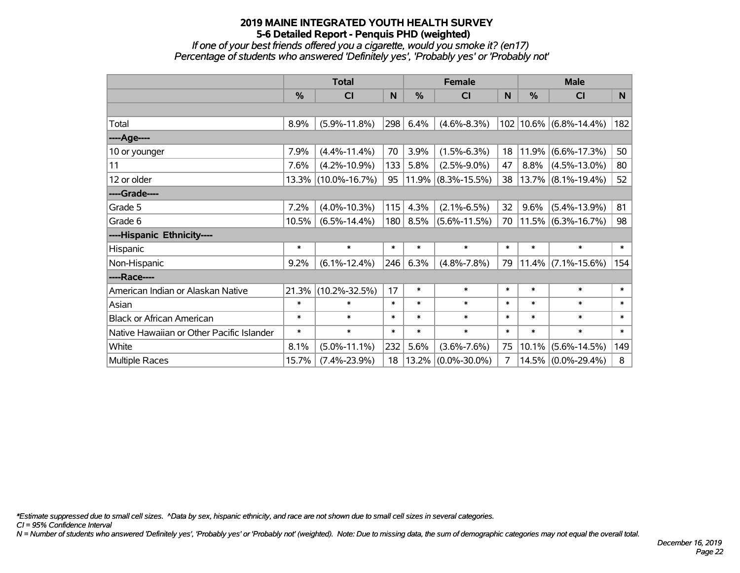*If one of your best friends offered you a cigarette, would you smoke it? (en17) Percentage of students who answered 'Definitely yes', 'Probably yes' or 'Probably not'*

|                                           | <b>Total</b>  |                     |        |               | <b>Female</b>         |        | <b>Male</b>   |                            |        |  |
|-------------------------------------------|---------------|---------------------|--------|---------------|-----------------------|--------|---------------|----------------------------|--------|--|
|                                           | $\frac{0}{0}$ | <b>CI</b>           | N      | $\frac{0}{0}$ | <b>CI</b>             | N      | $\frac{0}{0}$ | <b>CI</b>                  | N      |  |
|                                           |               |                     |        |               |                       |        |               |                            |        |  |
| Total                                     | 8.9%          | $(5.9\% - 11.8\%)$  | 298    | 6.4%          | $(4.6\% - 8.3\%)$     |        |               | 102   10.6%   (6.8%-14.4%) | 182    |  |
| ---- Age----                              |               |                     |        |               |                       |        |               |                            |        |  |
| 10 or younger                             | 7.9%          | $(4.4\% - 11.4\%)$  | 70     | 3.9%          | $(1.5\% - 6.3\%)$     | 18     | 11.9%         | $(6.6\% - 17.3\%)$         | 50     |  |
| 11                                        | 7.6%          | $(4.2\% - 10.9\%)$  | 133    | 5.8%          | $(2.5\% - 9.0\%)$     | 47     | 8.8%          | $(4.5\% - 13.0\%)$         | 80     |  |
| 12 or older                               |               | 13.3% (10.0%-16.7%) | 95     |               | $11.9\%$ (8.3%-15.5%) | 38     |               | $13.7\%$ (8.1%-19.4%)      | 52     |  |
| ----Grade----                             |               |                     |        |               |                       |        |               |                            |        |  |
| Grade 5                                   | 7.2%          | $(4.0\% - 10.3\%)$  | 115    | 4.3%          | $(2.1\% - 6.5\%)$     | 32     | 9.6%          | $(5.4\% - 13.9\%)$         | 81     |  |
| Grade 6                                   | 10.5%         | $(6.5\% - 14.4\%)$  | 180    | 8.5%          | $(5.6\% - 11.5\%)$    | 70     |               | $11.5\%$ (6.3%-16.7%)      | 98     |  |
| ----Hispanic Ethnicity----                |               |                     |        |               |                       |        |               |                            |        |  |
| Hispanic                                  | $\ast$        | $\ast$              | $\ast$ | $\ast$        | $\ast$                | $\ast$ | $\ast$        | $\ast$                     | $\ast$ |  |
| Non-Hispanic                              | 9.2%          | $(6.1\% - 12.4\%)$  | 246    | 6.3%          | $(4.8\% - 7.8\%)$     | 79     |               | $11.4\%$ (7.1%-15.6%)      | 154    |  |
| ----Race----                              |               |                     |        |               |                       |        |               |                            |        |  |
| American Indian or Alaskan Native         | 21.3%         | $(10.2\% - 32.5\%)$ | 17     | $\ast$        | $\ast$                | $\ast$ | $\ast$        | $\ast$                     | $\ast$ |  |
| Asian                                     | $\ast$        | $\ast$              | $\ast$ | $\ast$        | $\ast$                | $\ast$ | $\ast$        | $\ast$                     | $\ast$ |  |
| <b>Black or African American</b>          | $\ast$        | $\ast$              | $\ast$ | $\ast$        | $\ast$                | $\ast$ | $\ast$        | $\ast$                     | $\ast$ |  |
| Native Hawaiian or Other Pacific Islander | $\ast$        | $\ast$              | $\ast$ | $\ast$        | $\ast$                | $\ast$ | $\ast$        | $\ast$                     | $\ast$ |  |
| White                                     | 8.1%          | $(5.0\% - 11.1\%)$  | 232    | 5.6%          | $(3.6\% - 7.6\%)$     | 75     | 10.1%         | $(5.6\% - 14.5\%)$         | 149    |  |
| Multiple Races                            | 15.7%         | $(7.4\% - 23.9\%)$  | 18     | 13.2%         | $(0.0\% - 30.0\%)$    | 7      |               | 14.5% (0.0%-29.4%)         | 8      |  |

*\*Estimate suppressed due to small cell sizes. ^Data by sex, hispanic ethnicity, and race are not shown due to small cell sizes in several categories.*

*CI = 95% Confidence Interval*

*N = Number of students who answered 'Definitely yes', 'Probably yes' or 'Probably not' (weighted). Note: Due to missing data, the sum of demographic categories may not equal the overall total.*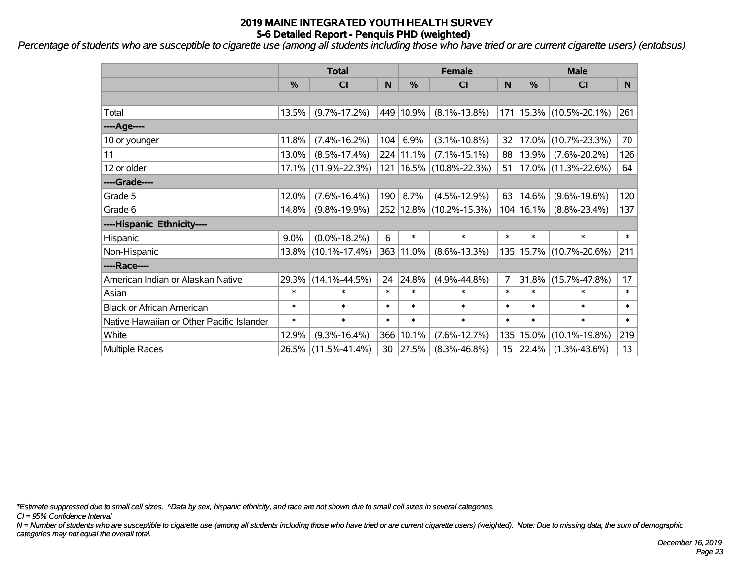*Percentage of students who are susceptible to cigarette use (among all students including those who have tried or are current cigarette users) (entobsus)*

|                                           | <b>Total</b>  |                     |        | <b>Female</b> | <b>Male</b>                 |        |             |                             |        |
|-------------------------------------------|---------------|---------------------|--------|---------------|-----------------------------|--------|-------------|-----------------------------|--------|
|                                           | $\frac{0}{0}$ | <b>CI</b>           | N      | %             | <b>CI</b>                   | N      | %           | <b>CI</b>                   | N      |
|                                           |               |                     |        |               |                             |        |             |                             |        |
| Total                                     | 13.5%         | $(9.7\% - 17.2\%)$  |        | 449 10.9%     | $(8.1\% - 13.8\%)$          |        |             | 171   15.3%   (10.5%-20.1%) | 261    |
| ----Age----                               |               |                     |        |               |                             |        |             |                             |        |
| 10 or younger                             | 11.8%         | $(7.4\% - 16.2\%)$  | 104    | 6.9%          | $(3.1\% - 10.8\%)$          | 32     | 17.0%       | $(10.7\% - 23.3\%)$         | 70     |
| 11                                        | 13.0%         | $(8.5\% - 17.4\%)$  |        | 224 11.1%     | $(7.1\% - 15.1\%)$          | 88     | 13.9%       | $(7.6\% - 20.2\%)$          | 126    |
| 12 or older                               |               | 17.1% (11.9%-22.3%) |        |               | 121   16.5%   (10.8%-22.3%) | 51     |             | 17.0% (11.3%-22.6%)         | 64     |
| ----Grade----                             |               |                     |        |               |                             |        |             |                             |        |
| Grade 5                                   | 12.0%         | $(7.6\% - 16.4\%)$  | 190    | 8.7%          | $(4.5\% - 12.9\%)$          | 63     | 14.6%       | $(9.6\% - 19.6\%)$          | 120    |
| Grade 6                                   | 14.8%         | $(9.8\% - 19.9\%)$  |        |               | 252 12.8% (10.2%-15.3%)     |        | 104   16.1% | $(8.8\% - 23.4\%)$          | 137    |
| ----Hispanic Ethnicity----                |               |                     |        |               |                             |        |             |                             |        |
| Hispanic                                  | 9.0%          | $(0.0\% - 18.2\%)$  | 6      | $\ast$        | $\ast$                      | $\ast$ | $\ast$      | $\ast$                      | $\ast$ |
| Non-Hispanic                              |               | 13.8% (10.1%-17.4%) |        | 363 11.0%     | $(8.6\% - 13.3\%)$          |        |             | 135   15.7%   (10.7%-20.6%) | 211    |
| ----Race----                              |               |                     |        |               |                             |        |             |                             |        |
| American Indian or Alaskan Native         |               | 29.3% (14.1%-44.5%) | 24     | 24.8%         | $(4.9\% - 44.8\%)$          | 7      | 31.8%       | $(15.7\% - 47.8\%)$         | 17     |
| Asian                                     | $\ast$        | $\ast$              | $\ast$ | $\ast$        | $\ast$                      | $\ast$ | $\ast$      | $\ast$                      | $\ast$ |
| <b>Black or African American</b>          | $\ast$        | $\ast$              | $\ast$ | $\ast$        | $\ast$                      | $\ast$ | $\ast$      | $\ast$                      | $\ast$ |
| Native Hawaiian or Other Pacific Islander | $\ast$        | $\ast$              | $\ast$ | $\ast$        | $\ast$                      | $\ast$ | $\ast$      | $\ast$                      | $\ast$ |
| White                                     | 12.9%         | $(9.3\% - 16.4\%)$  | 366    | 10.1%         | $(7.6\% - 12.7\%)$          | 135    | 15.0%       | $(10.1\% - 19.8\%)$         | 219    |
| Multiple Races                            |               | 26.5% (11.5%-41.4%) | 30     | 27.5%         | $(8.3\% - 46.8\%)$          |        | 15 22.4%    | $(1.3\% - 43.6\%)$          | 13     |

*\*Estimate suppressed due to small cell sizes. ^Data by sex, hispanic ethnicity, and race are not shown due to small cell sizes in several categories.*

*CI = 95% Confidence Interval*

*N = Number of students who are susceptible to cigarette use (among all students including those who have tried or are current cigarette users) (weighted). Note: Due to missing data, the sum of demographic categories may not equal the overall total.*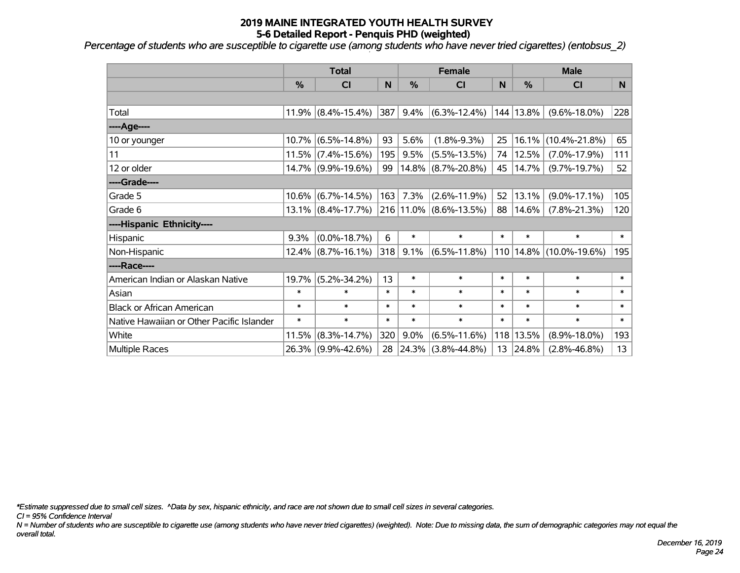*Percentage of students who are susceptible to cigarette use (among students who have never tried cigarettes) (entobsus\_2)*

|                                           | <b>Total</b> |                       |        |        | <b>Female</b>          |              | <b>Male</b>    |                     |        |  |
|-------------------------------------------|--------------|-----------------------|--------|--------|------------------------|--------------|----------------|---------------------|--------|--|
|                                           | %            | CI                    | N      | %      | <b>CI</b>              | $\mathsf{N}$ | %              | <b>CI</b>           | N      |  |
|                                           |              |                       |        |        |                        |              |                |                     |        |  |
| Total                                     |              | $11.9\%$ (8.4%-15.4%) | 387    | 9.4%   | $(6.3\% - 12.4\%)$     |              | 144 13.8%      | $(9.6\% - 18.0\%)$  | 228    |  |
| ---- Age----                              |              |                       |        |        |                        |              |                |                     |        |  |
| 10 or younger                             | $10.7\%$     | $(6.5\% - 14.8\%)$    | 93     | 5.6%   | $(1.8\% - 9.3\%)$      | 25           | 16.1%          | $(10.4\% - 21.8\%)$ | 65     |  |
| 11                                        |              | $11.5\%$ (7.4%-15.6%) | 195    | 9.5%   | $(5.5\% - 13.5\%)$     | 74           | 12.5%          | $(7.0\% - 17.9\%)$  | 111    |  |
| 12 or older                               |              | 14.7% (9.9%-19.6%)    | 99     |        | $14.8\%$ (8.7%-20.8%)  | 45           | 14.7%          | $(9.7\% - 19.7\%)$  | 52     |  |
| ----Grade----                             |              |                       |        |        |                        |              |                |                     |        |  |
| Grade 5                                   | 10.6%        | $(6.7\% - 14.5\%)$    | 163    | 7.3%   | $(2.6\% - 11.9\%)$     | 52           | 13.1%          | $(9.0\% - 17.1\%)$  | 105    |  |
| Grade 6                                   |              | $13.1\%$ (8.4%-17.7%) |        |        | 216 11.0% (8.6%-13.5%) | 88           | 14.6%          | $(7.8\% - 21.3\%)$  | 120    |  |
| ----Hispanic Ethnicity----                |              |                       |        |        |                        |              |                |                     |        |  |
| Hispanic                                  | 9.3%         | $(0.0\% - 18.7\%)$    | 6      | $\ast$ | $\ast$                 | $\ast$       | $\ast$         | $\ast$              | $\ast$ |  |
| Non-Hispanic                              |              | $12.4\%$ (8.7%-16.1%) | 318    | 9.1%   | $(6.5\% - 11.8\%)$     |              | $ 110 14.8\% $ | $(10.0\% - 19.6\%)$ | 195    |  |
| ----Race----                              |              |                       |        |        |                        |              |                |                     |        |  |
| American Indian or Alaskan Native         | 19.7%        | $(5.2\% - 34.2\%)$    | 13     | $\ast$ | $\ast$                 | $\ast$       | $\ast$         | $\ast$              | $\ast$ |  |
| Asian                                     | $\ast$       | $\ast$                | $\ast$ | $\ast$ | $\ast$                 | $\ast$       | $\ast$         | $\ast$              | $\ast$ |  |
| <b>Black or African American</b>          | $\ast$       | $\ast$                | $\ast$ | $\ast$ | $\ast$                 | $\ast$       | $\ast$         | $\ast$              | $\ast$ |  |
| Native Hawaiian or Other Pacific Islander | $\ast$       | $\ast$                | $\ast$ | $\ast$ | $\ast$                 | $\ast$       | $\ast$         | $\pmb{\ast}$        | $\ast$ |  |
| White                                     | 11.5%        | $(8.3\% - 14.7\%)$    | 320    | 9.0%   | $(6.5\% - 11.6\%)$     | 118          | 13.5%          | $(8.9\% - 18.0\%)$  | 193    |  |
| Multiple Races                            |              | 26.3% (9.9%-42.6%)    |        |        | 28 24.3% (3.8%-44.8%)  | 13           | 24.8%          | $(2.8\% - 46.8\%)$  | 13     |  |

*\*Estimate suppressed due to small cell sizes. ^Data by sex, hispanic ethnicity, and race are not shown due to small cell sizes in several categories.*

*CI = 95% Confidence Interval*

*N = Number of students who are susceptible to cigarette use (among students who have never tried cigarettes) (weighted). Note: Due to missing data, the sum of demographic categories may not equal the overall total.*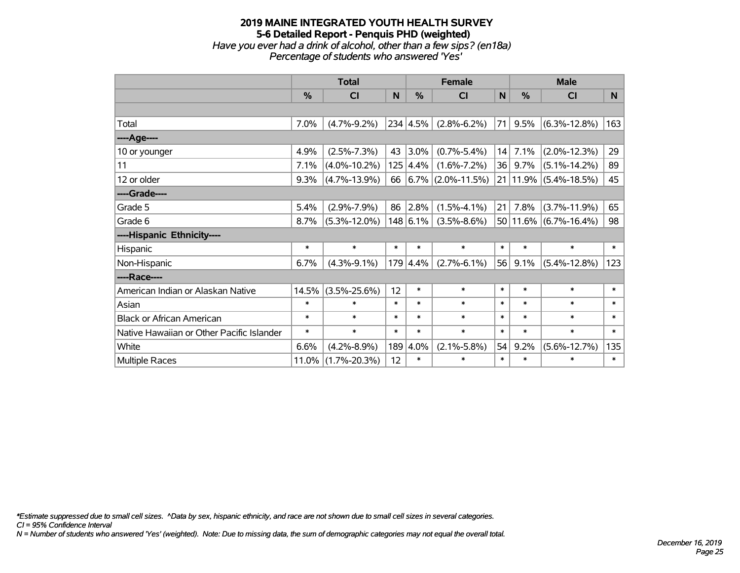## **2019 MAINE INTEGRATED YOUTH HEALTH SURVEY 5-6 Detailed Report - Penquis PHD (weighted)** *Have you ever had a drink of alcohol, other than a few sips? (en18a) Percentage of students who answered 'Yes'*

|                                           | <b>Total</b> |                    |        | <b>Female</b>    |                           |              | <b>Male</b> |                               |        |  |
|-------------------------------------------|--------------|--------------------|--------|------------------|---------------------------|--------------|-------------|-------------------------------|--------|--|
|                                           | %            | <b>CI</b>          | N      | $\frac{0}{0}$    | <b>CI</b>                 | $\mathsf{N}$ | %           | <b>CI</b>                     | N      |  |
|                                           |              |                    |        |                  |                           |              |             |                               |        |  |
| Total                                     | 7.0%         | $(4.7\% - 9.2\%)$  |        | 234 4.5%         | $(2.8\% - 6.2\%)$         | 71           | 9.5%        | $(6.3\% - 12.8\%)$            | 163    |  |
| ----Age----                               |              |                    |        |                  |                           |              |             |                               |        |  |
| 10 or younger                             | 4.9%         | $(2.5\% - 7.3\%)$  | 43     | 3.0%             | $(0.7\% - 5.4\%)$         | 14           | 7.1%        | $(2.0\% - 12.3\%)$            | 29     |  |
| 11                                        | 7.1%         | $(4.0\% - 10.2\%)$ |        | $125 \,   4.4\%$ | $(1.6\% - 7.2\%)$         | 36           | $9.7\%$     | $(5.1\% - 14.2\%)$            | 89     |  |
| 12 or older                               | 9.3%         | $(4.7\% - 13.9\%)$ |        |                  | 66 $ 6.7\% $ (2.0%-11.5%) |              |             | $21 11.9\% $ (5.4%-18.5%)     | 45     |  |
| ----Grade----                             |              |                    |        |                  |                           |              |             |                               |        |  |
| Grade 5                                   | 5.4%         | $(2.9\% - 7.9\%)$  | 86     | 2.8%             | $(1.5\% - 4.1\%)$         | 21           | 7.8%        | $(3.7\% - 11.9\%)$            | 65     |  |
| Grade 6                                   | 8.7%         | $(5.3\% - 12.0\%)$ |        | 148 6.1%         | $(3.5\% - 8.6\%)$         |              |             | $50 11.6\%  (6.7\% - 16.4\%)$ | 98     |  |
| ----Hispanic Ethnicity----                |              |                    |        |                  |                           |              |             |                               |        |  |
| Hispanic                                  | $\ast$       | $\ast$             | *      | $\ast$           | $\ast$                    | $\ast$       | $\ast$      | $\ast$                        | $\ast$ |  |
| Non-Hispanic                              | 6.7%         | $(4.3\% - 9.1\%)$  |        | $179 \,   4.4\%$ | $(2.7\% - 6.1\%)$         | 56           | 9.1%        | $(5.4\% - 12.8\%)$            | 123    |  |
| ----Race----                              |              |                    |        |                  |                           |              |             |                               |        |  |
| American Indian or Alaskan Native         | 14.5%        | $(3.5\% - 25.6\%)$ | 12     | $\ast$           | $\ast$                    | $\ast$       | $\ast$      | $\ast$                        | $\ast$ |  |
| Asian                                     | $\ast$       | $\ast$             | $\ast$ | $\ast$           | $\ast$                    | $\ast$       | $\ast$      | $\ast$                        | $\ast$ |  |
| <b>Black or African American</b>          | $\ast$       | $\ast$             | $\ast$ | $\ast$           | $\ast$                    | $\ast$       | $\ast$      | $\ast$                        | $\ast$ |  |
| Native Hawaiian or Other Pacific Islander | $\ast$       | $\ast$             | $\ast$ | $\ast$           | $\ast$                    | $\ast$       | $\ast$      | $\ast$                        | $\ast$ |  |
| White                                     | 6.6%         | $(4.2\% - 8.9\%)$  |        | 189 4.0%         | $(2.1\% - 5.8\%)$         | 54           | 9.2%        | $(5.6\% - 12.7\%)$            | 135    |  |
| <b>Multiple Races</b>                     | 11.0%        | $(1.7\% - 20.3\%)$ | 12     | $\ast$           | $\ast$                    | $\ast$       | $\ast$      | $\ast$                        | $\ast$ |  |

*\*Estimate suppressed due to small cell sizes. ^Data by sex, hispanic ethnicity, and race are not shown due to small cell sizes in several categories.*

*CI = 95% Confidence Interval*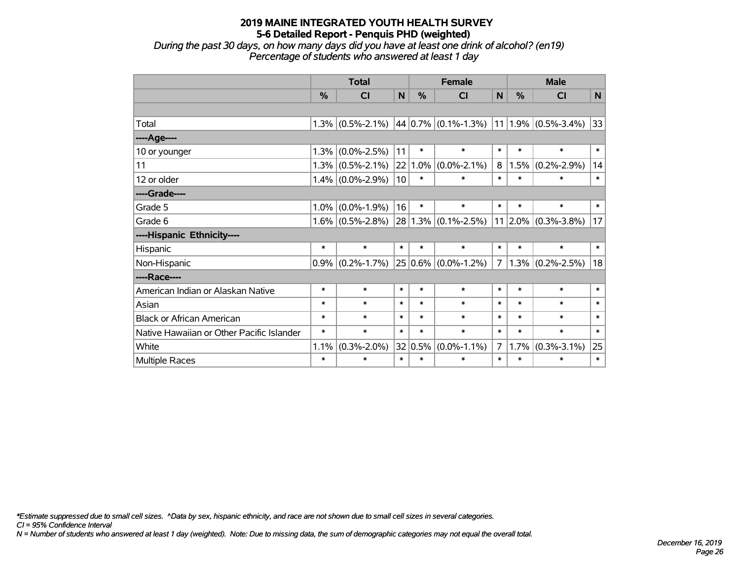*During the past 30 days, on how many days did you have at least one drink of alcohol? (en19) Percentage of students who answered at least 1 day*

|                                           | <b>Total</b> |                     |        |         | <b>Female</b>                               | <b>Male</b> |              |                     |              |
|-------------------------------------------|--------------|---------------------|--------|---------|---------------------------------------------|-------------|--------------|---------------------|--------------|
|                                           | $\%$         | <b>CI</b>           | N      | %       | <b>CI</b>                                   | N           | $\%$         | <b>CI</b>           | $\mathsf{N}$ |
|                                           |              |                     |        |         |                                             |             |              |                     |              |
| Total                                     | 1.3%         | $(0.5\% - 2.1\%)$   |        |         | $44 0.7\% $ (0.1%-1.3%) 11 1.9% (0.5%-3.4%) |             |              |                     | $ 33\rangle$ |
| ----Age----                               |              |                     |        |         |                                             |             |              |                     |              |
| 10 or younger                             | 1.3%         | $(0.0\% - 2.5\%)$   | 11     | $\ast$  | $\ast$                                      | $\ast$      | $\ast$       | $\ast$              | $\ast$       |
| 11                                        |              | $1.3\%$ (0.5%-2.1%) | 22     | 1.0%    | $(0.0\% - 2.1\%)$                           | 8           | 1.5%         | $(0.2\% - 2.9\%)$   | 14           |
| 12 or older                               |              | $1.4\%$ (0.0%-2.9%) | 10     | $\ast$  | $\ast$                                      | $\ast$      | $\ast$       | $\ast$              | $\ast$       |
| ----Grade----                             |              |                     |        |         |                                             |             |              |                     |              |
| Grade 5                                   | 1.0%         | $(0.0\% - 1.9\%)$   | 16     | $\ast$  | $\ast$                                      | $\ast$      | $\ast$       | $\ast$              | $\ast$       |
| Grade 6                                   |              | $1.6\%$ (0.5%-2.8%) | 28     |         | $1.3\%$ (0.1%-2.5%)                         |             | $ 11 2.0\% $ | $(0.3\% - 3.8\%)$   | 17           |
| ----Hispanic Ethnicity----                |              |                     |        |         |                                             |             |              |                     |              |
| Hispanic                                  | $\ast$       | $\ast$              | $\ast$ | $\ast$  | $\ast$                                      | $\ast$      | $\ast$       | $\ast$              | $\ast$       |
| Non-Hispanic                              | $0.9\%$      | $(0.2\% - 1.7\%)$   |        |         | $25 0.6\% $ (0.0%-1.2%)                     | $7^{\circ}$ |              | $1.3\%$ (0.2%-2.5%) | 18           |
| ----Race----                              |              |                     |        |         |                                             |             |              |                     |              |
| American Indian or Alaskan Native         | $\ast$       | $\ast$              | $\ast$ | $\ast$  | $\ast$                                      | $\ast$      | $\ast$       | $\ast$              | $\ast$       |
| Asian                                     | $\ast$       | $\ast$              | $\ast$ | $\ast$  | $\ast$                                      | $\ast$      | $\ast$       | $\ast$              | $\ast$       |
| <b>Black or African American</b>          | $\ast$       | $\ast$              | $\ast$ | $\ast$  | $\ast$                                      | $\ast$      | $\ast$       | $\ast$              | $\ast$       |
| Native Hawaiian or Other Pacific Islander | $\ast$       | $\ast$              | $\ast$ | $\ast$  | $\ast$                                      | $\ast$      | $\ast$       | $\ast$              | $\ast$       |
| White                                     | 1.1%         | $(0.3\% - 2.0\%)$   |        | 32 0.5% | $(0.0\% - 1.1\%)$                           | $7^{\circ}$ | 1.7%         | $(0.3\% - 3.1\%)$   | 25           |
| <b>Multiple Races</b>                     | $\ast$       | $\ast$              | $\ast$ | $\ast$  | $\ast$                                      | $\ast$      | $\ast$       | $\ast$              | $\ast$       |

*\*Estimate suppressed due to small cell sizes. ^Data by sex, hispanic ethnicity, and race are not shown due to small cell sizes in several categories.*

*CI = 95% Confidence Interval*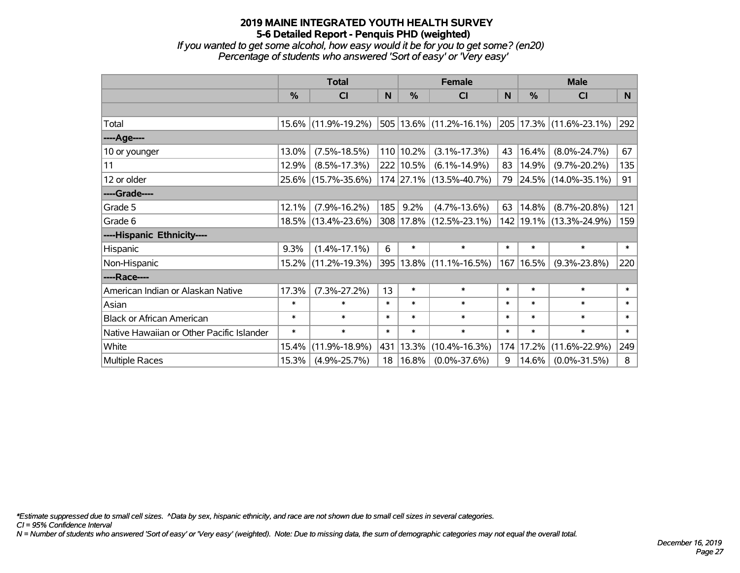*If you wanted to get some alcohol, how easy would it be for you to get some? (en20) Percentage of students who answered 'Sort of easy' or 'Very easy'*

|                                           | <b>Total</b>  |                     |        |               | <b>Female</b>                    |        | <b>Male</b> |                              |          |  |
|-------------------------------------------|---------------|---------------------|--------|---------------|----------------------------------|--------|-------------|------------------------------|----------|--|
|                                           | $\frac{0}{0}$ | <b>CI</b>           | N      | $\frac{9}{6}$ | CI                               | N      | %           | <b>CI</b>                    | <b>N</b> |  |
|                                           |               |                     |        |               |                                  |        |             |                              |          |  |
| Total                                     |               | 15.6% (11.9%-19.2%) |        |               | $ 505 13.6\%  (11.2\% - 16.1\%)$ |        |             | $ 205 17.3\% $ (11.6%-23.1%) | 292      |  |
| ----Age----                               |               |                     |        |               |                                  |        |             |                              |          |  |
| 10 or younger                             | 13.0%         | $(7.5\% - 18.5\%)$  |        | $110 10.2\%$  | $(3.1\% - 17.3\%)$               | 43     | 16.4%       | $(8.0\% - 24.7\%)$           | 67       |  |
| 11                                        | 12.9%         | $(8.5\% - 17.3\%)$  |        | 222 10.5%     | $(6.1\% - 14.9\%)$               | 83     | 14.9%       | $(9.7\% - 20.2\%)$           | 135      |  |
| 12 or older                               |               | 25.6% (15.7%-35.6%) |        |               | 174 27.1% (13.5%-40.7%)          |        |             | 79 24.5% (14.0%-35.1%)       | 91       |  |
| ----Grade----                             |               |                     |        |               |                                  |        |             |                              |          |  |
| Grade 5                                   | 12.1%         | $(7.9\% - 16.2\%)$  | 185    | 9.2%          | $(4.7\% - 13.6\%)$               | 63     | 14.8%       | $(8.7\% - 20.8\%)$           | 121      |  |
| Grade 6                                   |               | 18.5% (13.4%-23.6%) |        |               | 308 17.8% (12.5%-23.1%)          |        |             | 142   19.1%   (13.3%-24.9%)  | 159      |  |
| ----Hispanic Ethnicity----                |               |                     |        |               |                                  |        |             |                              |          |  |
| Hispanic                                  | 9.3%          | $(1.4\% - 17.1\%)$  | 6      | $\ast$        | $\ast$                           | $\ast$ | $\ast$      | $\ast$                       | $\ast$   |  |
| Non-Hispanic                              | $15.2\%$      | $(11.2\% - 19.3\%)$ |        |               | 395 13.8% (11.1%-16.5%)          | 167    | 16.5%       | $(9.3\% - 23.8\%)$           | 220      |  |
| ----Race----                              |               |                     |        |               |                                  |        |             |                              |          |  |
| American Indian or Alaskan Native         | 17.3%         | $(7.3\% - 27.2\%)$  | 13     | $\ast$        | $\ast$                           | $\ast$ | $\ast$      | $\ast$                       | $\ast$   |  |
| Asian                                     | $\ast$        | $\ast$              | $\ast$ | $\ast$        | $\ast$                           | $\ast$ | $\ast$      | $\ast$                       | $\ast$   |  |
| <b>Black or African American</b>          | $\ast$        | $\ast$              | $\ast$ | $\ast$        | $\ast$                           | $\ast$ | $\ast$      | $\ast$                       | $\ast$   |  |
| Native Hawaiian or Other Pacific Islander | $\ast$        | $\ast$              | $\ast$ | $\ast$        | $\ast$                           | $\ast$ | $\ast$      | $\ast$                       | $\ast$   |  |
| White                                     | 15.4%         | $(11.9\% - 18.9\%)$ | 431    | $ 13.3\%$     | $(10.4\% - 16.3\%)$              | 174    | 17.2%       | $(11.6\% - 22.9\%)$          | 249      |  |
| Multiple Races                            | 15.3%         | $(4.9\% - 25.7\%)$  | 18     | $ 16.8\%$     | $(0.0\% - 37.6\%)$               | 9      | 14.6%       | $(0.0\% - 31.5\%)$           | 8        |  |

*\*Estimate suppressed due to small cell sizes. ^Data by sex, hispanic ethnicity, and race are not shown due to small cell sizes in several categories.*

*CI = 95% Confidence Interval*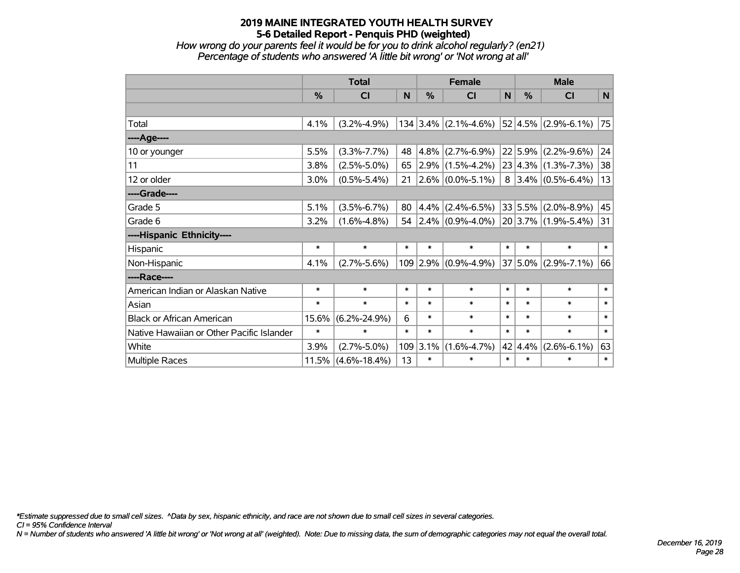*How wrong do your parents feel it would be for you to drink alcohol regularly? (en21) Percentage of students who answered 'A little bit wrong' or 'Not wrong at all'*

|                                           | <b>Total</b>  |                    |        |           | <b>Female</b>             | <b>Male</b> |         |                         |        |
|-------------------------------------------|---------------|--------------------|--------|-----------|---------------------------|-------------|---------|-------------------------|--------|
|                                           | $\frac{0}{0}$ | <b>CI</b>          | N      | $\%$      | <b>CI</b>                 | N           | $\%$    | <b>CI</b>               | N      |
|                                           |               |                    |        |           |                           |             |         |                         |        |
| Total                                     | 4.1%          | $(3.2\% - 4.9\%)$  |        |           | $134$ 3.4% (2.1%-4.6%)    |             |         | $52 4.5\% $ (2.9%-6.1%) | 75     |
| ----Age----                               |               |                    |        |           |                           |             |         |                         |        |
| 10 or younger                             | 5.5%          | $(3.3\% - 7.7\%)$  | 48     | 4.8%      | $(2.7\% - 6.9\%)$         |             |         | $22 5.9\% $ (2.2%-9.6%) | 24     |
| 11                                        | 3.8%          | $(2.5\% - 5.0\%)$  | 65     |           | $2.9\%$ (1.5%-4.2%)       |             |         | $23 4.3\% $ (1.3%-7.3%) | 38     |
| 12 or older                               | 3.0%          | $(0.5\% - 5.4\%)$  | 21     |           | $2.6\%$ (0.0%-5.1%)       | 8           |         | $3.4\%$ (0.5%-6.4%)     | 13     |
| ----Grade----                             |               |                    |        |           |                           |             |         |                         |        |
| Grade 5                                   | 5.1%          | $(3.5\% - 6.7\%)$  | 80     | $ 4.4\% $ | $(2.4\% - 6.5\%)$         |             |         | $33 5.5\% $ (2.0%-8.9%) | 45     |
| Grade 6                                   | 3.2%          | $(1.6\% - 4.8\%)$  |        |           | 54 2.4% $(0.9\% - 4.0\%)$ |             |         | $20 3.7\% $ (1.9%-5.4%) | 31     |
| ----Hispanic Ethnicity----                |               |                    |        |           |                           |             |         |                         |        |
| Hispanic                                  | $\ast$        | $\ast$             | $\ast$ | $\ast$    | $\ast$                    | $\ast$      | $\ast$  | $\ast$                  | $\ast$ |
| Non-Hispanic                              | 4.1%          | $(2.7\% - 5.6\%)$  |        | 109 2.9%  | $(0.9\% - 4.9\%)$         | 37          | $5.0\%$ | $(2.9\% - 7.1\%)$       | 66     |
| ----Race----                              |               |                    |        |           |                           |             |         |                         |        |
| American Indian or Alaskan Native         | $\ast$        | $\ast$             | $\ast$ | $\ast$    | $\ast$                    | $\ast$      | $\ast$  | $\ast$                  | $\ast$ |
| Asian                                     | $\ast$        | $\ast$             | $\ast$ | $\ast$    | $\ast$                    | $\ast$      | $\ast$  | $\ast$                  | $\ast$ |
| <b>Black or African American</b>          | 15.6%         | $(6.2\% - 24.9\%)$ | 6      | $\ast$    | $\ast$                    | $\ast$      | $\ast$  | $\ast$                  | $\ast$ |
| Native Hawaiian or Other Pacific Islander | $\ast$        | $\ast$             | $\ast$ | $\ast$    | $\ast$                    | $\ast$      | $\ast$  | $\ast$                  | $\ast$ |
| White                                     | 3.9%          | $(2.7\% - 5.0\%)$  | 109    | 3.1%      | $(1.6\% - 4.7\%)$         | 42          | 4.4%    | $(2.6\% - 6.1\%)$       | 63     |
| Multiple Races                            | 11.5%         | $(4.6\% - 18.4\%)$ | 13     | $\ast$    | $\ast$                    | $\ast$      | $\ast$  | $\ast$                  | $\ast$ |

*\*Estimate suppressed due to small cell sizes. ^Data by sex, hispanic ethnicity, and race are not shown due to small cell sizes in several categories.*

*CI = 95% Confidence Interval*

*N = Number of students who answered 'A little bit wrong' or 'Not wrong at all' (weighted). Note: Due to missing data, the sum of demographic categories may not equal the overall total.*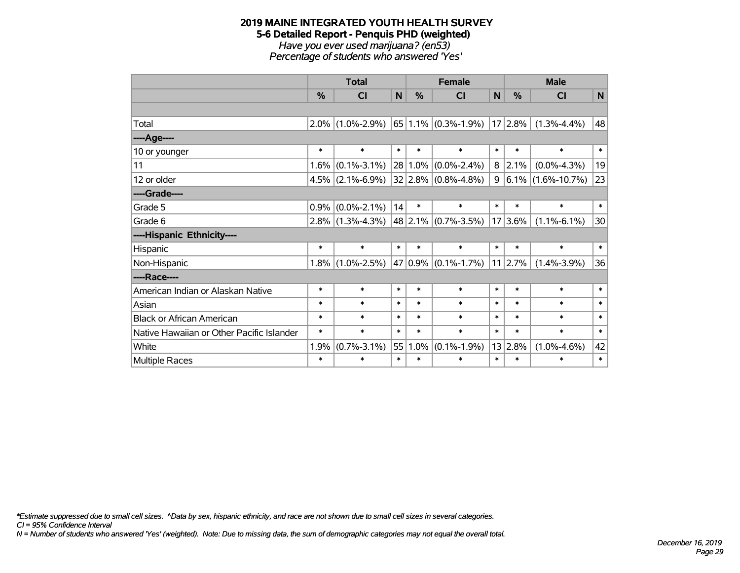#### **2019 MAINE INTEGRATED YOUTH HEALTH SURVEY 5-6 Detailed Report - Penquis PHD (weighted)** *Have you ever used marijuana? (en53) Percentage of students who answered 'Yes'*

|                                           | <b>Total</b>  |                     |        |               | <b>Female</b>                        |        | <b>Male</b>   |                        |        |  |
|-------------------------------------------|---------------|---------------------|--------|---------------|--------------------------------------|--------|---------------|------------------------|--------|--|
|                                           | $\frac{0}{0}$ | <b>CI</b>           | N      | $\frac{0}{0}$ | CI                                   | N      | $\frac{0}{0}$ | <b>CI</b>              | N      |  |
|                                           |               |                     |        |               |                                      |        |               |                        |        |  |
| Total                                     | $2.0\%$       | $(1.0\% - 2.9\%)$   |        |               | $ 65 1.1\% $ (0.3%-1.9%)   17   2.8% |        |               | $(1.3\% - 4.4\%)$      | 48     |  |
| ----Age----                               |               |                     |        |               |                                      |        |               |                        |        |  |
| 10 or younger                             | $\ast$        | $\ast$              | $\ast$ | $\ast$        | $\ast$                               | $\ast$ | $\ast$        | $\ast$                 | $\ast$ |  |
| 11                                        | $1.6\%$       | $(0.1\% - 3.1\%)$   |        | $28 1.0\%$    | $(0.0\% - 2.4\%)$                    | 8      | 2.1%          | $(0.0\% - 4.3\%)$      | 19     |  |
| 12 or older                               | $4.5\%$       | $(2.1\% - 6.9\%)$   |        |               | $ 32 2.8\% $ (0.8%-4.8%)             | 9      |               | $ 6.1\% $ (1.6%-10.7%) | 23     |  |
| ----Grade----                             |               |                     |        |               |                                      |        |               |                        |        |  |
| Grade 5                                   | 0.9%          | $(0.0\% - 2.1\%)$   | 14     | $\ast$        | $\ast$                               | $\ast$ | $\ast$        | $\ast$                 | $\ast$ |  |
| Grade 6                                   |               | $2.8\%$ (1.3%-4.3%) |        |               | $48$ 2.1% (0.7%-3.5%)                |        | 17 3.6%       | $(1.1\% - 6.1\%)$      | 30     |  |
| ----Hispanic Ethnicity----                |               |                     |        |               |                                      |        |               |                        |        |  |
| Hispanic                                  | $\ast$        | $\ast$              | $\ast$ | $\ast$        | $\ast$                               | $\ast$ | $\ast$        | $\ast$                 | $\ast$ |  |
| Non-Hispanic                              | $1.8\%$       | $(1.0\% - 2.5\%)$   |        |               | $47 0.9\% $ (0.1%-1.7%)              |        | $11$   2.7%   | $(1.4\% - 3.9\%)$      | 36     |  |
| ----Race----                              |               |                     |        |               |                                      |        |               |                        |        |  |
| American Indian or Alaskan Native         | $\ast$        | $\ast$              | $\ast$ | $\ast$        | $\ast$                               | $\ast$ | $\ast$        | $\ast$                 | $\ast$ |  |
| Asian                                     | $\ast$        | $\ast$              | $\ast$ | $\ast$        | $\ast$                               | $\ast$ | $\ast$        | $\ast$                 | $\ast$ |  |
| <b>Black or African American</b>          | $\ast$        | $\ast$              | $\ast$ | $\ast$        | $\ast$                               | $\ast$ | $\ast$        | $\ast$                 | $\ast$ |  |
| Native Hawaiian or Other Pacific Islander | $\ast$        | $\ast$              | $\ast$ | $\ast$        | $\ast$                               | $\ast$ | $\ast$        | $\ast$                 | $\ast$ |  |
| White                                     | 1.9%          | $(0.7\% - 3.1\%)$   | 55     | 1.0%          | $(0.1\% - 1.9\%)$                    |        | 13 2.8%       | $(1.0\% - 4.6\%)$      | 42     |  |
| Multiple Races                            | $\ast$        | $\ast$              | $\ast$ | $\ast$        | $\ast$                               | $\ast$ | $\ast$        | $\ast$                 | $\ast$ |  |

*\*Estimate suppressed due to small cell sizes. ^Data by sex, hispanic ethnicity, and race are not shown due to small cell sizes in several categories.*

*CI = 95% Confidence Interval*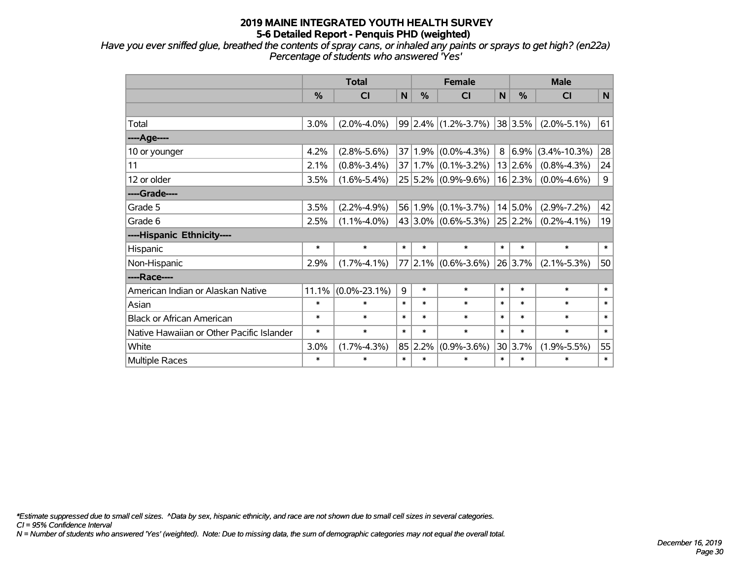*Have you ever sniffed glue, breathed the contents of spray cans, or inhaled any paints or sprays to get high? (en22a) Percentage of students who answered 'Yes'*

|                                           | <b>Total</b>  |                    |        |               | <b>Female</b>               |             | <b>Male</b> |                    |        |  |
|-------------------------------------------|---------------|--------------------|--------|---------------|-----------------------------|-------------|-------------|--------------------|--------|--|
|                                           | $\frac{0}{0}$ | <b>CI</b>          | N      | $\frac{0}{0}$ | СI                          | $\mathbf N$ | $\%$        | <b>CI</b>          | N      |  |
|                                           |               |                    |        |               |                             |             |             |                    |        |  |
| Total                                     | 3.0%          | $(2.0\% - 4.0\%)$  |        |               | $99 2.4\% $ (1.2%-3.7%)     |             | 38 3.5%     | $(2.0\% - 5.1\%)$  | 61     |  |
| ----Age----                               |               |                    |        |               |                             |             |             |                    |        |  |
| 10 or younger                             | 4.2%          | $(2.8\% - 5.6\%)$  |        | 37 1.9%       | $(0.0\% - 4.3\%)$           | 8           | 6.9%        | $(3.4\% - 10.3\%)$ | 28     |  |
| 11                                        | 2.1%          | $(0.8\% - 3.4\%)$  |        |               | $37 1.7\% $ (0.1%-3.2%)     |             | 13 2.6%     | $(0.8\% - 4.3\%)$  | 24     |  |
| 12 or older                               | 3.5%          | $(1.6\% - 5.4\%)$  |        |               | $25 5.2\% $ (0.9%-9.6%)     |             | 16 2.3%     | $(0.0\% - 4.6\%)$  | 9      |  |
| ----Grade----                             |               |                    |        |               |                             |             |             |                    |        |  |
| Grade 5                                   | 3.5%          | $(2.2\% - 4.9\%)$  |        |               | $56 1.9\% $ (0.1%-3.7%)     |             | $14 5.0\%$  | $(2.9\% - 7.2\%)$  | 42     |  |
| Grade 6                                   | 2.5%          | $(1.1\% - 4.0\%)$  |        |               | $43 3.0\% $ (0.6%-5.3%)     |             | 25 2.2%     | $(0.2\% - 4.1\%)$  | 19     |  |
| ----Hispanic Ethnicity----                |               |                    |        |               |                             |             |             |                    |        |  |
| Hispanic                                  | $\ast$        | $\ast$             | $\ast$ | $\ast$        | $\ast$                      | $\ast$      | $\ast$      | $\ast$             | $\ast$ |  |
| Non-Hispanic                              | 2.9%          | $(1.7\% - 4.1\%)$  |        |               | $77$ 2.1% $(0.6\% - 3.6\%)$ |             | 26 3.7%     | $(2.1\% - 5.3\%)$  | 50     |  |
| ----Race----                              |               |                    |        |               |                             |             |             |                    |        |  |
| American Indian or Alaskan Native         | 11.1%         | $(0.0\% - 23.1\%)$ | 9      | $\ast$        | $\ast$                      | $\ast$      | $\ast$      | $\ast$             | $\ast$ |  |
| Asian                                     | $\ast$        | $\ast$             | $\ast$ | $\ast$        | $\ast$                      | $\ast$      | $\ast$      | $\ast$             | $\ast$ |  |
| <b>Black or African American</b>          | $\ast$        | $\ast$             | $\ast$ | $\ast$        | $\ast$                      | $\ast$      | $\ast$      | $\ast$             | $\ast$ |  |
| Native Hawaiian or Other Pacific Islander | $\ast$        | $\ast$             | $\ast$ | $\ast$        | $\ast$                      | $\ast$      | $\ast$      | $\ast$             | $\ast$ |  |
| White                                     | 3.0%          | $(1.7\% - 4.3\%)$  |        | 85 2.2%       | $(0.9\% - 3.6\%)$           |             | 30 3.7%     | $(1.9\% - 5.5\%)$  | 55     |  |
| Multiple Races                            | $\ast$        | $\ast$             | $\ast$ | $\ast$        | $\ast$                      | $\ast$      | $\ast$      | $\ast$             | $\ast$ |  |

*\*Estimate suppressed due to small cell sizes. ^Data by sex, hispanic ethnicity, and race are not shown due to small cell sizes in several categories.*

*CI = 95% Confidence Interval*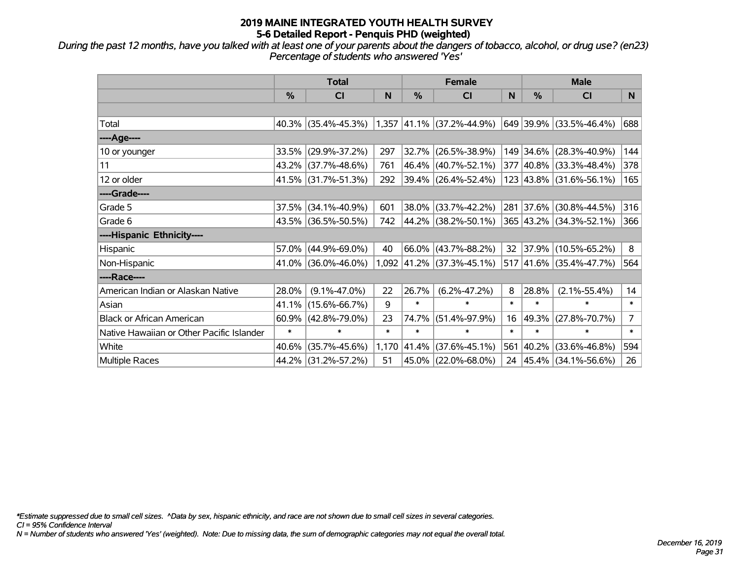*During the past 12 months, have you talked with at least one of your parents about the dangers of tobacco, alcohol, or drug use? (en23) Percentage of students who answered 'Yes'*

|                                           | <b>Total</b>  |                     |        | <b>Female</b> | <b>Male</b>                 |        |               |                         |                |
|-------------------------------------------|---------------|---------------------|--------|---------------|-----------------------------|--------|---------------|-------------------------|----------------|
|                                           | $\frac{0}{0}$ | <b>CI</b>           | N      | %             | CI                          | N      | $\frac{0}{0}$ | <b>CI</b>               | N              |
|                                           |               |                     |        |               |                             |        |               |                         |                |
| Total                                     |               | 40.3% (35.4%-45.3%) |        |               | $1,357$ 41.1% (37.2%-44.9%) |        |               | 649 39.9% (33.5%-46.4%) | 688            |
| ----Age----                               |               |                     |        |               |                             |        |               |                         |                |
| 10 or younger                             | 33.5%         | $(29.9\% - 37.2\%)$ | 297    | 32.7%         | $(26.5\% - 38.9\%)$         |        |               | 149 34.6% (28.3%-40.9%) | 144            |
| 11                                        |               | 43.2% (37.7%-48.6%) | 761    | 46.4%         | $(40.7\% - 52.1\%)$         |        |               | 377 40.8% (33.3%-48.4%) | 378            |
| 12 or older                               |               | 41.5% (31.7%-51.3%) | 292    |               | $ 39.4\% $ (26.4%-52.4%)    |        |               | 123 43.8% (31.6%-56.1%) | 165            |
| ----Grade----                             |               |                     |        |               |                             |        |               |                         |                |
| Grade 5                                   | 37.5%         | $(34.1\% - 40.9\%)$ | 601    | 38.0%         | $(33.7\% - 42.2\%)$         |        |               | 281 37.6% (30.8%-44.5%) | 316            |
| Grade 6                                   |               | 43.5% (36.5%-50.5%) | 742    |               | 44.2% (38.2%-50.1%)         |        |               | 365 43.2% (34.3%-52.1%) | 366            |
| ----Hispanic Ethnicity----                |               |                     |        |               |                             |        |               |                         |                |
| Hispanic                                  | 57.0%         | $(44.9\% - 69.0\%)$ | 40     | 66.0%         | $(43.7\% - 88.2\%)$         | 32     |               | 37.9% (10.5%-65.2%)     | 8              |
| Non-Hispanic                              |               | 41.0% (36.0%-46.0%) |        |               | $1,092$ 41.2% (37.3%-45.1%) |        |               | 517 41.6% (35.4%-47.7%) | 564            |
| ----Race----                              |               |                     |        |               |                             |        |               |                         |                |
| American Indian or Alaskan Native         | 28.0%         | $(9.1\% - 47.0\%)$  | 22     | 26.7%         | $(6.2\% - 47.2\%)$          | 8      | 28.8%         | $(2.1\% - 55.4\%)$      | 14             |
| Asian                                     | 41.1%         | $(15.6\% - 66.7\%)$ | 9      | $\ast$        | $\ast$                      | $\ast$ | $\ast$        | $\ast$                  | $\ast$         |
| <b>Black or African American</b>          | 60.9%         | $(42.8\% - 79.0\%)$ | 23     | 74.7%         | $(51.4\% - 97.9\%)$         | 16     | 49.3%         | $(27.8\% - 70.7\%)$     | $\overline{7}$ |
| Native Hawaiian or Other Pacific Islander | $\ast$        | $\ast$              | $\ast$ | $\ast$        | $\ast$                      | $\ast$ | $\ast$        | $\ast$                  | $\ast$         |
| White                                     | 40.6%         | $(35.7\% - 45.6\%)$ | 1,170  | 41.4%         | $(37.6\% - 45.1\%)$         | 561    | 40.2%         | $(33.6\% - 46.8\%)$     | 594            |
| Multiple Races                            |               | 44.2% (31.2%-57.2%) | 51     |               | 45.0% (22.0%-68.0%)         | 24     |               | 45.4%   (34.1%-56.6%)   | 26             |

*\*Estimate suppressed due to small cell sizes. ^Data by sex, hispanic ethnicity, and race are not shown due to small cell sizes in several categories.*

*CI = 95% Confidence Interval*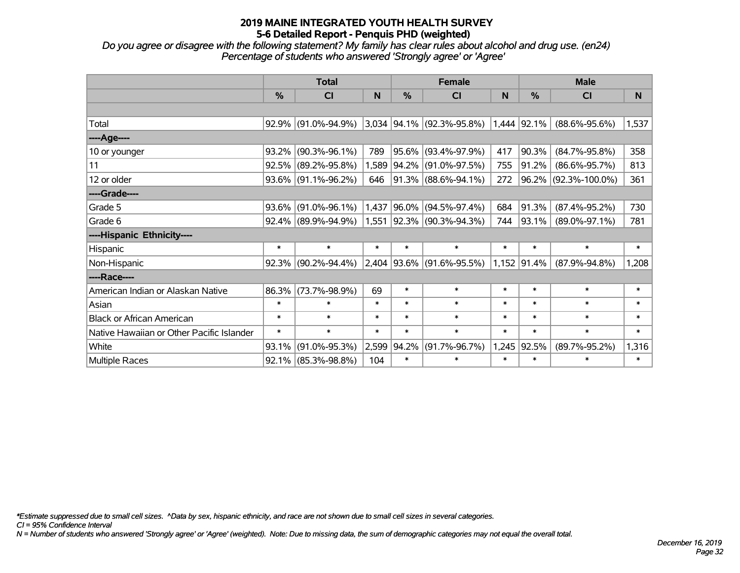*Do you agree or disagree with the following statement? My family has clear rules about alcohol and drug use. (en24) Percentage of students who answered 'Strongly agree' or 'Agree'*

|                                           | <b>Total</b>  |                        |        |               | <b>Female</b>                 |        | <b>Male</b> |                      |        |  |
|-------------------------------------------|---------------|------------------------|--------|---------------|-------------------------------|--------|-------------|----------------------|--------|--|
|                                           | $\frac{9}{6}$ | CI                     | N      | $\frac{0}{0}$ | <b>CI</b>                     | N      | $\%$        | <b>CI</b>            | N      |  |
|                                           |               |                        |        |               |                               |        |             |                      |        |  |
| Total                                     |               | 92.9% (91.0%-94.9%)    |        |               | $3,034$ 94.1% (92.3%-95.8%)   |        | 1,444 92.1% | $(88.6\% - 95.6\%)$  | 1,537  |  |
| ----Age----                               |               |                        |        |               |                               |        |             |                      |        |  |
| 10 or younger                             | 93.2%         | $(90.3\% - 96.1\%)$    | 789    | 95.6%         | $(93.4\% - 97.9\%)$           | 417    | 90.3%       | $(84.7\% - 95.8\%)$  | 358    |  |
| 11                                        |               | 92.5% (89.2%-95.8%)    |        | 1,589 94.2%   | $(91.0\% - 97.5\%)$           | 755    | 91.2%       | $(86.6\% - 95.7\%)$  | 813    |  |
| 12 or older                               |               | 93.6% (91.1%-96.2%)    | 646    |               | 91.3% (88.6%-94.1%)           | 272    |             | 96.2% (92.3%-100.0%) | 361    |  |
| ----Grade----                             |               |                        |        |               |                               |        |             |                      |        |  |
| Grade 5                                   | 93.6%         | $(91.0\% - 96.1\%)$    | 1,437  | $ 96.0\%$     | $(94.5\% - 97.4\%)$           | 684    | 91.3%       | $(87.4\% - 95.2\%)$  | 730    |  |
| Grade 6                                   |               | $92.4\%$ (89.9%-94.9%) |        |               | $1,551$  92.3%  (90.3%-94.3%) | 744    | 93.1%       | $(89.0\% - 97.1\%)$  | 781    |  |
| ----Hispanic Ethnicity----                |               |                        |        |               |                               |        |             |                      |        |  |
| Hispanic                                  | $\ast$        | $\ast$                 | $\ast$ | $\ast$        | $\ast$                        | $\ast$ | $\ast$      | $\ast$               | $\ast$ |  |
| Non-Hispanic                              |               | $92.3\%$ (90.2%-94.4%) |        |               | $2,404$ 93.6% (91.6%-95.5%)   |        | 1,152 91.4% | $(87.9\% - 94.8\%)$  | 1,208  |  |
| ----Race----                              |               |                        |        |               |                               |        |             |                      |        |  |
| American Indian or Alaskan Native         | 86.3%         | $(73.7\% - 98.9\%)$    | 69     | $\ast$        | $\ast$                        | $\ast$ | $\ast$      | $\ast$               | $\ast$ |  |
| Asian                                     | $\ast$        | $\ast$                 | $\ast$ | $\ast$        | $\ast$                        | $\ast$ | $\ast$      | $\ast$               | $\ast$ |  |
| <b>Black or African American</b>          | $\ast$        | $\ast$                 | $\ast$ | $\ast$        | $\ast$                        | $\ast$ | $\ast$      | $\ast$               | $\ast$ |  |
| Native Hawaiian or Other Pacific Islander | $\ast$        | $\ast$                 | $\ast$ | $\ast$        | $\ast$                        | $\ast$ | $\ast$      | $\ast$               | $\ast$ |  |
| White                                     | 93.1%         | $(91.0\% - 95.3\%)$    | 2,599  | 94.2%         | $(91.7\% - 96.7\%)$           | 1,245  | 92.5%       | $(89.7\% - 95.2\%)$  | 1,316  |  |
| <b>Multiple Races</b>                     |               | $92.1\%$ (85.3%-98.8%) | 104    | $\ast$        | $\ast$                        | $\ast$ | $\ast$      | $\ast$               | $\ast$ |  |

*\*Estimate suppressed due to small cell sizes. ^Data by sex, hispanic ethnicity, and race are not shown due to small cell sizes in several categories.*

*CI = 95% Confidence Interval*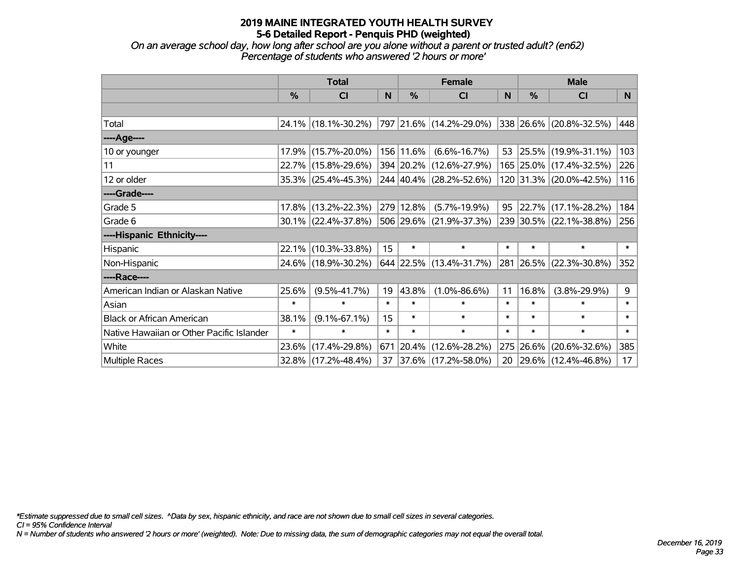*On an average school day, how long after school are you alone without a parent or trusted adult? (en62) Percentage of students who answered '2 hours or more'*

|                                           | <b>Total</b> |                                             |        | <b>Female</b> | <b>Male</b>                        |        |          |                         |        |
|-------------------------------------------|--------------|---------------------------------------------|--------|---------------|------------------------------------|--------|----------|-------------------------|--------|
|                                           | $\%$         | <b>CI</b>                                   | N      | $\%$          | <b>CI</b>                          | N      | $\%$     | <b>CI</b>               | N      |
|                                           |              |                                             |        |               |                                    |        |          |                         |        |
| Total                                     |              | 24.1% (18.1%-30.2%) 797 21.6% (14.2%-29.0%) |        |               |                                    |        |          | 338 26.6% (20.8%-32.5%) | 448    |
| ----Age----                               |              |                                             |        |               |                                    |        |          |                         |        |
| 10 or younger                             | 17.9%        | $(15.7\% - 20.0\%)$                         |        | 156 11.6%     | $(6.6\% - 16.7\%)$                 |        | 53 25.5% | $(19.9\% - 31.1\%)$     | 103    |
| 11                                        |              | 22.7% (15.8%-29.6%)                         |        |               | 394 20.2% (12.6%-27.9%)            |        |          | 165 25.0% (17.4%-32.5%) | 226    |
| 12 or older                               |              | 35.3% (25.4%-45.3%)                         |        |               | $244   40.4\%   (28.2\% - 52.6\%)$ |        |          | 120 31.3% (20.0%-42.5%) | 116    |
| ----Grade----                             |              |                                             |        |               |                                    |        |          |                         |        |
| Grade 5                                   |              | 17.8% (13.2%-22.3%)                         |        | 279 12.8%     | $(5.7\% - 19.9\%)$                 |        | 95 22.7% | $(17.1\% - 28.2\%)$     | 184    |
| Grade 6                                   |              | 30.1% (22.4%-37.8%)                         |        |               | $ 506 29.6\% $ (21.9%-37.3%)       |        |          | 239 30.5% (22.1%-38.8%) | 256    |
| ----Hispanic Ethnicity----                |              |                                             |        |               |                                    |        |          |                         |        |
| Hispanic                                  |              | 22.1% (10.3%-33.8%)                         | 15     | $\ast$        | $\ast$                             | $\ast$ | $\ast$   | $\ast$                  | $\ast$ |
| Non-Hispanic                              |              | 24.6% (18.9%-30.2%)                         |        |               | 644 22.5% (13.4%-31.7%)            |        |          | 281 26.5% (22.3%-30.8%) | 352    |
| ----Race----                              |              |                                             |        |               |                                    |        |          |                         |        |
| American Indian or Alaskan Native         | 25.6%        | $(9.5\% - 41.7\%)$                          | 19     | 43.8%         | $(1.0\% - 86.6\%)$                 | 11     | 16.8%    | $(3.8\% - 29.9\%)$      | 9      |
| Asian                                     | $\ast$       | $\ast$                                      | $\ast$ | $\ast$        | $\ast$                             | $\ast$ | $\ast$   | $\ast$                  | $\ast$ |
| <b>Black or African American</b>          | 38.1%        | $(9.1\% - 67.1\%)$                          | 15     | $\ast$        | $\ast$                             | $\ast$ | $\ast$   | $\ast$                  | $\ast$ |
| Native Hawaiian or Other Pacific Islander | $\ast$       | $\ast$                                      | $\ast$ | $\ast$        | $\ast$                             | $\ast$ | $\ast$   | $\ast$                  | $\ast$ |
| White                                     | $23.6\%$     | $(17.4\% - 29.8\%)$                         | 671    |               | $ 20.4\% $ (12.6%-28.2%)           | 275    | 26.6%    | $(20.6\% - 32.6\%)$     | 385    |
| Multiple Races                            |              | 32.8% (17.2%-48.4%)                         | 37     |               | $ 37.6\% $ (17.2%-58.0%)           |        |          | 20 29.6% (12.4%-46.8%)  | 17     |

*\*Estimate suppressed due to small cell sizes. ^Data by sex, hispanic ethnicity, and race are not shown due to small cell sizes in several categories.*

*CI = 95% Confidence Interval*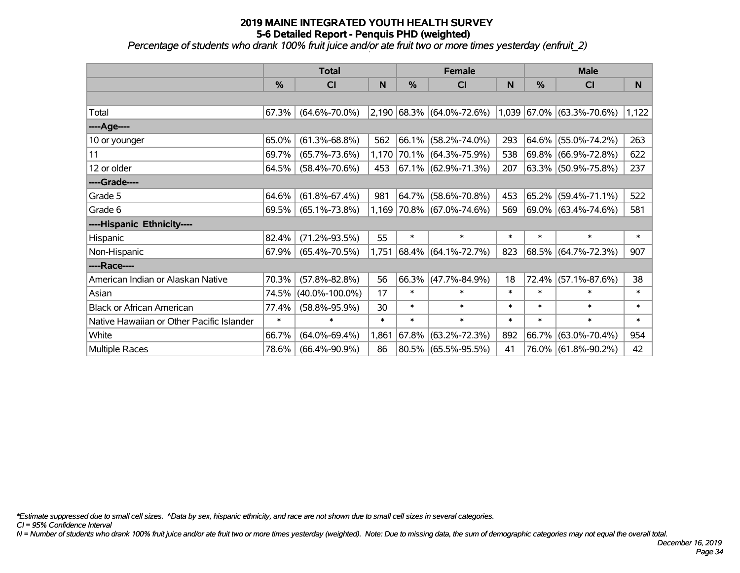*Percentage of students who drank 100% fruit juice and/or ate fruit two or more times yesterday (enfruit\_2)*

|                                           | <b>Total</b>  |                      |        |               | <b>Female</b>               |        | <b>Male</b>   |                             |        |  |
|-------------------------------------------|---------------|----------------------|--------|---------------|-----------------------------|--------|---------------|-----------------------------|--------|--|
|                                           | $\frac{9}{6}$ | C <sub>l</sub>       | N      | $\frac{0}{0}$ | CI                          | N      | $\frac{0}{0}$ | CI                          | N      |  |
|                                           |               |                      |        |               |                             |        |               |                             |        |  |
| Total                                     | 67.3%         | $(64.6\% - 70.0\%)$  |        |               | $2,190$ 68.3% (64.0%-72.6%) |        |               | $1,039$ 67.0% (63.3%-70.6%) | 1,122  |  |
| ----Age----                               |               |                      |        |               |                             |        |               |                             |        |  |
| 10 or younger                             | 65.0%         | $(61.3\% - 68.8\%)$  | 562    |               | 66.1% (58.2%-74.0%)         | 293    | $64.6\%$      | $(55.0\% - 74.2\%)$         | 263    |  |
| 11                                        | 69.7%         | $(65.7\% - 73.6\%)$  | 1,170  |               | 70.1% (64.3%-75.9%)         | 538    |               | 69.8% (66.9%-72.8%)         | 622    |  |
| 12 or older                               | 64.5%         | $(58.4\% - 70.6\%)$  | 453    |               | $67.1\%$ (62.9%-71.3%)      | 207    |               | 63.3% (50.9%-75.8%)         | 237    |  |
| ----Grade----                             |               |                      |        |               |                             |        |               |                             |        |  |
| Grade 5                                   | 64.6%         | $(61.8\% - 67.4\%)$  | 981    |               | 64.7% (58.6%-70.8%)         | 453    |               | $65.2\%$ (59.4%-71.1%)      | 522    |  |
| Grade 6                                   | 69.5%         | $(65.1\% - 73.8\%)$  |        |               | 1,169 70.8% (67.0%-74.6%)   | 569    |               | 69.0% (63.4%-74.6%)         | 581    |  |
| ----Hispanic Ethnicity----                |               |                      |        |               |                             |        |               |                             |        |  |
| Hispanic                                  | 82.4%         | $(71.2\% - 93.5\%)$  | 55     | $\ast$        | $\ast$                      | $\ast$ | $\ast$        | $\ast$                      | $\ast$ |  |
| Non-Hispanic                              | 67.9%         | $(65.4\% - 70.5\%)$  | 1,751  |               | 68.4% (64.1%-72.7%)         | 823    |               | 68.5% (64.7%-72.3%)         | 907    |  |
| ----Race----                              |               |                      |        |               |                             |        |               |                             |        |  |
| American Indian or Alaskan Native         | 70.3%         | $(57.8\% - 82.8\%)$  | 56     |               | 66.3% (47.7%-84.9%)         | 18     | 72.4%         | $(57.1\% - 87.6\%)$         | 38     |  |
| Asian                                     | 74.5%         | $(40.0\% - 100.0\%)$ | 17     | $\ast$        | $\ast$                      | $\ast$ | $\ast$        | *                           | $\ast$ |  |
| <b>Black or African American</b>          | 77.4%         | $(58.8\% - 95.9\%)$  | 30     | $\ast$        | $\ast$                      | $\ast$ | $\ast$        | $\ast$                      | $\ast$ |  |
| Native Hawaiian or Other Pacific Islander | $\ast$        | $\ast$               | $\ast$ | $\ast$        | $\ast$                      | $\ast$ | $\ast$        | $\ast$                      | $\ast$ |  |
| White                                     | 66.7%         | $(64.0\% - 69.4\%)$  | 1,861  | 67.8%         | $(63.2\% - 72.3\%)$         | 892    | 66.7%         | $(63.0\% - 70.4\%)$         | 954    |  |
| Multiple Races                            | 78.6%         | $(66.4\% - 90.9\%)$  | 86     |               | $80.5\%$ (65.5%-95.5%)      | 41     |               | 76.0% (61.8%-90.2%)         | 42     |  |

*\*Estimate suppressed due to small cell sizes. ^Data by sex, hispanic ethnicity, and race are not shown due to small cell sizes in several categories.*

*CI = 95% Confidence Interval*

*N = Number of students who drank 100% fruit juice and/or ate fruit two or more times yesterday (weighted). Note: Due to missing data, the sum of demographic categories may not equal the overall total.*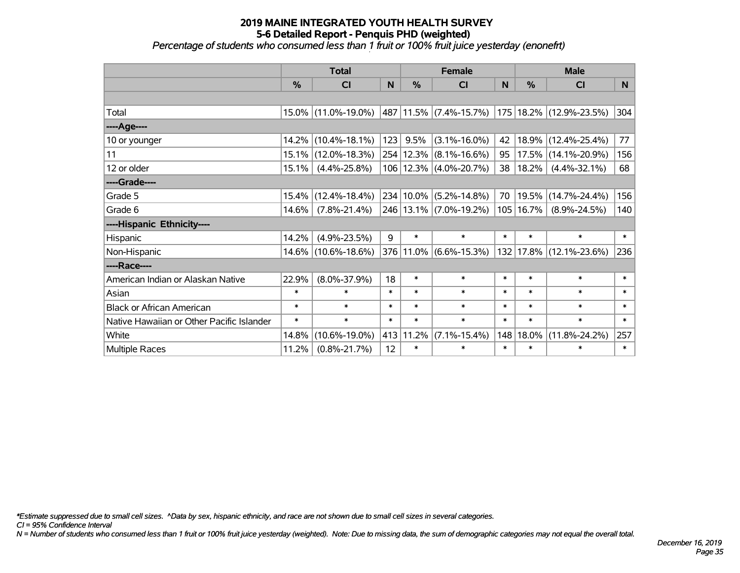#### **2019 MAINE INTEGRATED YOUTH HEALTH SURVEY 5-6 Detailed Report - Penquis PHD (weighted)** *Percentage of students who consumed less than 1 fruit or 100% fruit juice yesterday (enonefrt)*

|                                           | <b>Total</b> |                     |        |               | <b>Female</b>              |        | <b>Male</b> |                     |        |  |
|-------------------------------------------|--------------|---------------------|--------|---------------|----------------------------|--------|-------------|---------------------|--------|--|
|                                           | %            | <b>CI</b>           | N      | $\frac{0}{0}$ | <b>CI</b>                  | N      | %           | <b>CI</b>           | N      |  |
|                                           |              |                     |        |               |                            |        |             |                     |        |  |
| Total                                     |              | 15.0% (11.0%-19.0%) |        |               | 487 11.5% (7.4%-15.7%)     | 175    |             | 18.2% (12.9%-23.5%) | 304    |  |
| ----Age----                               |              |                     |        |               |                            |        |             |                     |        |  |
| 10 or younger                             | 14.2%        | $(10.4\% - 18.1\%)$ | 123    | 9.5%          | $(3.1\% - 16.0\%)$         | 42     | 18.9%       | $(12.4\% - 25.4\%)$ | 77     |  |
| 11                                        | 15.1%        | $(12.0\% - 18.3\%)$ |        | 254 12.3%     | $(8.1\% - 16.6\%)$         | 95     | 17.5%       | $(14.1\% - 20.9\%)$ | 156    |  |
| 12 or older                               | 15.1%        | $(4.4\% - 25.8\%)$  |        |               | 106   12.3%   (4.0%-20.7%) | 38     | 18.2%       | $(4.4\% - 32.1\%)$  | 68     |  |
| ----Grade----                             |              |                     |        |               |                            |        |             |                     |        |  |
| Grade 5                                   | 15.4%        | $(12.4\% - 18.4\%)$ |        | 234 10.0%     | $(5.2\% - 14.8\%)$         | 70     | 19.5%       | $(14.7\% - 24.4\%)$ | 156    |  |
| Grade 6                                   | 14.6%        | $(7.8\% - 21.4\%)$  |        |               | 246 13.1% (7.0%-19.2%)     | 105    | 16.7%       | $(8.9\% - 24.5\%)$  | 140    |  |
| ----Hispanic Ethnicity----                |              |                     |        |               |                            |        |             |                     |        |  |
| Hispanic                                  | 14.2%        | $(4.9\% - 23.5\%)$  | 9      | $\ast$        | $\ast$                     | $\ast$ | $\ast$      | $\ast$              | $\ast$ |  |
| Non-Hispanic                              |              | 14.6% (10.6%-18.6%) |        |               | 376 11.0% (6.6%-15.3%)     | 132    |             | 17.8% (12.1%-23.6%) | 236    |  |
| ----Race----                              |              |                     |        |               |                            |        |             |                     |        |  |
| American Indian or Alaskan Native         | 22.9%        | $(8.0\% - 37.9\%)$  | 18     | $\ast$        | $\ast$                     | $\ast$ | $\ast$      | $\ast$              | $\ast$ |  |
| Asian                                     | $\ast$       | $\ast$              | $\ast$ | $\ast$        | $\ast$                     | $\ast$ | $\ast$      | $\ast$              | $\ast$ |  |
| <b>Black or African American</b>          | $\ast$       | $\ast$              | $\ast$ | $\ast$        | $\ast$                     | $\ast$ | $\ast$      | $\ast$              | $\ast$ |  |
| Native Hawaiian or Other Pacific Islander | $\ast$       | $\ast$              | $\ast$ | $\ast$        | $\ast$                     | $\ast$ | $\ast$      | $\ast$              | $\ast$ |  |
| White                                     | 14.8%        | $(10.6\% - 19.0\%)$ |        | 413 11.2%     | $(7.1\% - 15.4\%)$         | 148    | 18.0%       | $(11.8\% - 24.2\%)$ | 257    |  |
| <b>Multiple Races</b>                     | 11.2%        | $(0.8\% - 21.7\%)$  | 12     | $\ast$        | $\ast$                     | $\ast$ | $\ast$      | $\ast$              | $\ast$ |  |

*\*Estimate suppressed due to small cell sizes. ^Data by sex, hispanic ethnicity, and race are not shown due to small cell sizes in several categories.*

*CI = 95% Confidence Interval*

*N = Number of students who consumed less than 1 fruit or 100% fruit juice yesterday (weighted). Note: Due to missing data, the sum of demographic categories may not equal the overall total.*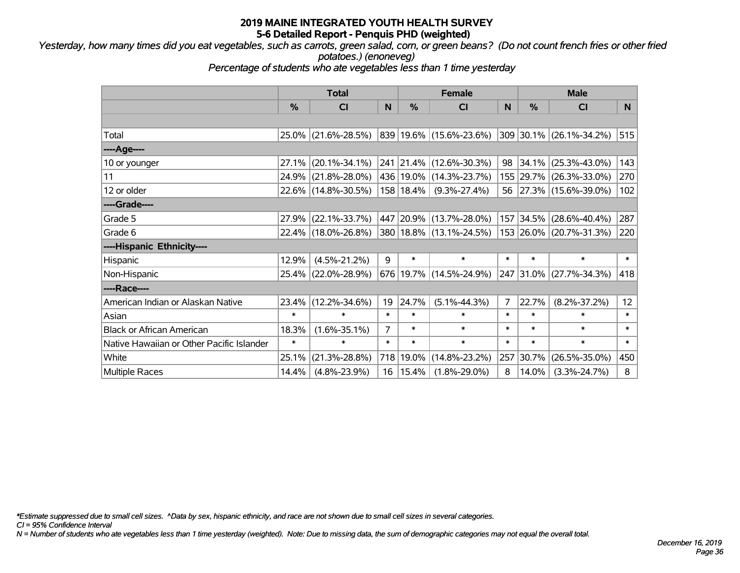*Yesterday, how many times did you eat vegetables, such as carrots, green salad, corn, or green beans? (Do not count french fries or other fried potatoes.) (enoneveg)*

*Percentage of students who ate vegetables less than 1 time yesterday*

|                                           | <b>Total</b>  |                     |        |             | <b>Female</b>               |        | <b>Male</b> |                         |                 |  |
|-------------------------------------------|---------------|---------------------|--------|-------------|-----------------------------|--------|-------------|-------------------------|-----------------|--|
|                                           | $\frac{0}{0}$ | <b>CI</b>           | N      | $\%$        | <b>CI</b>                   | N      | $\%$        | <b>CI</b>               | N.              |  |
|                                           |               |                     |        |             |                             |        |             |                         |                 |  |
| Total                                     |               | 25.0% (21.6%-28.5%) |        |             | 839 19.6% (15.6%-23.6%)     |        |             | 309 30.1% (26.1%-34.2%) | 515             |  |
| ----Age----                               |               |                     |        |             |                             |        |             |                         |                 |  |
| 10 or younger                             | 27.1%         | $(20.1\% - 34.1\%)$ |        |             | 241 21.4% (12.6%-30.3%)     | 98     | $ 34.1\% $  | $(25.3\% - 43.0\%)$     | 143             |  |
| 11                                        |               | 24.9% (21.8%-28.0%) |        |             | 436 19.0% (14.3%-23.7%)     |        |             | 155 29.7% (26.3%-33.0%) | 270             |  |
| 12 or older                               |               | 22.6% (14.8%-30.5%) |        | 158   18.4% | $(9.3\% - 27.4\%)$          |        |             | 56 27.3% (15.6%-39.0%)  | 102             |  |
| ----Grade----                             |               |                     |        |             |                             |        |             |                         |                 |  |
| Grade 5                                   | 27.9%         | $(22.1\% - 33.7\%)$ |        |             | 447 20.9% (13.7%-28.0%)     |        | 157 34.5%   | $(28.6\% - 40.4\%)$     | 287             |  |
| Grade 6                                   |               | 22.4% (18.0%-26.8%) |        |             | 380   18.8%   (13.1%-24.5%) |        |             | 153 26.0% (20.7%-31.3%) | 220             |  |
| ----Hispanic Ethnicity----                |               |                     |        |             |                             |        |             |                         |                 |  |
| Hispanic                                  | 12.9%         | $(4.5\% - 21.2\%)$  | 9      | $\ast$      | $\ast$                      | $\ast$ | $\ast$      | $\ast$                  | $\ast$          |  |
| Non-Hispanic                              |               | 25.4% (22.0%-28.9%) |        |             | 676 19.7% (14.5%-24.9%)     |        | 247 31.0%   | $(27.7\% - 34.3\%)$     | 418             |  |
| ----Race----                              |               |                     |        |             |                             |        |             |                         |                 |  |
| American Indian or Alaskan Native         |               | 23.4% (12.2%-34.6%) | 19     | 24.7%       | $(5.1\% - 44.3\%)$          | 7      | 22.7%       | $(8.2\% - 37.2\%)$      | 12 <sup>2</sup> |  |
| Asian                                     | $\ast$        | $\ast$              | $\ast$ | $\ast$      | $\ast$                      | $\ast$ | $\ast$      | $\ast$                  | $\ast$          |  |
| <b>Black or African American</b>          | 18.3%         | $(1.6\% - 35.1\%)$  | 7      | $\ast$      | $\ast$                      | $\ast$ | $\ast$      | $\ast$                  | $\ast$          |  |
| Native Hawaiian or Other Pacific Islander | $\ast$        | $\ast$              | $\ast$ | $\ast$      | $\ast$                      | $\ast$ | $\ast$      | $\ast$                  | $\ast$          |  |
| White                                     | 25.1%         | $(21.3\% - 28.8\%)$ | 718    | 19.0%       | $(14.8\% - 23.2\%)$         | 257    | 30.7%       | $(26.5\% - 35.0\%)$     | 450             |  |
| <b>Multiple Races</b>                     | 14.4%         | $(4.8\% - 23.9\%)$  | 16     | 15.4%       | $(1.8\% - 29.0\%)$          | 8      | 14.0%       | $(3.3\% - 24.7\%)$      | 8               |  |

*\*Estimate suppressed due to small cell sizes. ^Data by sex, hispanic ethnicity, and race are not shown due to small cell sizes in several categories.*

*CI = 95% Confidence Interval*

*N = Number of students who ate vegetables less than 1 time yesterday (weighted). Note: Due to missing data, the sum of demographic categories may not equal the overall total.*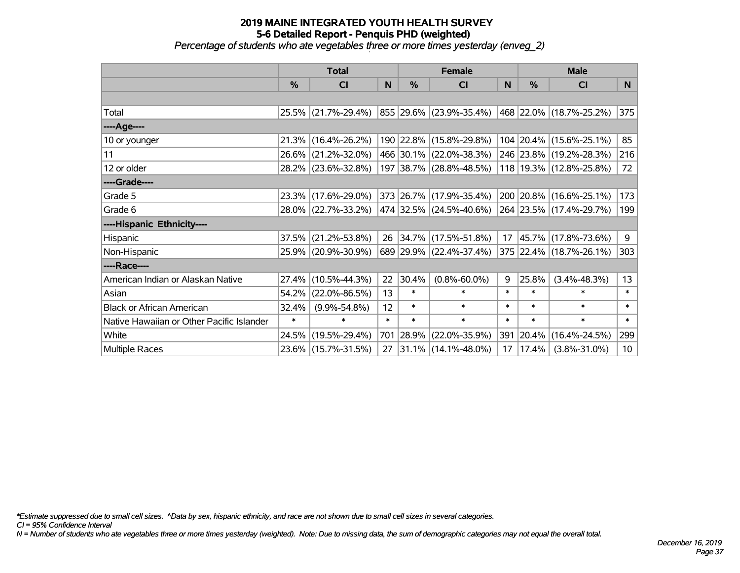*Percentage of students who ate vegetables three or more times yesterday (enveg\_2)*

|                                           | <b>Total</b>  |                     |        | <b>Female</b> | <b>Male</b>                 |        |        |                         |        |
|-------------------------------------------|---------------|---------------------|--------|---------------|-----------------------------|--------|--------|-------------------------|--------|
|                                           | $\frac{0}{0}$ | <b>CI</b>           | N      | %             | <b>CI</b>                   | N      | %      | <b>CI</b>               | N      |
|                                           |               |                     |        |               |                             |        |        |                         |        |
| Total                                     |               | 25.5% (21.7%-29.4%) |        |               | 855 29.6% (23.9%-35.4%)     |        |        | 468 22.0% (18.7%-25.2%) | 375    |
| ----Age----                               |               |                     |        |               |                             |        |        |                         |        |
| 10 or younger                             | 21.3%         | $(16.4\% - 26.2\%)$ |        |               | 190 22.8% (15.8%-29.8%)     |        |        | 104 20.4% (15.6%-25.1%) | 85     |
| 11                                        | 26.6%         | $(21.2\% - 32.0\%)$ |        |               | 466 30.1% (22.0%-38.3%)     |        |        | 246 23.8% (19.2%-28.3%) | 216    |
| 12 or older                               |               | 28.2% (23.6%-32.8%) |        |               | 197 38.7% (28.8%-48.5%)     |        |        | 118 19.3% (12.8%-25.8%) | 72     |
| ----Grade----                             |               |                     |        |               |                             |        |        |                         |        |
| Grade 5                                   | 23.3%         | $(17.6\% - 29.0\%)$ |        |               | 373 26.7% (17.9%-35.4%)     |        |        | 200 20.8% (16.6%-25.1%) | 173    |
| Grade 6                                   |               | 28.0% (22.7%-33.2%) |        |               | 474   32.5%   (24.5%-40.6%) |        |        | 264 23.5% (17.4%-29.7%) | 199    |
| ----Hispanic Ethnicity----                |               |                     |        |               |                             |        |        |                         |        |
| Hispanic                                  | 37.5%         | $(21.2\% - 53.8\%)$ | 26     |               | 34.7% (17.5%-51.8%)         | 17     | 45.7%  | $(17.8\% - 73.6\%)$     | 9      |
| Non-Hispanic                              |               | 25.9% (20.9%-30.9%) |        |               | 689 29.9% (22.4%-37.4%)     |        |        | 375 22.4% (18.7%-26.1%) | 303    |
| ----Race----                              |               |                     |        |               |                             |        |        |                         |        |
| American Indian or Alaskan Native         | 27.4%         | $(10.5\% - 44.3\%)$ | 22     | 30.4%         | $(0.8\% - 60.0\%)$          | 9      | 25.8%  | $(3.4\% - 48.3\%)$      | 13     |
| Asian                                     | 54.2%         | $(22.0\% - 86.5\%)$ | 13     | $\ast$        | $\ast$                      | $\ast$ | $\ast$ | $\ast$                  | $\ast$ |
| <b>Black or African American</b>          | 32.4%         | $(9.9\% - 54.8\%)$  | 12     | $\ast$        | $\ast$                      | $\ast$ | $\ast$ | $\ast$                  | $\ast$ |
| Native Hawaiian or Other Pacific Islander | $\ast$        | $\ast$              | $\ast$ | $\ast$        | $\ast$                      | $\ast$ | $\ast$ | $\ast$                  | $\ast$ |
| White                                     | 24.5%         | $(19.5\% - 29.4\%)$ | 701    | 28.9%         | $(22.0\% - 35.9\%)$         | 391    | 20.4%  | $(16.4\% - 24.5\%)$     | 299    |
| <b>Multiple Races</b>                     |               | 23.6% (15.7%-31.5%) | 27     |               | $31.1\%$ (14.1%-48.0%)      | 17     | 17.4%  | $(3.8\% - 31.0\%)$      | 10     |

*\*Estimate suppressed due to small cell sizes. ^Data by sex, hispanic ethnicity, and race are not shown due to small cell sizes in several categories.*

*CI = 95% Confidence Interval*

*N = Number of students who ate vegetables three or more times yesterday (weighted). Note: Due to missing data, the sum of demographic categories may not equal the overall total.*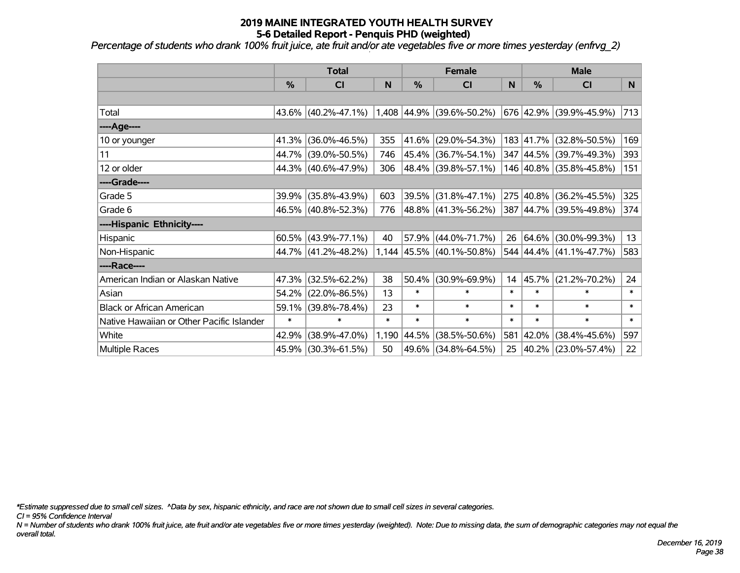*Percentage of students who drank 100% fruit juice, ate fruit and/or ate vegetables five or more times yesterday (enfrvg\_2)*

|                                           | <b>Total</b>  |                        |        | <b>Female</b> |                             |        | <b>Male</b>   |                         |        |
|-------------------------------------------|---------------|------------------------|--------|---------------|-----------------------------|--------|---------------|-------------------------|--------|
|                                           | $\frac{0}{0}$ | CI                     | N      | $\frac{9}{6}$ | CI                          | N      | $\frac{0}{0}$ | CI                      | N      |
|                                           |               |                        |        |               |                             |        |               |                         |        |
| Total                                     |               | 43.6% (40.2%-47.1%)    |        |               | $1,408$ 44.9% (39.6%-50.2%) |        |               | 676 42.9% (39.9%-45.9%) | 713    |
| ----Age----                               |               |                        |        |               |                             |        |               |                         |        |
| 10 or younger                             | 41.3%         | $(36.0\% - 46.5\%)$    | 355    | 41.6%         | $(29.0\% - 54.3\%)$         |        | 183 41.7%     | $(32.8\% - 50.5\%)$     | 169    |
| 11                                        | 44.7%         | $(39.0\% - 50.5\%)$    | 746    |               | 45.4% (36.7%-54.1%)         |        |               | 347 44.5% (39.7%-49.3%) | 393    |
| 12 or older                               |               | 44.3% (40.6%-47.9%)    | 306    |               | 48.4% (39.8%-57.1%)         |        |               | 146 40.8% (35.8%-45.8%) | 151    |
| ----Grade----                             |               |                        |        |               |                             |        |               |                         |        |
| Grade 5                                   | $39.9\%$      | $(35.8\% - 43.9\%)$    | 603    | 39.5%         | $(31.8\% - 47.1\%)$         |        | 275 40.8%     | $(36.2\% - 45.5\%)$     | 325    |
| Grade 6                                   |               | 46.5% (40.8%-52.3%)    | 776    |               | 48.8% (41.3%-56.2%)         |        |               | 387 44.7% (39.5%-49.8%) | 374    |
| ----Hispanic Ethnicity----                |               |                        |        |               |                             |        |               |                         |        |
| Hispanic                                  |               | $60.5\%$ (43.9%-77.1%) | 40     | 57.9%         | $(44.0\% - 71.7\%)$         | 26     | $ 64.6\% $    | $(30.0\% - 99.3\%)$     | 13     |
| Non-Hispanic                              |               | 44.7% (41.2%-48.2%)    |        |               | $1,144$ 45.5% (40.1%-50.8%) |        |               | 544 44.4% (41.1%-47.7%) | 583    |
| ----Race----                              |               |                        |        |               |                             |        |               |                         |        |
| American Indian or Alaskan Native         | 47.3%         | $(32.5\% - 62.2\%)$    | 38     | 50.4%         | $(30.9\% - 69.9\%)$         | 14     | 45.7%         | $(21.2\% - 70.2\%)$     | 24     |
| Asian                                     | 54.2%         | $(22.0\% - 86.5\%)$    | 13     | $\ast$        | $\ast$                      | $\ast$ | $\ast$        | $\ast$                  | $\ast$ |
| <b>Black or African American</b>          | 59.1%         | $(39.8\% - 78.4\%)$    | 23     | $\ast$        | $\ast$                      | $\ast$ | $\ast$        | $\ast$                  | $\ast$ |
| Native Hawaiian or Other Pacific Islander | $\ast$        | $\ast$                 | $\ast$ | $\ast$        | $\ast$                      | $\ast$ | $\ast$        | $\ast$                  | $\ast$ |
| White                                     | 42.9%         | $(38.9\% - 47.0\%)$    | 1,190  | 44.5%         | $(38.5\% - 50.6\%)$         | 581    | 42.0%         | $(38.4\% - 45.6\%)$     | 597    |
| Multiple Races                            |               | 45.9% (30.3%-61.5%)    | 50     | 49.6%         | $(34.8\% - 64.5\%)$         | 25     |               | 40.2% (23.0%-57.4%)     | 22     |

*\*Estimate suppressed due to small cell sizes. ^Data by sex, hispanic ethnicity, and race are not shown due to small cell sizes in several categories.*

*CI = 95% Confidence Interval*

*N = Number of students who drank 100% fruit juice, ate fruit and/or ate vegetables five or more times yesterday (weighted). Note: Due to missing data, the sum of demographic categories may not equal the overall total.*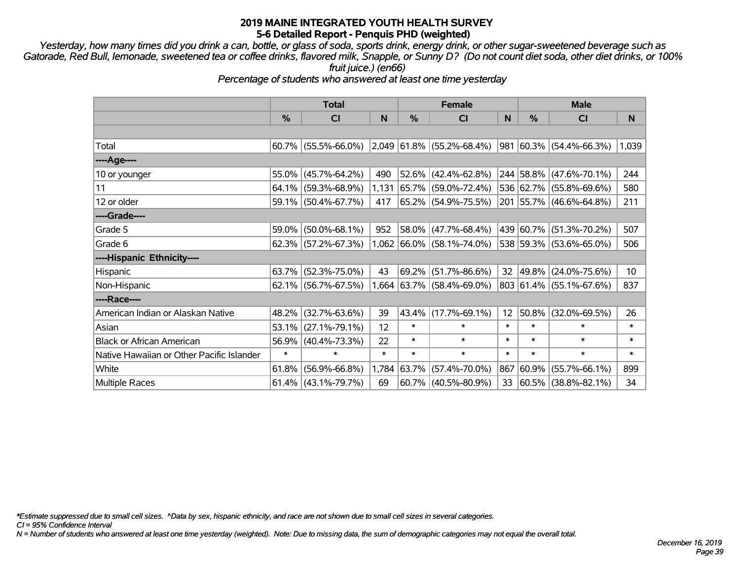*Yesterday, how many times did you drink a can, bottle, or glass of soda, sports drink, energy drink, or other sugar-sweetened beverage such as Gatorade, Red Bull, lemonade, sweetened tea or coffee drinks, flavored milk, Snapple, or Sunny D? (Do not count diet soda, other diet drinks, or 100% fruit juice.) (en66)*

*Percentage of students who answered at least one time yesterday*

|                                           | <b>Total</b> |                        |        | <b>Female</b> |                             | <b>Male</b> |           |                          |        |
|-------------------------------------------|--------------|------------------------|--------|---------------|-----------------------------|-------------|-----------|--------------------------|--------|
|                                           | %            | <b>CI</b>              | N      | $\frac{0}{0}$ | <b>CI</b>                   | N           | %         | <b>CI</b>                | N      |
|                                           |              |                        |        |               |                             |             |           |                          |        |
| Total                                     |              | $60.7\%$ (55.5%-66.0%) |        |               | $2,049$ 61.8% (55.2%-68.4%) | 981         |           | $ 60.3\% $ (54.4%-66.3%) | 1,039  |
| ----Age----                               |              |                        |        |               |                             |             |           |                          |        |
| 10 or younger                             | 55.0%        | $(45.7\% - 64.2\%)$    | 490    |               | $52.6\%$ (42.4%-62.8%)      |             |           | 244 58.8% (47.6%-70.1%)  | 244    |
| 11                                        | 64.1%        | $(59.3\% - 68.9\%)$    | 1,131  |               | 65.7% (59.0%-72.4%)         |             |           | 536 62.7% (55.8%-69.6%)  | 580    |
| 12 or older                               |              | 59.1% (50.4%-67.7%)    | 417    |               | 65.2% (54.9%-75.5%)         |             |           | 201 55.7% (46.6%-64.8%)  | 211    |
| ----Grade----                             |              |                        |        |               |                             |             |           |                          |        |
| Grade 5                                   | 59.0%        | $(50.0\% - 68.1\%)$    | 952    |               | 58.0% (47.7%-68.4%)         |             | 439 60.7% | $(51.3\% - 70.2\%)$      | 507    |
| Grade 6                                   |              | $62.3\%$ (57.2%-67.3%) |        |               | 1,062 66.0% (58.1%-74.0%)   |             |           | 538 59.3% (53.6%-65.0%)  | 506    |
| ----Hispanic Ethnicity----                |              |                        |        |               |                             |             |           |                          |        |
| Hispanic                                  | 63.7%        | $(52.3\% - 75.0\%)$    | 43     |               | 69.2% (51.7%-86.6%)         | 32          | 49.8%     | $(24.0\% - 75.6\%)$      | 10     |
| Non-Hispanic                              |              | $62.1\%$ (56.7%-67.5%) |        |               | $,664$ 63.7% (58.4%-69.0%)  |             |           | 803 61.4% (55.1%-67.6%)  | 837    |
| ----Race----                              |              |                        |        |               |                             |             |           |                          |        |
| American Indian or Alaskan Native         | 48.2%        | $(32.7\% - 63.6\%)$    | 39     |               | 43.4% (17.7%-69.1%)         | 12          | 50.8%     | $(32.0\% - 69.5\%)$      | 26     |
| Asian                                     | 53.1%        | $(27.1\% - 79.1\%)$    | 12     | $\ast$        | $\ast$                      | $\ast$      | $\ast$    | $\ast$                   | $\ast$ |
| <b>Black or African American</b>          | 56.9%        | $(40.4\% - 73.3\%)$    | 22     | $\ast$        | $\ast$                      | $\ast$      | $\ast$    | $\ast$                   | *      |
| Native Hawaiian or Other Pacific Islander | $\ast$       | $\ast$                 | $\ast$ | $\ast$        | $\ast$                      | $\ast$      | $\ast$    | $\ast$                   | *      |
| White                                     | 61.8%        | $(56.9\% - 66.8\%)$    | 1,784  | 63.7%         | $(57.4\% - 70.0\%)$         | 867         | 60.9%     | $(55.7\% - 66.1\%)$      | 899    |
| <b>Multiple Races</b>                     |              | $61.4\%$ (43.1%-79.7%) | 69     |               | $60.7\%$ (40.5%-80.9%)      | 33          |           | $ 60.5\% $ (38.8%-82.1%) | 34     |

*\*Estimate suppressed due to small cell sizes. ^Data by sex, hispanic ethnicity, and race are not shown due to small cell sizes in several categories.*

*CI = 95% Confidence Interval*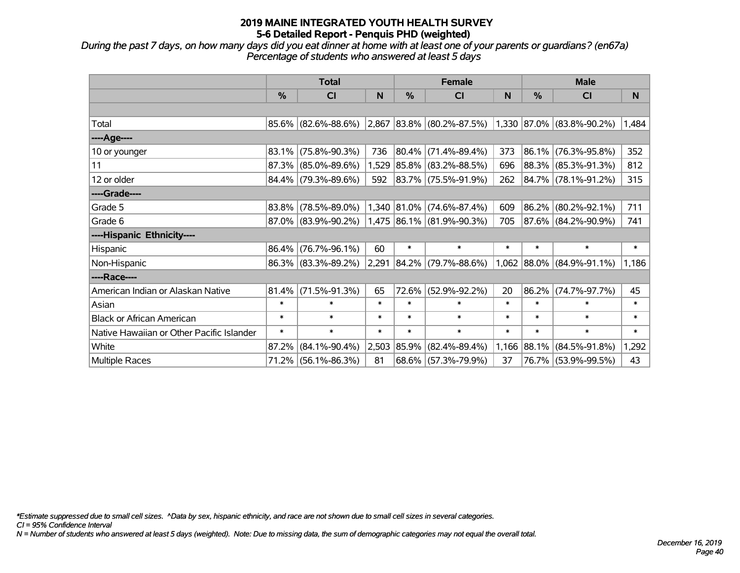*During the past 7 days, on how many days did you eat dinner at home with at least one of your parents or guardians? (en67a) Percentage of students who answered at least 5 days*

|                                           | <b>Total</b>  |                                                  |        | <b>Female</b> |                             | <b>Male</b> |            |                           |        |
|-------------------------------------------|---------------|--------------------------------------------------|--------|---------------|-----------------------------|-------------|------------|---------------------------|--------|
|                                           | $\frac{0}{0}$ | <b>CI</b>                                        | N      | $\frac{0}{0}$ | <b>CI</b>                   | N           | %          | <b>CI</b>                 | N      |
|                                           |               |                                                  |        |               |                             |             |            |                           |        |
| Total                                     |               | $85.6\%$ (82.6%-88.6%) 2,867 83.8% (80.2%-87.5%) |        |               |                             |             |            | 1,330 87.0% (83.8%-90.2%) | 1,484  |
| ----Age----                               |               |                                                  |        |               |                             |             |            |                           |        |
| 10 or younger                             | 83.1%         | $(75.8\% - 90.3\%)$                              | 736    |               | $ 80.4\% $ (71.4%-89.4%)    | 373         | 86.1%      | $(76.3\% - 95.8\%)$       | 352    |
| 11                                        |               | 87.3% (85.0%-89.6%)                              |        |               | 1,529 85.8% (83.2%-88.5%)   | 696         |            | 88.3% (85.3%-91.3%)       | 812    |
| 12 or older                               |               | 84.4% (79.3%-89.6%)                              | 592    |               | $ 83.7\% $ (75.5%-91.9%)    | 262         |            | 84.7% (78.1%-91.2%)       | 315    |
| ----Grade----                             |               |                                                  |        |               |                             |             |            |                           |        |
| Grade 5                                   | 83.8%         | $(78.5\% - 89.0\%)$                              |        |               | $1,340$ 81.0% (74.6%-87.4%) | 609         | $ 86.2\% $ | $(80.2\% - 92.1\%)$       | 711    |
| Grade 6                                   |               | $87.0\%$ (83.9%-90.2%)                           |        |               | $1,475$ 86.1% (81.9%-90.3%) | 705         |            | 87.6% (84.2%-90.9%)       | 741    |
| ----Hispanic Ethnicity----                |               |                                                  |        |               |                             |             |            |                           |        |
| Hispanic                                  | 86.4%         | $(76.7\% - 96.1\%)$                              | 60     | $\ast$        | $\ast$                      | $\ast$      | $\ast$     | $\ast$                    | $\ast$ |
| Non-Hispanic                              |               | 86.3% (83.3%-89.2%)                              | 2,291  |               | $ 84.2\% $ (79.7%-88.6%)    |             |            | 1,062 88.0% (84.9%-91.1%) | 1,186  |
| ----Race----                              |               |                                                  |        |               |                             |             |            |                           |        |
| American Indian or Alaskan Native         | 81.4%         | $(71.5\% - 91.3\%)$                              | 65     |               | 72.6% (52.9%-92.2%)         | 20          | 86.2%      | $(74.7\% - 97.7\%)$       | 45     |
| Asian                                     | $\ast$        | $\ast$                                           | $\ast$ | $\ast$        | $\ast$                      | $\ast$      | $\ast$     | $\ast$                    | $\ast$ |
| <b>Black or African American</b>          | $\ast$        | $\ast$                                           | $\ast$ | $\ast$        | $\ast$                      | $\ast$      | *          | $\ast$                    | $\ast$ |
| Native Hawaiian or Other Pacific Islander | $\ast$        | $\ast$                                           | $\ast$ | $\ast$        | $\ast$                      | $\ast$      | $\ast$     | $\ast$                    | $\ast$ |
| White                                     | 87.2%         | $(84.1\% - 90.4\%)$                              | 2,503  | 85.9%         | $(82.4\% - 89.4\%)$         | 1,166       | 88.1%      | $(84.5\% - 91.8\%)$       | 1,292  |
| Multiple Races                            |               | $71.2\%$ (56.1%-86.3%)                           | 81     |               | 68.6% (57.3%-79.9%)         | 37          |            | 76.7% (53.9%-99.5%)       | 43     |

*\*Estimate suppressed due to small cell sizes. ^Data by sex, hispanic ethnicity, and race are not shown due to small cell sizes in several categories.*

*CI = 95% Confidence Interval*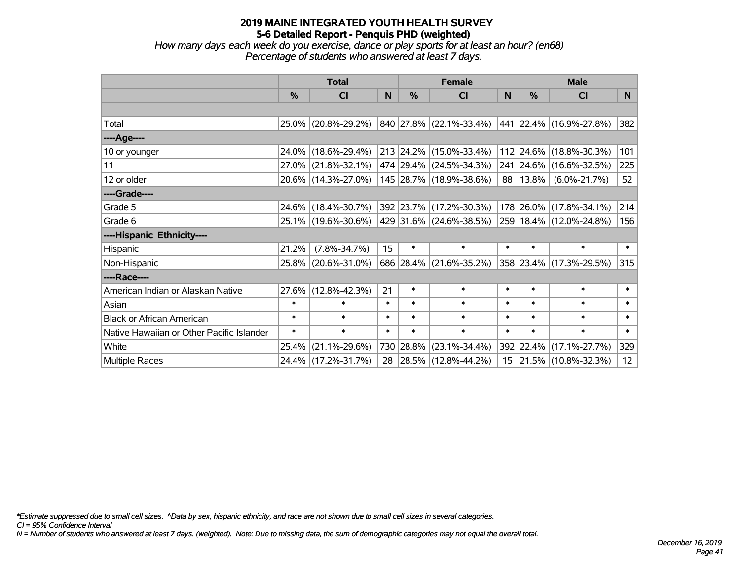*How many days each week do you exercise, dance or play sports for at least an hour? (en68) Percentage of students who answered at least 7 days.*

|                                           | <b>Total</b>  |                     |        | <b>Female</b> | <b>Male</b>              |                 |           |                              |                 |
|-------------------------------------------|---------------|---------------------|--------|---------------|--------------------------|-----------------|-----------|------------------------------|-----------------|
|                                           | $\frac{0}{0}$ | <b>CI</b>           | N      | $\frac{9}{6}$ | <b>CI</b>                | <sub>N</sub>    | %         | <b>CI</b>                    | N.              |
|                                           |               |                     |        |               |                          |                 |           |                              |                 |
| Total                                     |               | 25.0% (20.8%-29.2%) |        |               | 840 27.8% (22.1%-33.4%)  |                 |           | $ 441 22.4\% $ (16.9%-27.8%) | 382             |
| ----Age----                               |               |                     |        |               |                          |                 |           |                              |                 |
| 10 or younger                             | 24.0%         | $(18.6\% - 29.4\%)$ |        |               | 213 24.2% (15.0%-33.4%)  |                 |           | 112 24.6% (18.8%-30.3%)      | 101             |
| 11                                        |               | 27.0% (21.8%-32.1%) |        |               | 474 29.4% (24.5%-34.3%)  |                 |           | 241 24.6% (16.6%-32.5%)      | 225             |
| 12 or older                               |               | 20.6% (14.3%-27.0%) |        |               | 145 28.7% (18.9%-38.6%)  | 88 <sup>°</sup> | $13.8\%$  | $(6.0\% - 21.7\%)$           | 52              |
| ----Grade----                             |               |                     |        |               |                          |                 |           |                              |                 |
| Grade 5                                   |               | 24.6% (18.4%-30.7%) |        |               | 392 23.7% (17.2%-30.3%)  |                 | 178 26.0% | $(17.8\% - 34.1\%)$          | 214             |
| Grade 6                                   |               | 25.1% (19.6%-30.6%) |        |               | 429 31.6% (24.6%-38.5%)  |                 |           | 259 18.4% (12.0%-24.8%)      | 156             |
| ----Hispanic Ethnicity----                |               |                     |        |               |                          |                 |           |                              |                 |
| Hispanic                                  | 21.2%         | $(7.8\% - 34.7\%)$  | 15     | $\ast$        | $\ast$                   | $\ast$          | $\ast$    | $\ast$                       | $\ast$          |
| Non-Hispanic                              | 25.8%         | $(20.6\% - 31.0\%)$ |        |               | 686 28.4% (21.6%-35.2%)  |                 |           | 358 23.4% (17.3%-29.5%)      | 315             |
| ----Race----                              |               |                     |        |               |                          |                 |           |                              |                 |
| American Indian or Alaskan Native         | 27.6%         | $(12.8\% - 42.3\%)$ | 21     | $\ast$        | $\ast$                   | $\ast$          | $\ast$    | $\ast$                       | $\ast$          |
| Asian                                     | $\ast$        | $\ast$              | $\ast$ | $\ast$        | $\ast$                   | $\ast$          | $\ast$    | $\ast$                       | $\ast$          |
| <b>Black or African American</b>          | $\ast$        | $\ast$              | $\ast$ | $\ast$        | $\ast$                   | $\ast$          | $\ast$    | $\ast$                       | $\ast$          |
| Native Hawaiian or Other Pacific Islander | $\ast$        | $\ast$              | $\ast$ | $\ast$        | $\ast$                   | $\ast$          | $\ast$    | $\ast$                       | $\ast$          |
| White                                     | 25.4%         | $(21.1\% - 29.6\%)$ |        | 730 28.8%     | $(23.1\% - 34.4\%)$      |                 | 392 22.4% | $(17.1\% - 27.7\%)$          | 329             |
| Multiple Races                            |               | 24.4% (17.2%-31.7%) | 28     |               | $ 28.5\% $ (12.8%-44.2%) |                 |           | 15 21.5% (10.8%-32.3%)       | 12 <sub>2</sub> |

*\*Estimate suppressed due to small cell sizes. ^Data by sex, hispanic ethnicity, and race are not shown due to small cell sizes in several categories.*

*CI = 95% Confidence Interval*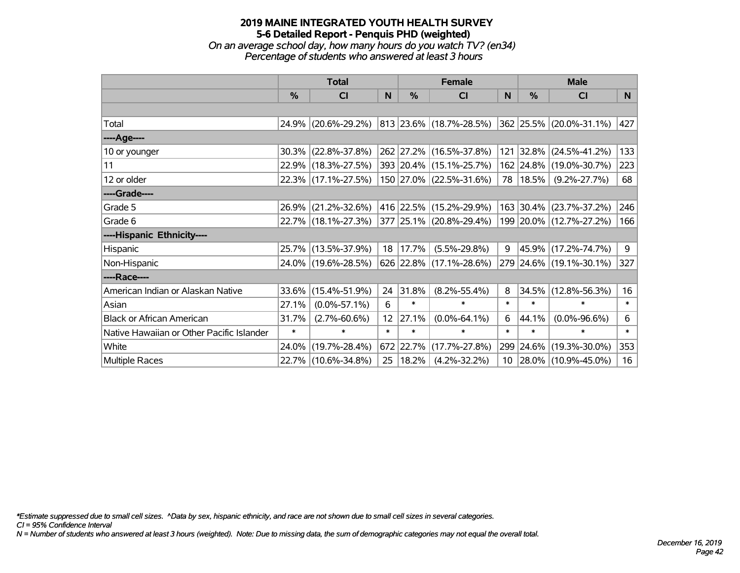#### **2019 MAINE INTEGRATED YOUTH HEALTH SURVEY 5-6 Detailed Report - Penquis PHD (weighted)** *On an average school day, how many hours do you watch TV? (en34)*

*Percentage of students who answered at least 3 hours*

|                                           | <b>Total</b>  |                                             |        | <b>Female</b> | <b>Male</b>                 |        |            |                         |        |
|-------------------------------------------|---------------|---------------------------------------------|--------|---------------|-----------------------------|--------|------------|-------------------------|--------|
|                                           | $\frac{0}{0}$ | <b>CI</b>                                   | N      | $\frac{9}{6}$ | <b>CI</b>                   | N      | %          | <b>CI</b>               | N.     |
|                                           |               |                                             |        |               |                             |        |            |                         |        |
| Total                                     |               | 24.9% (20.6%-29.2%)                         |        |               | 813 23.6% (18.7%-28.5%)     |        |            | 362 25.5% (20.0%-31.1%) | 427    |
| ----Age----                               |               |                                             |        |               |                             |        |            |                         |        |
| 10 or younger                             | $30.3\%$      | $(22.8\% - 37.8\%)$                         |        |               | 262 27.2% (16.5%-37.8%)     | 121    | 32.8%      | $(24.5\% - 41.2\%)$     | 133    |
| 11                                        |               | 22.9% (18.3%-27.5%)                         |        |               | 393 20.4% (15.1%-25.7%)     |        |            | 162 24.8% (19.0%-30.7%) | 223    |
| 12 or older                               |               | 22.3% (17.1%-27.5%)                         |        |               | 150 27.0% (22.5%-31.6%)     |        | 78   18.5% | $(9.2\% - 27.7\%)$      | 68     |
| ----Grade----                             |               |                                             |        |               |                             |        |            |                         |        |
| Grade 5                                   | $26.9\%$      | $(21.2\% - 32.6\%)$                         |        |               | 416   22.5%   (15.2%-29.9%) |        | 163 30.4%  | $(23.7\% - 37.2\%)$     | 246    |
| Grade 6                                   |               | 22.7% (18.1%-27.3%) 377 25.1% (20.8%-29.4%) |        |               |                             |        |            | 199 20.0% (12.7%-27.2%) | 166    |
| ----Hispanic Ethnicity----                |               |                                             |        |               |                             |        |            |                         |        |
| Hispanic                                  |               | 25.7% (13.5%-37.9%)                         |        | 18 17.7%      | $(5.5\% - 29.8\%)$          | 9      | 45.9%      | $(17.2\% - 74.7\%)$     | 9      |
| Non-Hispanic                              |               | 24.0% (19.6%-28.5%)                         |        |               | $626$ 22.8% (17.1%-28.6%)   |        |            | 279 24.6% (19.1%-30.1%) | 327    |
| ----Race----                              |               |                                             |        |               |                             |        |            |                         |        |
| American Indian or Alaskan Native         |               | 33.6% (15.4%-51.9%)                         | 24     | 31.8%         | $(8.2\% - 55.4\%)$          | 8      | 34.5%      | $(12.8\% - 56.3\%)$     | 16     |
| Asian                                     | 27.1%         | $(0.0\% - 57.1\%)$                          | 6      | $\ast$        | $\ast$                      | $\ast$ | $\ast$     | $\ast$                  | $\ast$ |
| <b>Black or African American</b>          | 31.7%         | $(2.7\% - 60.6\%)$                          | 12     | 27.1%         | $(0.0\% - 64.1\%)$          | 6      | 44.1%      | $(0.0\% - 96.6\%)$      | 6      |
| Native Hawaiian or Other Pacific Islander | $\ast$        | $\ast$                                      | $\ast$ | $\ast$        | $\ast$                      | $\ast$ | $\ast$     | $\ast$                  | $\ast$ |
| White                                     | 24.0%         | $(19.7\% - 28.4\%)$                         |        | 672 22.7%     | $(17.7\% - 27.8\%)$         | 299    | 24.6%      | $(19.3\% - 30.0\%)$     | 353    |
| Multiple Races                            |               | 22.7% (10.6%-34.8%)                         | 25     | $ 18.2\% $    | $(4.2\% - 32.2\%)$          |        |            | 10 28.0% (10.9%-45.0%)  | 16     |

*\*Estimate suppressed due to small cell sizes. ^Data by sex, hispanic ethnicity, and race are not shown due to small cell sizes in several categories.*

*CI = 95% Confidence Interval*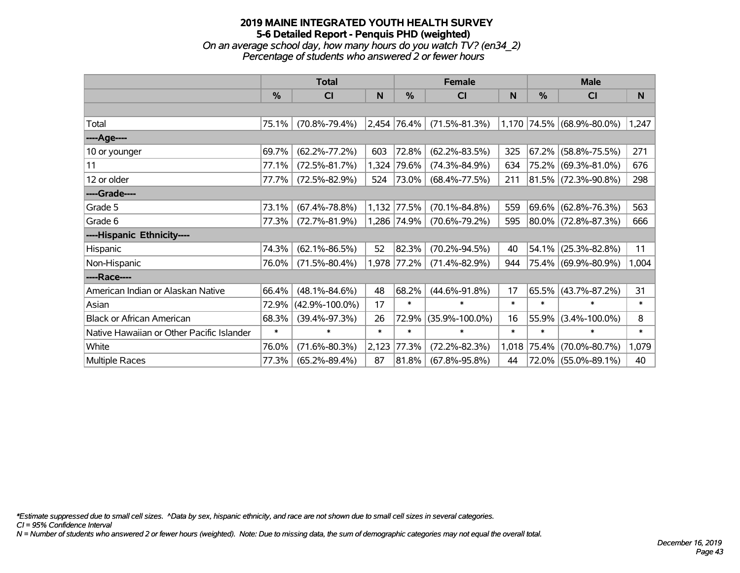#### **2019 MAINE INTEGRATED YOUTH HEALTH SURVEY 5-6 Detailed Report - Penquis PHD (weighted)** *On an average school day, how many hours do you watch TV? (en34\_2) Percentage of students who answered 2 or fewer hours*

|                                           | <b>Total</b>  |                      |        | <b>Female</b> | <b>Male</b>          |        |               |                           |        |
|-------------------------------------------|---------------|----------------------|--------|---------------|----------------------|--------|---------------|---------------------------|--------|
|                                           | $\frac{0}{0}$ | C <sub>l</sub>       | N      | %             | CI                   | N      | $\frac{0}{0}$ | C <sub>l</sub>            | N      |
|                                           |               |                      |        |               |                      |        |               |                           |        |
| Total                                     | 75.1%         | $(70.8\% - 79.4\%)$  |        | 2,454 76.4%   | $(71.5\% - 81.3\%)$  |        |               | 1,170 74.5% (68.9%-80.0%) | 1,247  |
| ----Age----                               |               |                      |        |               |                      |        |               |                           |        |
| 10 or younger                             | 69.7%         | $(62.2\% - 77.2\%)$  | 603    | 72.8%         | $(62.2\% - 83.5\%)$  | 325    | 67.2%         | $(58.8\% - 75.5\%)$       | 271    |
| 11                                        | 77.1%         | $(72.5\% - 81.7\%)$  | 1,324  | 79.6%         | $(74.3\% - 84.9\%)$  | 634    |               | 75.2% (69.3%-81.0%)       | 676    |
| 12 or older                               | 77.7%         | $(72.5\% - 82.9\%)$  | 524    | 73.0%         | $(68.4\% - 77.5\%)$  | 211    |               | 81.5% (72.3%-90.8%)       | 298    |
| ----Grade----                             |               |                      |        |               |                      |        |               |                           |        |
| Grade 5                                   | 73.1%         | $(67.4\% - 78.8\%)$  | 1,132  | 77.5%         | $(70.1\% - 84.8\%)$  | 559    | 69.6%         | $(62.8\% - 76.3\%)$       | 563    |
| Grade 6                                   | 77.3%         | $(72.7\% - 81.9\%)$  |        | 1,286 74.9%   | $(70.6\% - 79.2\%)$  | 595    |               | $80.0\%$ (72.8%-87.3%)    | 666    |
| ----Hispanic Ethnicity----                |               |                      |        |               |                      |        |               |                           |        |
| Hispanic                                  | 74.3%         | $(62.1\% - 86.5\%)$  | 52     | 82.3%         | $(70.2\% - 94.5\%)$  | 40     | 54.1%         | $(25.3\% - 82.8\%)$       | 11     |
| Non-Hispanic                              | 76.0%         | $(71.5\% - 80.4\%)$  |        | 1,978 77.2%   | $(71.4\% - 82.9\%)$  | 944    |               | 75.4% (69.9%-80.9%)       | 1,004  |
| ----Race----                              |               |                      |        |               |                      |        |               |                           |        |
| American Indian or Alaskan Native         | 66.4%         | $(48.1\% - 84.6\%)$  | 48     | 68.2%         | $(44.6\% - 91.8\%)$  | 17     | 65.5%         | $(43.7\% - 87.2\%)$       | 31     |
| Asian                                     | 72.9%         | $(42.9\% - 100.0\%)$ | 17     | $\ast$        | $\ast$               | $\ast$ | $\ast$        | $\ast$                    | $\ast$ |
| <b>Black or African American</b>          | 68.3%         | $(39.4\% - 97.3\%)$  | 26     | 72.9%         | $(35.9\% - 100.0\%)$ | 16     | 55.9%         | $(3.4\% - 100.0\%)$       | 8      |
| Native Hawaiian or Other Pacific Islander | $\ast$        | $\ast$               | $\ast$ | $\ast$        | $\ast$               | $\ast$ | $\ast$        | $\ast$                    | $\ast$ |
| White                                     | 76.0%         | $(71.6\% - 80.3\%)$  | 2,123  | 77.3%         | $(72.2\% - 82.3\%)$  | 1,018  | 75.4%         | $(70.0\% - 80.7\%)$       | 1,079  |
| Multiple Races                            | 77.3%         | $(65.2\% - 89.4\%)$  | 87     | $ 81.8\% $    | $(67.8\% - 95.8\%)$  | 44     |               | 72.0% (55.0%-89.1%)       | 40     |

*\*Estimate suppressed due to small cell sizes. ^Data by sex, hispanic ethnicity, and race are not shown due to small cell sizes in several categories.*

*CI = 95% Confidence Interval*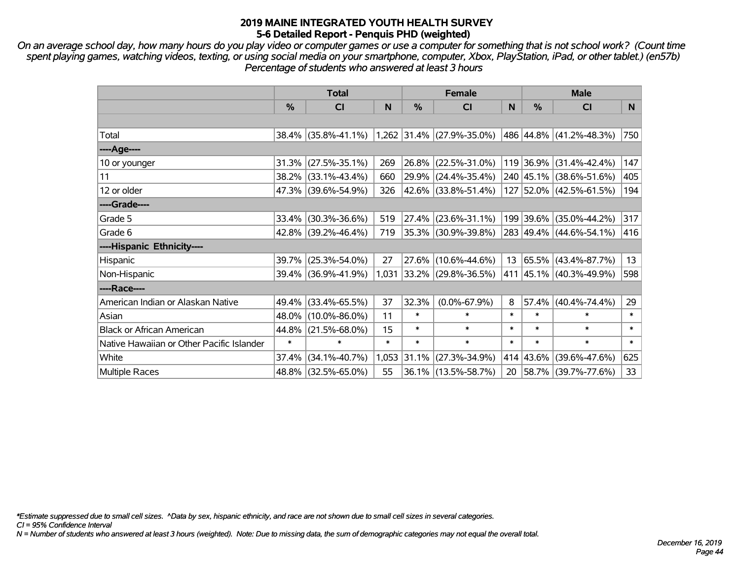*On an average school day, how many hours do you play video or computer games or use a computer for something that is not school work? (Count time spent playing games, watching videos, texting, or using social media on your smartphone, computer, Xbox, PlayStation, iPad, or other tablet.) (en57b) Percentage of students who answered at least 3 hours*

|                                           | <b>Total</b>  |                        | <b>Female</b> |        |                             | <b>Male</b> |               |                          |        |
|-------------------------------------------|---------------|------------------------|---------------|--------|-----------------------------|-------------|---------------|--------------------------|--------|
|                                           | $\frac{0}{0}$ | <b>CI</b>              | N             | %      | <b>CI</b>                   | N           | $\frac{0}{0}$ | <b>CI</b>                | N      |
|                                           |               |                        |               |        |                             |             |               |                          |        |
| Total                                     |               | $38.4\%$ (35.8%-41.1%) |               |        | $1,262$ 31.4% (27.9%-35.0%) |             |               | 486 44.8% (41.2%-48.3%)  | 750    |
| ----Age----                               |               |                        |               |        |                             |             |               |                          |        |
| 10 or younger                             | 31.3%         | $(27.5\% - 35.1\%)$    | 269           | 26.8%  | $(22.5\% - 31.0\%)$         |             |               | 119 36.9% (31.4%-42.4%)  | 147    |
| 11                                        |               | 38.2% (33.1%-43.4%)    | 660           |        | 29.9% (24.4%-35.4%)         |             |               | 240 45.1% (38.6%-51.6%)  | 405    |
| 12 or older                               |               | 47.3% (39.6%-54.9%)    | 326           |        | 42.6% (33.8%-51.4%)         |             |               | 127 52.0% (42.5%-61.5%)  | 194    |
| ----Grade----                             |               |                        |               |        |                             |             |               |                          |        |
| Grade 5                                   | 33.4%         | $(30.3\% - 36.6\%)$    | 519           | 27.4%  | $(23.6\% - 31.1\%)$         |             |               | 199 39.6% (35.0%-44.2%)  | 317    |
| Grade 6                                   |               | $42.8\%$ (39.2%-46.4%) | 719           |        | 35.3% (30.9%-39.8%)         |             |               | 283 49.4% (44.6%-54.1%)  | 416    |
| ----Hispanic Ethnicity----                |               |                        |               |        |                             |             |               |                          |        |
| Hispanic                                  | 39.7%         | $(25.3\% - 54.0\%)$    | 27            | 27.6%  | $(10.6\% - 44.6\%)$         | 13          |               | $ 65.5\% $ (43.4%-87.7%) | 13     |
| Non-Hispanic                              |               | 39.4% (36.9%-41.9%)    |               |        | 1,031 33.2% (29.8%-36.5%)   |             |               | 411 45.1% (40.3%-49.9%)  | 598    |
| ----Race----                              |               |                        |               |        |                             |             |               |                          |        |
| American Indian or Alaskan Native         | 49.4%         | $(33.4\% - 65.5\%)$    | 37            | 32.3%  | $(0.0\% - 67.9\%)$          | 8           | 57.4%         | $(40.4\% - 74.4\%)$      | 29     |
| Asian                                     |               | 48.0% (10.0%-86.0%)    | 11            | $\ast$ | $\ast$                      | $\ast$      | $\ast$        | $\ast$                   | $\ast$ |
| <b>Black or African American</b>          | 44.8%         | $(21.5\% - 68.0\%)$    | 15            | $\ast$ | $\ast$                      | $\ast$      | $\ast$        | $\ast$                   | $\ast$ |
| Native Hawaiian or Other Pacific Islander | $\ast$        | $\ast$                 | $\ast$        | $\ast$ | $\ast$                      | $\ast$      | $\ast$        | $\ast$                   | $\ast$ |
| White                                     | 37.4%         | $(34.1\% - 40.7\%)$    | 1,053         | 31.1%  | $(27.3\% - 34.9\%)$         | 414         |               | $ 43.6\% $ (39.6%-47.6%) | 625    |
| <b>Multiple Races</b>                     |               | 48.8% (32.5%-65.0%)    | 55            |        | 36.1% (13.5%-58.7%)         | 20          |               | $ 58.7\% $ (39.7%-77.6%) | 33     |

*\*Estimate suppressed due to small cell sizes. ^Data by sex, hispanic ethnicity, and race are not shown due to small cell sizes in several categories.*

*CI = 95% Confidence Interval*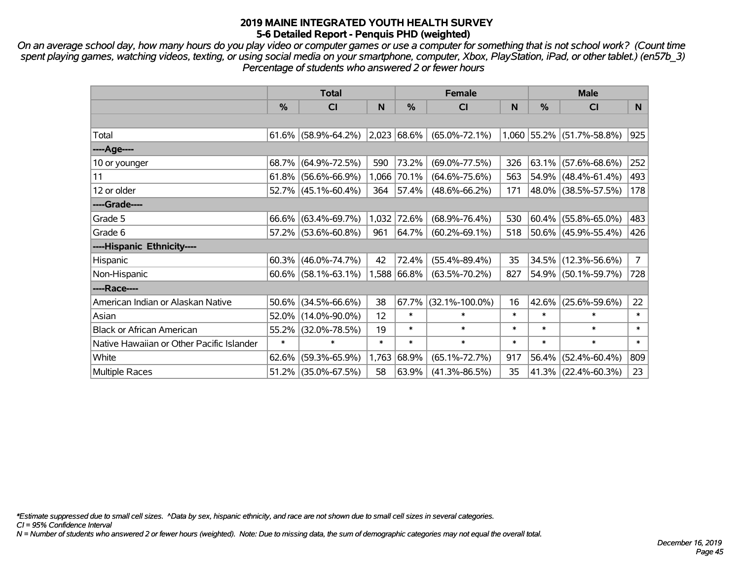*On an average school day, how many hours do you play video or computer games or use a computer for something that is not school work? (Count time spent playing games, watching videos, texting, or using social media on your smartphone, computer, Xbox, PlayStation, iPad, or other tablet.) (en57b\_3) Percentage of students who answered 2 or fewer hours*

|                                           | <b>Total</b> |                        |        | <b>Female</b> | <b>Male</b>             |        |        |                           |             |
|-------------------------------------------|--------------|------------------------|--------|---------------|-------------------------|--------|--------|---------------------------|-------------|
|                                           | $\%$         | <b>CI</b>              | N      | $\frac{0}{0}$ | <b>CI</b>               | N      | %      | <b>CI</b>                 | N           |
|                                           |              |                        |        |               |                         |        |        |                           |             |
| Total                                     |              | $61.6\%$ (58.9%-64.2%) |        | $2,023$ 68.6% | $(65.0\% - 72.1\%)$     |        |        | 1,060 55.2% (51.7%-58.8%) | 925         |
| ----Age----                               |              |                        |        |               |                         |        |        |                           |             |
| 10 or younger                             | 68.7%        | $(64.9\% - 72.5\%)$    | 590    | 73.2%         | $(69.0\% - 77.5\%)$     | 326    | 63.1%  | $(57.6\% - 68.6\%)$       | 252         |
| 11                                        |              | $61.8\%$ (56.6%-66.9%) |        | 1,066 70.1%   | $(64.6\% - 75.6\%)$     | 563    | 54.9%  | $(48.4\% - 61.4\%)$       | 493         |
| 12 or older                               |              | $52.7\%$ (45.1%-60.4%) | 364    | 57.4%         | $(48.6\% - 66.2\%)$     | 171    |        | 48.0% (38.5%-57.5%)       | 178         |
| ----Grade----                             |              |                        |        |               |                         |        |        |                           |             |
| Grade 5                                   | 66.6%        | $(63.4\% - 69.7\%)$    |        | 1,032 72.6%   | $(68.9\% - 76.4\%)$     | 530    | 60.4%  | $(55.8\% - 65.0\%)$       | 483         |
| Grade 6                                   |              | 57.2% (53.6%-60.8%)    | 961    | 64.7%         | $(60.2\% - 69.1\%)$     | 518    |        | 50.6% (45.9%-55.4%)       | 426         |
| ----Hispanic Ethnicity----                |              |                        |        |               |                         |        |        |                           |             |
| Hispanic                                  | 60.3%        | $(46.0\% - 74.7\%)$    | 42     | 72.4%         | $(55.4\% - 89.4\%)$     | 35     | 34.5%  | $(12.3\% - 56.6\%)$       | $7^{\circ}$ |
| Non-Hispanic                              |              | $60.6\%$ (58.1%-63.1%) |        | 1,588 66.8%   | $(63.5\% - 70.2\%)$     | 827    |        | 54.9% (50.1%-59.7%)       | 728         |
| ----Race----                              |              |                        |        |               |                         |        |        |                           |             |
| American Indian or Alaskan Native         | 50.6%        | $(34.5\% - 66.6\%)$    | 38     |               | $67.7\%$ (32.1%-100.0%) | 16     | 42.6%  | $(25.6\% - 59.6\%)$       | 22          |
| Asian                                     | 52.0%        | $(14.0\% - 90.0\%)$    | 12     | $\ast$        | $\ast$                  | $\ast$ | $\ast$ | $\ast$                    | $\ast$      |
| <b>Black or African American</b>          | 55.2%        | $(32.0\% - 78.5\%)$    | 19     | $\ast$        | $\ast$                  | $\ast$ | $\ast$ | $\ast$                    | $\ast$      |
| Native Hawaiian or Other Pacific Islander | $\ast$       | $\ast$                 | $\ast$ | $\ast$        | $\ast$                  | $\ast$ | $\ast$ | $\ast$                    | $\ast$      |
| White                                     | 62.6%        | $(59.3\% - 65.9\%)$    | 1,763  | 68.9%         | $(65.1\% - 72.7\%)$     | 917    | 56.4%  | $(52.4\% - 60.4\%)$       | 809         |
| Multiple Races                            |              | 51.2% (35.0%-67.5%)    | 58     | 63.9%         | $(41.3\% - 86.5\%)$     | 35     |        | 41.3% (22.4%-60.3%)       | 23          |

*\*Estimate suppressed due to small cell sizes. ^Data by sex, hispanic ethnicity, and race are not shown due to small cell sizes in several categories.*

*CI = 95% Confidence Interval*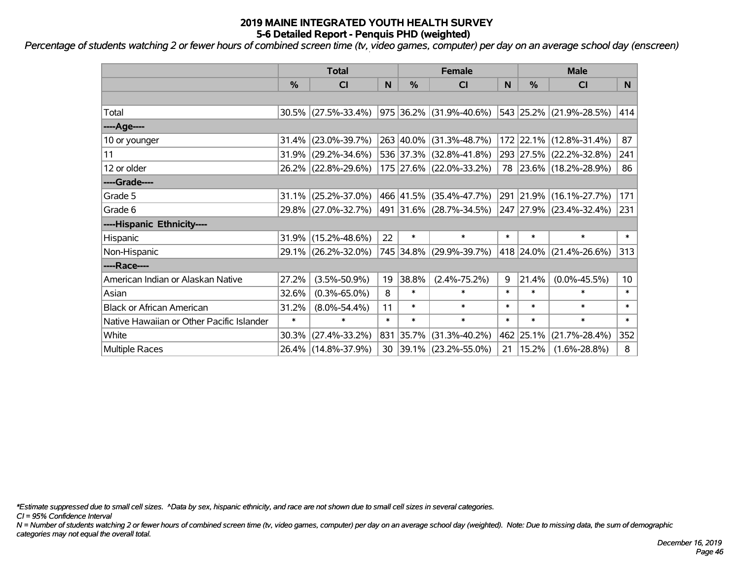*Percentage of students watching 2 or fewer hours of combined screen time (tv, video games, computer) per day on an average school day (enscreen)*

|                                           | <b>Total</b>  |                        | <b>Female</b> |               |                         | <b>Male</b> |           |                         |                 |
|-------------------------------------------|---------------|------------------------|---------------|---------------|-------------------------|-------------|-----------|-------------------------|-----------------|
|                                           | $\frac{0}{0}$ | C <sub>l</sub>         | N             | $\frac{0}{0}$ | CI                      | N           | %         | CI                      | N.              |
|                                           |               |                        |               |               |                         |             |           |                         |                 |
| Total                                     |               | $30.5\%$ (27.5%-33.4%) |               |               | 975 36.2% (31.9%-40.6%) |             |           | 543 25.2% (21.9%-28.5%) | 414             |
| ----Age----                               |               |                        |               |               |                         |             |           |                         |                 |
| 10 or younger                             | 31.4%         | $(23.0\% - 39.7\%)$    |               |               | 263 40.0% (31.3%-48.7%) |             |           | 172 22.1% (12.8%-31.4%) | 87              |
| 11                                        | 31.9%         | $(29.2\% - 34.6\%)$    |               |               | 536 37.3% (32.8%-41.8%) |             |           | 293 27.5% (22.2%-32.8%) | 241             |
| 12 or older                               |               | 26.2% (22.8%-29.6%)    |               |               | 175 27.6% (22.0%-33.2%) |             |           | 78 23.6% (18.2%-28.9%)  | 86              |
| ----Grade----                             |               |                        |               |               |                         |             |           |                         |                 |
| Grade 5                                   | 31.1%         | $(25.2\% - 37.0\%)$    |               |               | 466 41.5% (35.4%-47.7%) |             | 291 21.9% | $(16.1\% - 27.7\%)$     | 171             |
| Grade 6                                   |               | 29.8% (27.0%-32.7%)    |               |               | 491 31.6% (28.7%-34.5%) |             |           | 247 27.9% (23.4%-32.4%) | 231             |
| ----Hispanic Ethnicity----                |               |                        |               |               |                         |             |           |                         |                 |
| Hispanic                                  |               | 31.9% (15.2%-48.6%)    | 22            | $\ast$        | $\ast$                  | $\ast$      | $\ast$    | $\ast$                  | $\ast$          |
| Non-Hispanic                              |               | 29.1% (26.2%-32.0%)    |               |               | 745 34.8% (29.9%-39.7%) |             |           | 418 24.0% (21.4%-26.6%) | 313             |
| ----Race----                              |               |                        |               |               |                         |             |           |                         |                 |
| American Indian or Alaskan Native         | 27.2%         | $(3.5\% - 50.9\%)$     | 19            | 38.8%         | $(2.4\% - 75.2\%)$      | 9           | 21.4%     | $(0.0\% - 45.5\%)$      | 10 <sup>°</sup> |
| Asian                                     | 32.6%         | $(0.3\% - 65.0\%)$     | 8             | $\ast$        | $\ast$                  | $\ast$      | $\ast$    | $\ast$                  | $\ast$          |
| <b>Black or African American</b>          | 31.2%         | $(8.0\% - 54.4\%)$     | 11            | $\ast$        | $\ast$                  | $\ast$      | $\ast$    | $\ast$                  | $\ast$          |
| Native Hawaiian or Other Pacific Islander | $\ast$        | $\ast$                 | $\ast$        | $\ast$        | $\ast$                  | $\ast$      | $\ast$    | $\ast$                  | $\ast$          |
| White                                     | 30.3%         | $(27.4\% - 33.2\%)$    | 831           | 35.7%         | $(31.3\% - 40.2\%)$     |             | 462 25.1% | $(21.7\% - 28.4\%)$     | 352             |
| <b>Multiple Races</b>                     |               | 26.4% (14.8%-37.9%)    | 30            |               | 39.1% (23.2%-55.0%)     | 21          | 15.2%     | $(1.6\% - 28.8\%)$      | 8               |

*\*Estimate suppressed due to small cell sizes. ^Data by sex, hispanic ethnicity, and race are not shown due to small cell sizes in several categories.*

*CI = 95% Confidence Interval*

*N = Number of students watching 2 or fewer hours of combined screen time (tv, video games, computer) per day on an average school day (weighted). Note: Due to missing data, the sum of demographic categories may not equal the overall total.*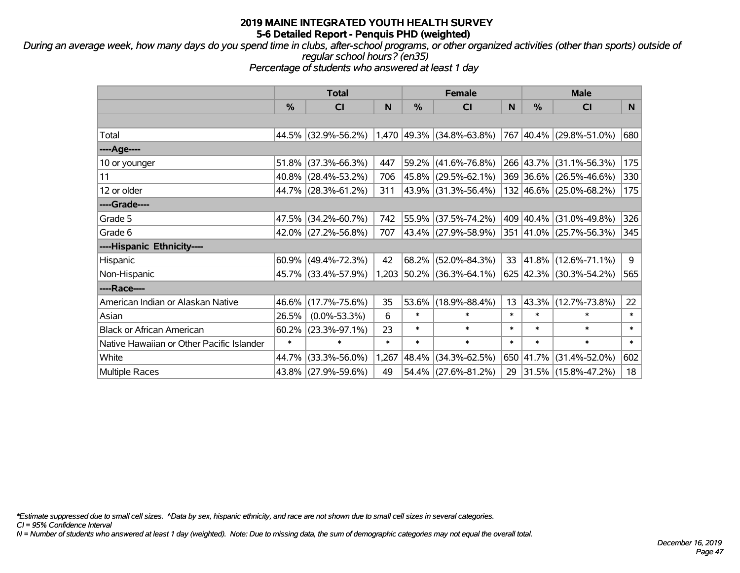*During an average week, how many days do you spend time in clubs, after-school programs, or other organized activities (other than sports) outside of regular school hours? (en35)*

*Percentage of students who answered at least 1 day*

|                                           | <b>Total</b> |                        | <b>Female</b> |          |                             | <b>Male</b> |           |                           |        |
|-------------------------------------------|--------------|------------------------|---------------|----------|-----------------------------|-------------|-----------|---------------------------|--------|
|                                           | %            | <b>CI</b>              | N             | %        | <b>CI</b>                   | N           | %         | <b>CI</b>                 | N      |
|                                           |              |                        |               |          |                             |             |           |                           |        |
| Total                                     |              | 44.5% (32.9%-56.2%)    |               |          | $1,470$ 49.3% (34.8%-63.8%) |             |           | $767$ 40.4% (29.8%-51.0%) | 680    |
| ----Age----                               |              |                        |               |          |                             |             |           |                           |        |
| 10 or younger                             | 51.8%        | $(37.3\% - 66.3\%)$    | 447           | $59.2\%$ | $(41.6\% - 76.8\%)$         |             | 266 43.7% | $(31.1\% - 56.3\%)$       | 175    |
| 11                                        |              | 40.8% (28.4%-53.2%)    | 706           |          | 45.8% (29.5%-62.1%)         |             |           | 369 36.6% (26.5%-46.6%)   | 330    |
| 12 or older                               |              | 44.7% (28.3%-61.2%)    | 311           |          | 43.9% (31.3%-56.4%)         |             |           | 132 46.6% (25.0%-68.2%)   | 175    |
| ----Grade----                             |              |                        |               |          |                             |             |           |                           |        |
| Grade 5                                   | 47.5%        | $(34.2\% - 60.7\%)$    | 742           |          | 55.9% (37.5%-74.2%)         |             | 409 40.4% | $(31.0\% - 49.8\%)$       | 326    |
| Grade 6                                   |              | $42.0\%$ (27.2%-56.8%) | 707           |          | 43.4% (27.9%-58.9%)         |             |           | 351 41.0% (25.7%-56.3%)   | 345    |
| ----Hispanic Ethnicity----                |              |                        |               |          |                             |             |           |                           |        |
| Hispanic                                  | 60.9%        | $(49.4\% - 72.3\%)$    | 42            | 68.2%    | $(52.0\% - 84.3\%)$         | 33          | 41.8%     | $(12.6\% - 71.1\%)$       | 9      |
| Non-Hispanic                              |              | 45.7% (33.4%-57.9%)    |               |          | 1,203 50.2% (36.3%-64.1%)   |             |           | 625 42.3% (30.3%-54.2%)   | 565    |
| ----Race----                              |              |                        |               |          |                             |             |           |                           |        |
| American Indian or Alaskan Native         | 46.6%        | $(17.7\% - 75.6\%)$    | 35            | 53.6%    | $(18.9\% - 88.4\%)$         | 13          | 43.3%     | $(12.7\% - 73.8\%)$       | 22     |
| Asian                                     | 26.5%        | $(0.0\% - 53.3\%)$     | 6             | $\ast$   | $\ast$                      | $\ast$      | $\ast$    | $\ast$                    | $\ast$ |
| <b>Black or African American</b>          | 60.2%        | $(23.3\% - 97.1\%)$    | 23            | $\ast$   | $\ast$                      | $\ast$      | $\ast$    | $\ast$                    | $\ast$ |
| Native Hawaiian or Other Pacific Islander | $\ast$       | $\ast$                 | $\ast$        | $\ast$   | $\ast$                      | $\ast$      | $\ast$    | $\ast$                    | $\ast$ |
| White                                     | 44.7%        | $(33.3\% - 56.0\%)$    | 1,267         | 48.4%    | $(34.3\% - 62.5\%)$         |             | 650 41.7% | $(31.4\% - 52.0\%)$       | 602    |
| <b>Multiple Races</b>                     |              | 43.8% (27.9%-59.6%)    | 49            |          | $54.4\%$ (27.6%-81.2%)      | 29          |           | $ 31.5\% $ (15.8%-47.2%)  | 18     |

*\*Estimate suppressed due to small cell sizes. ^Data by sex, hispanic ethnicity, and race are not shown due to small cell sizes in several categories.*

*CI = 95% Confidence Interval*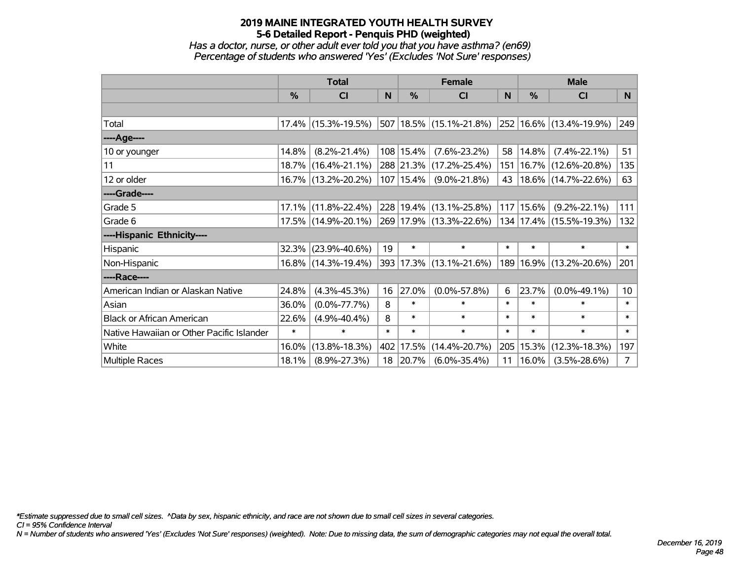*Has a doctor, nurse, or other adult ever told you that you have asthma? (en69) Percentage of students who answered 'Yes' (Excludes 'Not Sure' responses)*

|                                           | <b>Total</b> |                        |        | <b>Female</b> | <b>Male</b>                 |              |        |                             |                 |
|-------------------------------------------|--------------|------------------------|--------|---------------|-----------------------------|--------------|--------|-----------------------------|-----------------|
|                                           | $\%$         | <b>CI</b>              | N      | $\%$          | <b>CI</b>                   | <sub>N</sub> | $\%$   | <b>CI</b>                   | N               |
|                                           |              |                        |        |               |                             |              |        |                             |                 |
| Total                                     |              | $17.4\%$ (15.3%-19.5%) |        |               | 507   18.5%   (15.1%-21.8%) |              |        | 252 16.6% (13.4%-19.9%)     | 249             |
| ----Age----                               |              |                        |        |               |                             |              |        |                             |                 |
| 10 or younger                             | 14.8%        | $(8.2\% - 21.4\%)$     |        | $108$ 15.4%   | $(7.6\% - 23.2\%)$          | 58           | 14.8%  | $(7.4\% - 22.1\%)$          | 51              |
| 11                                        |              | 18.7% (16.4%-21.1%)    |        |               | 288 21.3% (17.2%-25.4%)     | 151          |        | 16.7% (12.6%-20.8%)         | 135             |
| 12 or older                               |              | 16.7% (13.2%-20.2%)    |        | $107$   15.4% | $(9.0\% - 21.8\%)$          | 43           |        | $18.6\%$ (14.7%-22.6%)      | 63              |
| ----Grade----                             |              |                        |        |               |                             |              |        |                             |                 |
| Grade 5                                   | $17.1\%$     | $(11.8\% - 22.4\%)$    |        |               | 228 19.4% (13.1%-25.8%)     | 117          | 15.6%  | $(9.2\% - 22.1\%)$          | 111             |
| Grade 6                                   |              | 17.5% (14.9%-20.1%)    |        |               | 269 17.9% (13.3%-22.6%)     |              |        | 134   17.4%   (15.5%-19.3%) | 132             |
| ----Hispanic Ethnicity----                |              |                        |        |               |                             |              |        |                             |                 |
| Hispanic                                  | 32.3%        | $(23.9\% - 40.6\%)$    | 19     | $\ast$        | $\ast$                      | $\ast$       | $\ast$ | $\ast$                      | $\ast$          |
| Non-Hispanic                              |              | 16.8% (14.3%-19.4%)    |        |               | 393 17.3% (13.1%-21.6%)     | 189          |        | $16.9\%$ (13.2%-20.6%)      | 201             |
| ----Race----                              |              |                        |        |               |                             |              |        |                             |                 |
| American Indian or Alaskan Native         | 24.8%        | $(4.3\% - 45.3\%)$     | 16     | 27.0%         | $(0.0\% - 57.8\%)$          | 6            | 23.7%  | $(0.0\% - 49.1\%)$          | 10 <sup>°</sup> |
| Asian                                     | 36.0%        | $(0.0\% - 77.7\%)$     | 8      | $\ast$        | $\ast$                      | $\ast$       | $\ast$ | $\ast$                      | $\ast$          |
| <b>Black or African American</b>          | 22.6%        | $(4.9\% - 40.4\%)$     | 8      | $\ast$        | $\ast$                      | $\ast$       | $\ast$ | $\ast$                      | $\ast$          |
| Native Hawaiian or Other Pacific Islander | $\ast$       | $\ast$                 | $\ast$ | $\ast$        | $\ast$                      | $\ast$       | $\ast$ | $\ast$                      | $\ast$          |
| White                                     | 16.0%        | $(13.8\% - 18.3\%)$    |        | 402 17.5%     | $(14.4\% - 20.7\%)$         | 205          | 15.3%  | $(12.3\% - 18.3\%)$         | 197             |
| Multiple Races                            | 18.1%        | $(8.9\% - 27.3\%)$     |        | 18 20.7%      | $(6.0\% - 35.4\%)$          | 11           | 16.0%  | $(3.5\% - 28.6\%)$          | $\overline{7}$  |

*\*Estimate suppressed due to small cell sizes. ^Data by sex, hispanic ethnicity, and race are not shown due to small cell sizes in several categories.*

*CI = 95% Confidence Interval*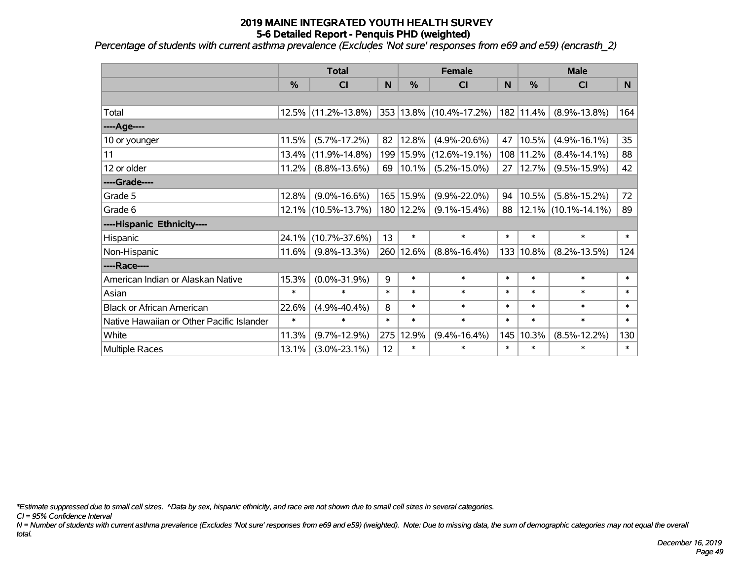*Percentage of students with current asthma prevalence (Excludes 'Not sure' responses from e69 and e59) (encrasth\_2)*

|                                           | <b>Total</b> |                     | <b>Female</b> |            |                         | <b>Male</b> |        |                     |        |
|-------------------------------------------|--------------|---------------------|---------------|------------|-------------------------|-------------|--------|---------------------|--------|
|                                           | %            | <b>CI</b>           | N             | %          | <b>CI</b>               | N           | %      | <b>CI</b>           | N      |
|                                           |              |                     |               |            |                         |             |        |                     |        |
| Total                                     |              | 12.5% (11.2%-13.8%) |               |            | 353 13.8% (10.4%-17.2%) | 182         | 11.4%  | $(8.9\% - 13.8\%)$  | 164    |
| ----Age----                               |              |                     |               |            |                         |             |        |                     |        |
| 10 or younger                             | 11.5%        | $(5.7\% - 17.2\%)$  | 82            | 12.8%      | $(4.9\% - 20.6\%)$      | 47          | 10.5%  | $(4.9\% - 16.1\%)$  | 35     |
| 11                                        | 13.4%        | $(11.9\% - 14.8\%)$ |               | 199 15.9%  | $(12.6\% - 19.1\%)$     | 108         | 11.2%  | $(8.4\% - 14.1\%)$  | 88     |
| 12 or older                               | 11.2%        | $(8.8\% - 13.6\%)$  | 69            | $ 10.1\% $ | $(5.2\% - 15.0\%)$      | 27          | 12.7%  | $(9.5\% - 15.9\%)$  | 42     |
| ----Grade----                             |              |                     |               |            |                         |             |        |                     |        |
| Grade 5                                   | 12.8%        | $(9.0\% - 16.6\%)$  |               | 165 15.9%  | $(9.9\% - 22.0\%)$      | 94          | 10.5%  | $(5.8\% - 15.2\%)$  | 72     |
| Grade 6                                   |              | 12.1% (10.5%-13.7%) |               | 180 12.2%  | $(9.1\% - 15.4\%)$      | 88          |        | 12.1% (10.1%-14.1%) | 89     |
| ----Hispanic Ethnicity----                |              |                     |               |            |                         |             |        |                     |        |
| Hispanic                                  | 24.1%        | $(10.7\% - 37.6\%)$ | 13            | $\ast$     | $\ast$                  | $\ast$      | $\ast$ | $\ast$              | $\ast$ |
| Non-Hispanic                              | 11.6%        | $(9.8\% - 13.3\%)$  |               | 260 12.6%  | $(8.8\% - 16.4\%)$      | 133         | 10.8%  | $(8.2\% - 13.5\%)$  | 124    |
| ----Race----                              |              |                     |               |            |                         |             |        |                     |        |
| American Indian or Alaskan Native         | 15.3%        | $(0.0\% - 31.9\%)$  | 9             | $\ast$     | $\ast$                  | $\ast$      | $\ast$ | $\ast$              | $\ast$ |
| Asian                                     | $\ast$       | $\ast$              | $\ast$        | $\ast$     | $\ast$                  | $\ast$      | $\ast$ | $\ast$              | $\ast$ |
| <b>Black or African American</b>          | 22.6%        | $(4.9\% - 40.4\%)$  | 8             | $\ast$     | $\ast$                  | $\ast$      | $\ast$ | $\ast$              | $\ast$ |
| Native Hawaiian or Other Pacific Islander | $\ast$       | $\ast$              | $\ast$        | $\ast$     | $\ast$                  | $\ast$      | $\ast$ | $\ast$              | $\ast$ |
| White                                     | 11.3%        | $(9.7\% - 12.9\%)$  | 275           | 12.9%      | $(9.4\% - 16.4\%)$      | 145         | 10.3%  | $(8.5\% - 12.2\%)$  | 130    |
| Multiple Races                            | 13.1%        | $(3.0\% - 23.1\%)$  | 12            | $\ast$     | $\ast$                  | $\ast$      | $\ast$ | *                   | $\ast$ |

*\*Estimate suppressed due to small cell sizes. ^Data by sex, hispanic ethnicity, and race are not shown due to small cell sizes in several categories.*

*CI = 95% Confidence Interval*

*N = Number of students with current asthma prevalence (Excludes 'Not sure' responses from e69 and e59) (weighted). Note: Due to missing data, the sum of demographic categories may not equal the overall total.*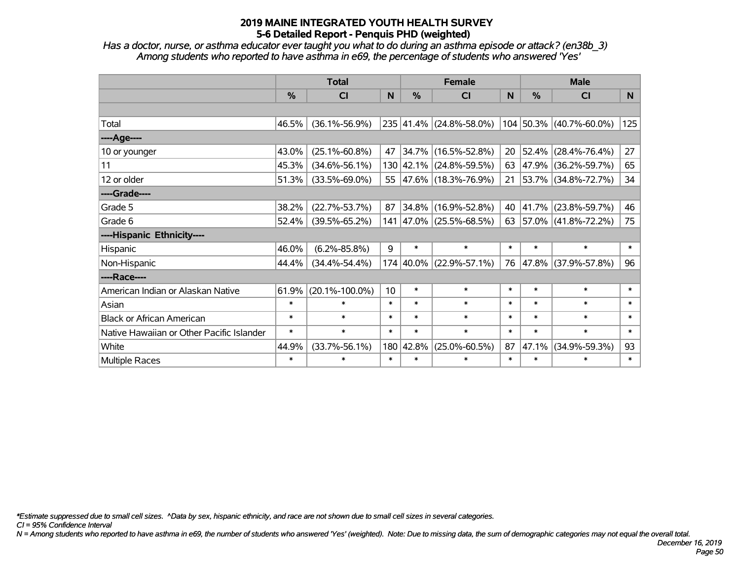*Has a doctor, nurse, or asthma educator ever taught you what to do during an asthma episode or attack? (en38b\_3) Among students who reported to have asthma in e69, the percentage of students who answered 'Yes'*

|                                           | <b>Total</b> |                      |        |           | <b>Female</b>            | <b>Male</b> |        |                           |        |
|-------------------------------------------|--------------|----------------------|--------|-----------|--------------------------|-------------|--------|---------------------------|--------|
|                                           | %            | <b>CI</b>            | N      | %         | <b>CI</b>                | N           | %      | <b>CI</b>                 | N      |
|                                           |              |                      |        |           |                          |             |        |                           |        |
| Total                                     | 46.5%        | $(36.1\% - 56.9\%)$  |        |           | 235 41.4% (24.8%-58.0%)  |             |        | $104$ 50.3% (40.7%-60.0%) | 125    |
| ----Age----                               |              |                      |        |           |                          |             |        |                           |        |
| 10 or younger                             | 43.0%        | $(25.1\% - 60.8\%)$  | 47     | 34.7%     | $(16.5\% - 52.8\%)$      | 20          | 52.4%  | $(28.4\% - 76.4\%)$       | 27     |
| 11                                        | 45.3%        | $(34.6\% - 56.1\%)$  |        |           | 130 42.1% (24.8%-59.5%)  | 63          | 47.9%  | $(36.2\% - 59.7\%)$       | 65     |
| 12 or older                               | 51.3%        | $(33.5\% - 69.0\%)$  | 55     |           | $ 47.6\% $ (18.3%-76.9%) | 21          |        | 53.7% (34.8%-72.7%)       | 34     |
| ----Grade----                             |              |                      |        |           |                          |             |        |                           |        |
| Grade 5                                   | 38.2%        | $(22.7\% - 53.7\%)$  | 87     | 34.8%     | $(16.9\% - 52.8\%)$      | 40          | 41.7%  | $(23.8\% - 59.7\%)$       | 46     |
| Grade 6                                   | 52.4%        | $(39.5\% - 65.2\%)$  |        |           | 141 47.0% (25.5%-68.5%)  | 63          |        | $ 57.0\% $ (41.8%-72.2%)  | 75     |
| ----Hispanic Ethnicity----                |              |                      |        |           |                          |             |        |                           |        |
| Hispanic                                  | 46.0%        | $(6.2\% - 85.8\%)$   | 9      | $\ast$    | $\ast$                   | $\ast$      | $\ast$ | $\ast$                    | $\ast$ |
| Non-Hispanic                              | 44.4%        | $(34.4\% - 54.4\%)$  |        | 174 40.0% | $(22.9\% - 57.1\%)$      | 76          | 47.8%  | $(37.9\% - 57.8\%)$       | 96     |
| ----Race----                              |              |                      |        |           |                          |             |        |                           |        |
| American Indian or Alaskan Native         | 61.9%        | $(20.1\% - 100.0\%)$ | 10     | $\ast$    | $\ast$                   | $\ast$      | $\ast$ | $\ast$                    | $\ast$ |
| Asian                                     | $\ast$       | $\ast$               | $\ast$ | $\ast$    | $\ast$                   | $\ast$      | $\ast$ | $\ast$                    | $\ast$ |
| <b>Black or African American</b>          | $\ast$       | $\ast$               | $\ast$ | $\ast$    | $\ast$                   | $\ast$      | $\ast$ | $\ast$                    | $\ast$ |
| Native Hawaiian or Other Pacific Islander | $\ast$       | $\ast$               | $\ast$ | $\ast$    | $\ast$                   | $\ast$      | $\ast$ | $\ast$                    | $\ast$ |
| White                                     | 44.9%        | $(33.7\% - 56.1\%)$  | 180    | 42.8%     | $(25.0\% - 60.5\%)$      | 87          | 47.1%  | $(34.9\% - 59.3\%)$       | 93     |
| Multiple Races                            | $\ast$       | $\ast$               | $\ast$ | $\ast$    | $\ast$                   | $\ast$      | $\ast$ | $\ast$                    | $\ast$ |

*\*Estimate suppressed due to small cell sizes. ^Data by sex, hispanic ethnicity, and race are not shown due to small cell sizes in several categories.*

*CI = 95% Confidence Interval*

*N = Among students who reported to have asthma in e69, the number of students who answered 'Yes' (weighted). Note: Due to missing data, the sum of demographic categories may not equal the overall total.*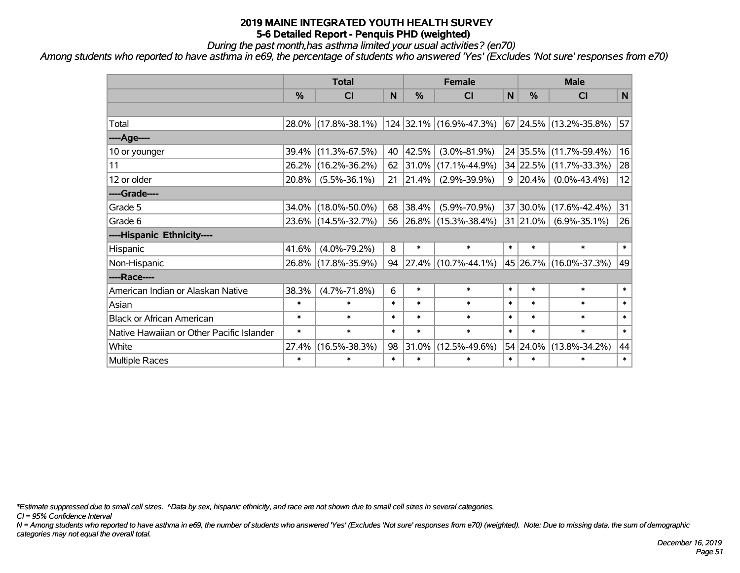*During the past month,has asthma limited your usual activities? (en70)*

*Among students who reported to have asthma in e69, the percentage of students who answered 'Yes' (Excludes 'Not sure' responses from e70)*

|                                           | <b>Total</b>  |                     |        | <b>Female</b> | <b>Male</b>              |        |               |                        |              |
|-------------------------------------------|---------------|---------------------|--------|---------------|--------------------------|--------|---------------|------------------------|--------------|
|                                           | $\frac{0}{0}$ | CI                  | N      | %             | <b>CI</b>                | N      | $\frac{0}{0}$ | <b>CI</b>              | $\mathsf{N}$ |
|                                           |               |                     |        |               |                          |        |               |                        |              |
| Total                                     |               | 28.0% (17.8%-38.1%) |        |               | 124 32.1% (16.9%-47.3%)  |        |               | 67 24.5% (13.2%-35.8%) | 57           |
| ----Age----                               |               |                     |        |               |                          |        |               |                        |              |
| 10 or younger                             | 39.4%         | $(11.3\% - 67.5\%)$ | 40     | 42.5%         | $(3.0\% - 81.9\%)$       |        |               | 24 35.5% (11.7%-59.4%) | 16           |
| 11                                        | 26.2%         | $(16.2\% - 36.2\%)$ | 62     | 31.0%         | $(17.1\% - 44.9\%)$      |        |               | 34 22.5% (11.7%-33.3%) | 28           |
| 12 or older                               | 20.8%         | $(5.5\% - 36.1\%)$  | 21     | 21.4%         | $(2.9\% - 39.9\%)$       | 9      | $ 20.4\% $    | $(0.0\% - 43.4\%)$     | 12           |
| ----Grade----                             |               |                     |        |               |                          |        |               |                        |              |
| Grade 5                                   | 34.0%         | $(18.0\% - 50.0\%)$ | 68     | 38.4%         | $(5.9\% - 70.9\%)$       | 37     |               | $30.0\%$ (17.6%-42.4%) | 31           |
| Grade 6                                   |               | 23.6% (14.5%-32.7%) | 56     |               | $ 26.8\% $ (15.3%-38.4%) |        | $31 21.0\% $  | $(6.9\% - 35.1\%)$     | 26           |
| ----Hispanic Ethnicity----                |               |                     |        |               |                          |        |               |                        |              |
| Hispanic                                  | 41.6%         | $(4.0\% - 79.2\%)$  | 8      | $\ast$        | $\ast$                   | $\ast$ | $\ast$        | $\ast$                 | $\ast$       |
| Non-Hispanic                              |               | 26.8% (17.8%-35.9%) | 94     |               | 27.4% (10.7%-44.1%)      |        |               | 45 26.7% (16.0%-37.3%) | 49           |
| ----Race----                              |               |                     |        |               |                          |        |               |                        |              |
| American Indian or Alaskan Native         | 38.3%         | $(4.7\% - 71.8\%)$  | 6      | $\ast$        | $\ast$                   | $\ast$ | $\ast$        | $\ast$                 | $\ast$       |
| Asian                                     | $\ast$        | $\ast$              | $\ast$ | $\ast$        | $\ast$                   | $\ast$ | $\ast$        | $\ast$                 | $\ast$       |
| <b>Black or African American</b>          | $\ast$        | $\ast$              | $\ast$ | $\ast$        | $\ast$                   | $\ast$ | $\ast$        | $\ast$                 | $\ast$       |
| Native Hawaiian or Other Pacific Islander | $\ast$        | $\ast$              | $\ast$ | $\ast$        | $\ast$                   | $\ast$ | $\ast$        | $\ast$                 | $\ast$       |
| White                                     | 27.4%         | $(16.5\% - 38.3\%)$ | 98     | 31.0%         | $(12.5\% - 49.6\%)$      |        | 54 24.0%      | $(13.8\% - 34.2\%)$    | 44           |
| <b>Multiple Races</b>                     | $\ast$        | $\ast$              | $\ast$ | $\ast$        | $\ast$                   | $\ast$ | $\ast$        | $\ast$                 | $\ast$       |

*\*Estimate suppressed due to small cell sizes. ^Data by sex, hispanic ethnicity, and race are not shown due to small cell sizes in several categories.*

*CI = 95% Confidence Interval*

*N = Among students who reported to have asthma in e69, the number of students who answered 'Yes' (Excludes 'Not sure' responses from e70) (weighted). Note: Due to missing data, the sum of demographic categories may not equal the overall total.*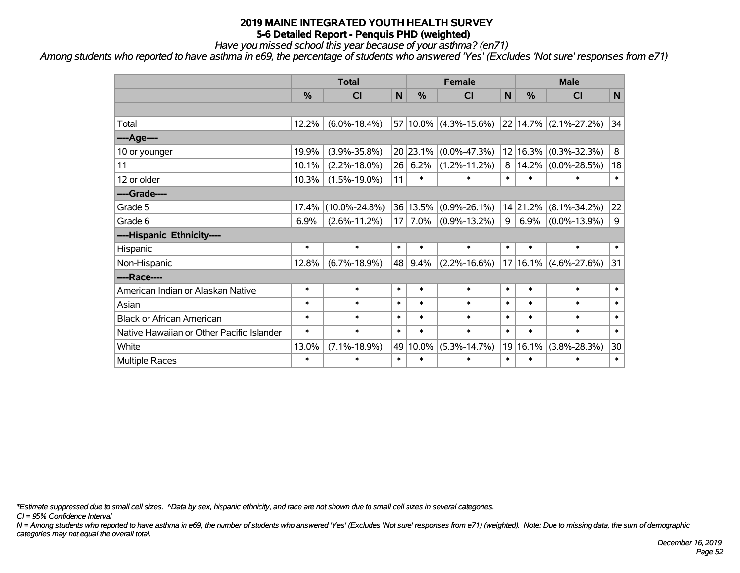*Have you missed school this year because of your asthma? (en71)*

*Among students who reported to have asthma in e69, the percentage of students who answered 'Yes' (Excludes 'Not sure' responses from e71)*

|                                           | <b>Total</b> |                     |                 |               | <b>Female</b>         |        | <b>Male</b> |                       |             |  |
|-------------------------------------------|--------------|---------------------|-----------------|---------------|-----------------------|--------|-------------|-----------------------|-------------|--|
|                                           | %            | CI                  | N               | $\frac{0}{0}$ | <b>CI</b>             | N      | %           | <b>CI</b>             | $\mathbf N$ |  |
|                                           |              |                     |                 |               |                       |        |             |                       |             |  |
| Total                                     | 12.2%        | $(6.0\% - 18.4\%)$  |                 |               | 57 10.0% (4.3%-15.6%) |        |             | 22 14.7% (2.1%-27.2%) | 34          |  |
| ---- Age----                              |              |                     |                 |               |                       |        |             |                       |             |  |
| 10 or younger                             | 19.9%        | $(3.9\% - 35.8\%)$  |                 | 20 23.1%      | $(0.0\% - 47.3\%)$    |        | 12 16.3%    | $(0.3\% - 32.3\%)$    | 8           |  |
| 11                                        | 10.1%        | $(2.2\% - 18.0\%)$  | 26              | 6.2%          | $(1.2\% - 11.2\%)$    | 8      | 14.2%       | $(0.0\% - 28.5\%)$    | 18          |  |
| 12 or older                               | 10.3%        | $(1.5\% - 19.0\%)$  | 11              | $\ast$        | $\ast$                | $\ast$ | $\ast$      | ∗                     | $\ast$      |  |
| ----Grade----                             |              |                     |                 |               |                       |        |             |                       |             |  |
| Grade 5                                   | 17.4%        | $(10.0\% - 24.8\%)$ |                 | 36 13.5%      | $(0.9\% - 26.1\%)$    |        | 14 21.2%    | $(8.1\% - 34.2\%)$    | 22          |  |
| Grade 6                                   | 6.9%         | $(2.6\% - 11.2\%)$  | 17 <sup>1</sup> | 7.0%          | $(0.9\% - 13.2\%)$    | 9      | 6.9%        | $(0.0\% - 13.9\%)$    | 9           |  |
| ----Hispanic Ethnicity----                |              |                     |                 |               |                       |        |             |                       |             |  |
| Hispanic                                  | $\ast$       | $\ast$              | $\ast$          | $\ast$        | $\ast$                | $\ast$ | $\ast$      | $\ast$                | $\ast$      |  |
| Non-Hispanic                              | 12.8%        | $(6.7\% - 18.9\%)$  | 48              | 9.4%          | $(2.2\% - 16.6\%)$    |        | 17 16.1%    | $(4.6\% - 27.6\%)$    | 31          |  |
| ----Race----                              |              |                     |                 |               |                       |        |             |                       |             |  |
| American Indian or Alaskan Native         | $\ast$       | $\ast$              | $\ast$          | $\ast$        | $\ast$                | $\ast$ | $\ast$      | $\ast$                | $\ast$      |  |
| Asian                                     | $\ast$       | $\ast$              | $\ast$          | $\ast$        | $\ast$                | $\ast$ | $\ast$      | $\ast$                | $\ast$      |  |
| <b>Black or African American</b>          | $\ast$       | $\ast$              | $\ast$          | $\ast$        | $\ast$                | $\ast$ | $\ast$      | $\ast$                | $\ast$      |  |
| Native Hawaiian or Other Pacific Islander | $\ast$       | $\ast$              | $\ast$          | $\ast$        | $\ast$                | $\ast$ | $\ast$      | $\ast$                | $\ast$      |  |
| White                                     | 13.0%        | $(7.1\% - 18.9\%)$  |                 | 49 10.0%      | $(5.3\% - 14.7\%)$    |        | 19 16.1%    | $(3.8\% - 28.3\%)$    | 30          |  |
| Multiple Races                            | $\ast$       | *                   | $\ast$          | $\ast$        | $\ast$                | $\ast$ | $\ast$      | $\ast$                | $\ast$      |  |

*\*Estimate suppressed due to small cell sizes. ^Data by sex, hispanic ethnicity, and race are not shown due to small cell sizes in several categories.*

*CI = 95% Confidence Interval*

*N = Among students who reported to have asthma in e69, the number of students who answered 'Yes' (Excludes 'Not sure' responses from e71) (weighted). Note: Due to missing data, the sum of demographic categories may not equal the overall total.*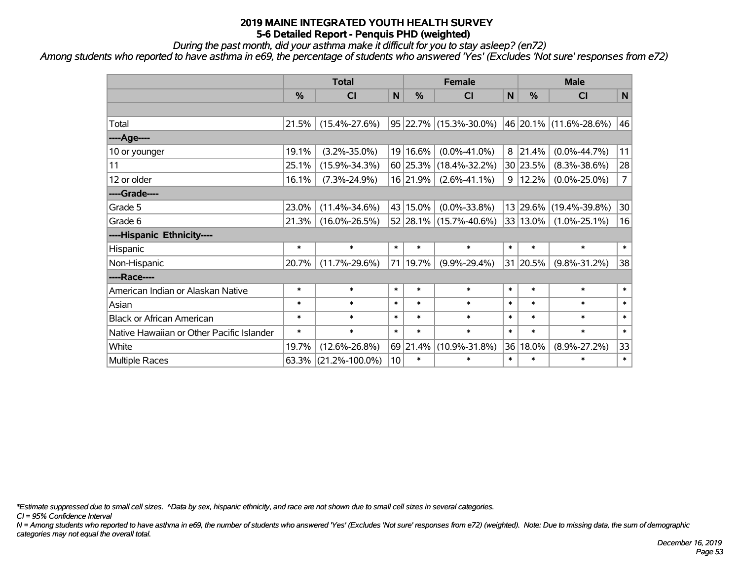*During the past month, did your asthma make it difficult for you to stay asleep? (en72)*

*Among students who reported to have asthma in e69, the percentage of students who answered 'Yes' (Excludes 'Not sure' responses from e72)*

|                                           | <b>Total</b>  |                      |           | <b>Female</b> |                        | <b>Male</b> |          |                        |                |
|-------------------------------------------|---------------|----------------------|-----------|---------------|------------------------|-------------|----------|------------------------|----------------|
|                                           | $\frac{0}{0}$ | CI                   | ${\sf N}$ | $\frac{9}{6}$ | <b>CI</b>              | ${\sf N}$   | %        | <b>CI</b>              | N              |
|                                           |               |                      |           |               |                        |             |          |                        |                |
| Total                                     | 21.5%         | $(15.4\% - 27.6\%)$  |           | 95 22.7%      | $(15.3\% - 30.0\%)$    |             |          | 46 20.1% (11.6%-28.6%) | 46             |
| ----Age----                               |               |                      |           |               |                        |             |          |                        |                |
| 10 or younger                             | 19.1%         | $(3.2\% - 35.0\%)$   |           | 19 16.6%      | $(0.0\% - 41.0\%)$     | 8           | 21.4%    | $(0.0\% - 44.7\%)$     | 11             |
| 11                                        | 25.1%         | $(15.9\% - 34.3\%)$  |           | 60 25.3%      | $(18.4\% - 32.2\%)$    |             | 30 23.5% | $(8.3\% - 38.6\%)$     | 28             |
| 12 or older                               | 16.1%         | $(7.3\% - 24.9\%)$   |           | 16 21.9%      | $(2.6\% - 41.1\%)$     | 9           | 12.2%    | $(0.0\% - 25.0\%)$     | $\overline{7}$ |
| ----Grade----                             |               |                      |           |               |                        |             |          |                        |                |
| Grade 5                                   | 23.0%         | $(11.4\% - 34.6\%)$  |           | 43 15.0%      | $(0.0\% - 33.8\%)$     |             |          | 13 29.6% (19.4%-39.8%) | 30             |
| Grade 6                                   | 21.3%         | $(16.0\% - 26.5\%)$  |           |               | 52 28.1% (15.7%-40.6%) |             | 33 13.0% | $(1.0\% - 25.1\%)$     | 16             |
| ----Hispanic Ethnicity----                |               |                      |           |               |                        |             |          |                        |                |
| Hispanic                                  | $\ast$        | $\ast$               | $\ast$    | $\ast$        | $\ast$                 | $\ast$      | $\ast$   | $\ast$                 | $\ast$         |
| Non-Hispanic                              | 20.7%         | $(11.7\% - 29.6\%)$  | 71        | 19.7%         | $(9.9\% - 29.4\%)$     |             | 31 20.5% | $(9.8\% - 31.2\%)$     | 38             |
| ----Race----                              |               |                      |           |               |                        |             |          |                        |                |
| American Indian or Alaskan Native         | $\ast$        | $\ast$               | $\ast$    | $\ast$        | $\ast$                 | $\ast$      | $\ast$   | $\ast$                 | $\ast$         |
| Asian                                     | $\ast$        | $\ast$               | $\ast$    | $\ast$        | $\ast$                 | $\ast$      | $\ast$   | $\ast$                 | $\ast$         |
| <b>Black or African American</b>          | $\ast$        | $\ast$               | $\ast$    | $\ast$        | $\ast$                 | $\ast$      | $\ast$   | $\ast$                 | $\ast$         |
| Native Hawaiian or Other Pacific Islander | $\ast$        | $\ast$               | $\ast$    | $\ast$        | $\ast$                 | $\ast$      | $\ast$   | $\ast$                 | $\ast$         |
| White                                     | 19.7%         | $(12.6\% - 26.8\%)$  |           | 69 21.4%      | $(10.9\% - 31.8\%)$    | 36          | 18.0%    | $(8.9\% - 27.2\%)$     | 33             |
| Multiple Races                            | 63.3%         | $(21.2\% - 100.0\%)$ | 10        | $\ast$        | $\ast$                 | $\ast$      | $\ast$   | $\ast$                 | $\ast$         |

*\*Estimate suppressed due to small cell sizes. ^Data by sex, hispanic ethnicity, and race are not shown due to small cell sizes in several categories.*

*CI = 95% Confidence Interval*

*N = Among students who reported to have asthma in e69, the number of students who answered 'Yes' (Excludes 'Not sure' responses from e72) (weighted). Note: Due to missing data, the sum of demographic categories may not equal the overall total.*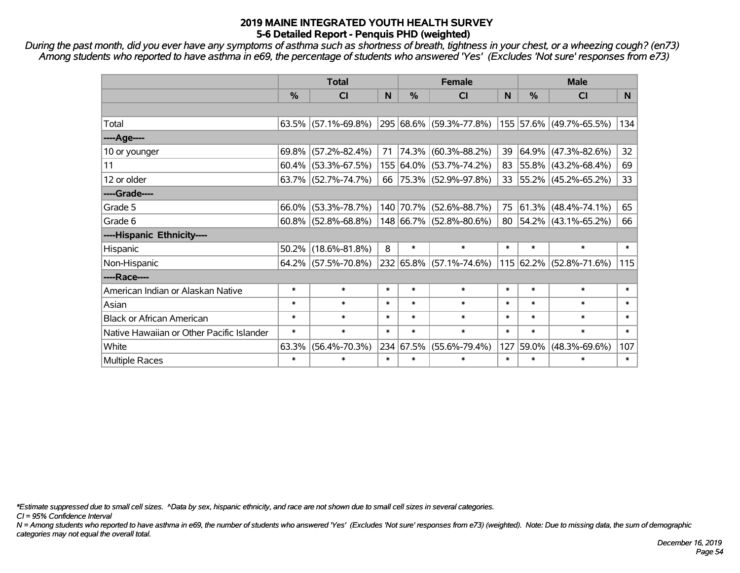*During the past month, did you ever have any symptoms of asthma such as shortness of breath, tightness in your chest, or a wheezing cough? (en73) Among students who reported to have asthma in e69, the percentage of students who answered 'Yes' (Excludes 'Not sure' responses from e73)*

|                                           | <b>Total</b> |                        |        | <b>Female</b> | <b>Male</b>              |        |               |                                  |        |
|-------------------------------------------|--------------|------------------------|--------|---------------|--------------------------|--------|---------------|----------------------------------|--------|
|                                           | %            | <b>CI</b>              | N      | %             | <b>CI</b>                | N      | $\frac{0}{0}$ | <b>CI</b>                        | N.     |
|                                           |              |                        |        |               |                          |        |               |                                  |        |
| Total                                     |              | $63.5\%$ (57.1%-69.8%) |        |               | 295 68.6% (59.3%-77.8%)  |        |               | 155 57.6% (49.7%-65.5%)          | 134    |
| ----Age----                               |              |                        |        |               |                          |        |               |                                  |        |
| 10 or younger                             |              | $69.8\%$ (57.2%-82.4%) | 71     | 74.3%         | $(60.3\% - 88.2\%)$      | 39     | 64.9%         | $(47.3\% - 82.6\%)$              | 32     |
| 11                                        |              | $60.4\%$ (53.3%-67.5%) |        |               | 155 64.0% (53.7%-74.2%)  | 83     |               | $ 55.8\% $ (43.2%-68.4%)         | 69     |
| 12 or older                               |              | $63.7\%$ (52.7%-74.7%) | 66     |               | $ 75.3\% $ (52.9%-97.8%) |        |               | 33 55.2% (45.2%-65.2%)           | 33     |
| ----Grade----                             |              |                        |        |               |                          |        |               |                                  |        |
| Grade 5                                   |              | $66.0\%$ (53.3%-78.7%) |        | 140 70.7%     | $(52.6\% - 88.7\%)$      | 75     | 61.3%         | $(48.4\% - 74.1\%)$              | 65     |
| Grade 6                                   |              | $60.8\%$ (52.8%-68.8%) |        |               | 148 66.7% (52.8%-80.6%)  |        |               | 80   54.2%   $(43.1\% - 65.2\%)$ | 66     |
| ----Hispanic Ethnicity----                |              |                        |        |               |                          |        |               |                                  |        |
| Hispanic                                  |              | $50.2\%$ (18.6%-81.8%) | 8      | $\ast$        | $\ast$                   | $\ast$ | $\ast$        | $\ast$                           | $\ast$ |
| Non-Hispanic                              |              | $64.2\%$ (57.5%-70.8%) |        |               | 232 65.8% (57.1%-74.6%)  |        | $115 62.2\% $ | $(52.8\% - 71.6\%)$              | 115    |
| ----Race----                              |              |                        |        |               |                          |        |               |                                  |        |
| American Indian or Alaskan Native         | $\ast$       | $\ast$                 | $\ast$ | $\ast$        | $\ast$                   | $\ast$ | $\ast$        | $\ast$                           | $\ast$ |
| Asian                                     | $\ast$       | $\ast$                 | $\ast$ | $\ast$        | $\ast$                   | $\ast$ | $\ast$        | $\ast$                           | $\ast$ |
| <b>Black or African American</b>          | $\ast$       | $\ast$                 | $\ast$ | $\ast$        | $\ast$                   | $\ast$ | $\ast$        | $\ast$                           | $\ast$ |
| Native Hawaiian or Other Pacific Islander | $\ast$       | $\ast$                 | $\ast$ | $\ast$        | $\ast$                   | $\ast$ | $\ast$        | $\ast$                           | $\ast$ |
| White                                     | 63.3%        | $(56.4\% - 70.3\%)$    |        | 234 67.5%     | $(55.6\% - 79.4\%)$      | 127    | 59.0%         | $(48.3\% - 69.6\%)$              | 107    |
| <b>Multiple Races</b>                     | $\ast$       | $\ast$                 | $\ast$ | $\ast$        | $\ast$                   | $\ast$ | $\ast$        | $\ast$                           | $\ast$ |

*\*Estimate suppressed due to small cell sizes. ^Data by sex, hispanic ethnicity, and race are not shown due to small cell sizes in several categories.*

*CI = 95% Confidence Interval*

*N = Among students who reported to have asthma in e69, the number of students who answered 'Yes' (Excludes 'Not sure' responses from e73) (weighted). Note: Due to missing data, the sum of demographic categories may not equal the overall total.*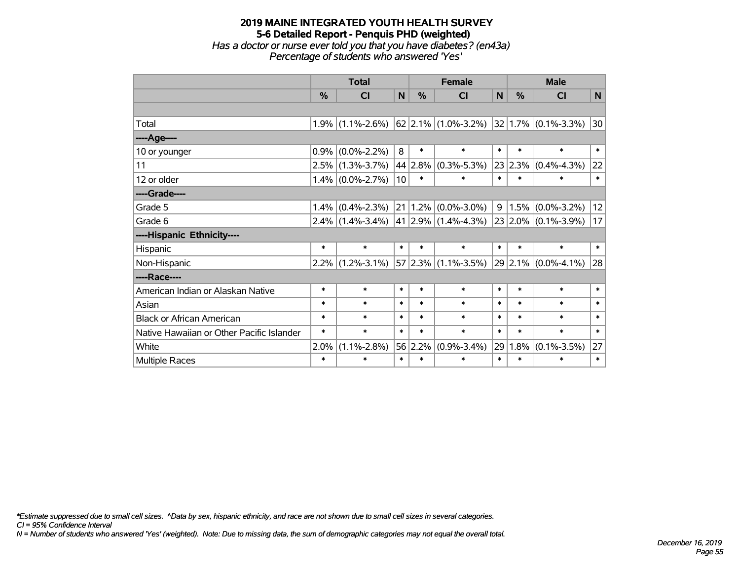## **2019 MAINE INTEGRATED YOUTH HEALTH SURVEY 5-6 Detailed Report - Penquis PHD (weighted)** *Has a doctor or nurse ever told you that you have diabetes? (en43a) Percentage of students who answered 'Yes'*

|                                           | <b>Total</b> |                                         |        |               | <b>Female</b>             | <b>Male</b> |         |                          |        |
|-------------------------------------------|--------------|-----------------------------------------|--------|---------------|---------------------------|-------------|---------|--------------------------|--------|
|                                           | $\%$         | <b>CI</b>                               | N      | $\frac{0}{0}$ | <b>CI</b>                 | N           | $\%$    | <b>CI</b>                | N      |
|                                           |              |                                         |        |               |                           |             |         |                          |        |
| Total                                     |              | $1.9\%$ (1.1%-2.6%) 62 2.1% (1.0%-3.2%) |        |               |                           |             |         | $ 32 1.7\% $ (0.1%-3.3%) | 30     |
| ----Age----                               |              |                                         |        |               |                           |             |         |                          |        |
| 10 or younger                             | 0.9%         | $(0.0\% - 2.2\%)$                       | 8      | $\ast$        | $\ast$                    | $\ast$      | $\ast$  | $\ast$                   | $\ast$ |
| 11                                        |              | $2.5\%$ (1.3%-3.7%)                     |        | 44 2.8%       | $(0.3\% - 5.3\%)$         |             | 23 2.3% | $(0.4\% - 4.3\%)$        | 22     |
| 12 or older                               |              | $1.4\%$ (0.0%-2.7%)                     | 10     | $\ast$        | $\ast$                    | $\ast$      | $\ast$  | $\ast$                   | $\ast$ |
| ----Grade----                             |              |                                         |        |               |                           |             |         |                          |        |
| Grade 5                                   | 1.4%         | $(0.4\% - 2.3\%)$                       | 21     | 1.2%          | $(0.0\% - 3.0\%)$         | 9           | 1.5%    | $(0.0\% - 3.2\%)$        | 12     |
| Grade 6                                   |              | $2.4\%$ (1.4%-3.4%)                     |        |               | 41 2.9% $(1.4\% - 4.3\%)$ |             |         | $23 2.0\% $ (0.1%-3.9%)  | 17     |
| ----Hispanic Ethnicity----                |              |                                         |        |               |                           |             |         |                          |        |
| Hispanic                                  | $\ast$       | $\ast$                                  | $\ast$ | $\ast$        | $\ast$                    | $\ast$      | $\ast$  | $\ast$                   | $\ast$ |
| Non-Hispanic                              |              | $2.2\%$ (1.2%-3.1%)                     |        |               | $57 2.3\% $ (1.1%-3.5%)   |             |         | $29$ 2.1% (0.0%-4.1%)    | 28     |
| ----Race----                              |              |                                         |        |               |                           |             |         |                          |        |
| American Indian or Alaskan Native         | $\ast$       | $\ast$                                  | $\ast$ | $\ast$        | $\ast$                    | $\ast$      | $\ast$  | $\ast$                   | $\ast$ |
| Asian                                     | $\ast$       | $\ast$                                  | $\ast$ | $\ast$        | $\ast$                    | $\ast$      | $\ast$  | $\ast$                   | $\ast$ |
| <b>Black or African American</b>          | $\ast$       | $\ast$                                  | $\ast$ | $\ast$        | $\ast$                    | $\ast$      | $\ast$  | $\ast$                   | $\ast$ |
| Native Hawaiian or Other Pacific Islander | $\ast$       | $\ast$                                  | $\ast$ | $\ast$        | $\ast$                    | $\ast$      | $\ast$  | $\ast$                   | $\ast$ |
| White                                     | 2.0%         | $(1.1\% - 2.8\%)$                       |        | 56 2.2%       | $(0.9\% - 3.4\%)$         | 29          | 1.8%    | $(0.1\% - 3.5\%)$        | 27     |
| Multiple Races                            | $\ast$       | $\ast$                                  | $\ast$ | $\ast$        | $\ast$                    | $\ast$      | $\ast$  | $\ast$                   | $\ast$ |

*\*Estimate suppressed due to small cell sizes. ^Data by sex, hispanic ethnicity, and race are not shown due to small cell sizes in several categories.*

*CI = 95% Confidence Interval*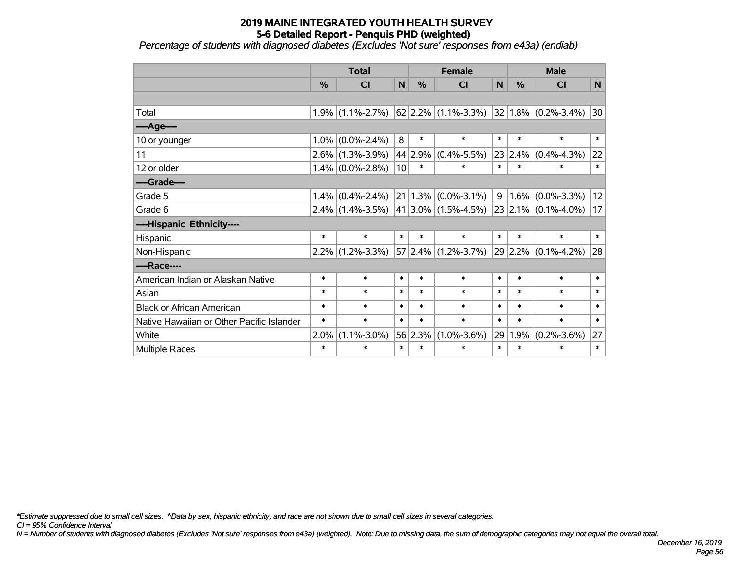*Percentage of students with diagnosed diabetes (Excludes 'Not sure' responses from e43a) (endiab)*

|                                           | <b>Total</b> |                     |        | <b>Female</b> |                                                           |        | <b>Male</b> |                          |        |  |
|-------------------------------------------|--------------|---------------------|--------|---------------|-----------------------------------------------------------|--------|-------------|--------------------------|--------|--|
|                                           | %            | <b>CI</b>           | N      | %             | <b>CI</b>                                                 | N      | %           | <b>CI</b>                | N      |  |
|                                           |              |                     |        |               |                                                           |        |             |                          |        |  |
| Total                                     |              | $1.9\%$ (1.1%-2.7%) |        |               | $\left  62 \right  2.2\% \left  (1.1\% - 3.3\% ) \right $ |        |             | $ 32 1.8\% $ (0.2%-3.4%) | 30     |  |
| ----Age----                               |              |                     |        |               |                                                           |        |             |                          |        |  |
| 10 or younger                             | 1.0%         | $(0.0\% - 2.4\%)$   | 8      | $\ast$        | $\ast$                                                    | $\ast$ | $\ast$      | $\ast$                   | $\ast$ |  |
| 11                                        |              | $2.6\%$ (1.3%-3.9%) | 44     | 2.9%          | $(0.4\% - 5.5\%)$                                         |        | 23 2.4%     | $(0.4\% - 4.3\%)$        | 22     |  |
| 12 or older                               |              | $1.4\%$ (0.0%-2.8%) | 10     | $\ast$        | $\ast$                                                    | $\ast$ | $\ast$      | $\ast$                   | $\ast$ |  |
| ----Grade----                             |              |                     |        |               |                                                           |        |             |                          |        |  |
| Grade 5                                   | 1.4%         | $(0.4\% - 2.4\%)$   |        |               | $21 1.3\% $ (0.0%-3.1%)                                   | 9      | $1.6\%$     | $(0.0\% - 3.3\%)$        | 12     |  |
| Grade 6                                   |              | $2.4\%$ (1.4%-3.5%) |        |               | $ 41 3.0\% $ (1.5%-4.5%) 23 2.1% (0.1%-4.0%)              |        |             |                          | 17     |  |
| ----Hispanic Ethnicity----                |              |                     |        |               |                                                           |        |             |                          |        |  |
| Hispanic                                  | $\ast$       | $\ast$              | $\ast$ | $\ast$        | $\ast$                                                    | $\ast$ | $\ast$      | $\ast$                   | $\ast$ |  |
| Non-Hispanic                              | $2.2\%$      | $(1.2\% - 3.3\%)$   |        |               | 57 2.4% (1.2%-3.7%)                                       |        | 29 2.2%     | $(0.1\% - 4.2\%)$        | 28     |  |
| ----Race----                              |              |                     |        |               |                                                           |        |             |                          |        |  |
| American Indian or Alaskan Native         | $\ast$       | $\ast$              | $\ast$ | $\ast$        | $\ast$                                                    | $\ast$ | $\ast$      | $\ast$                   | $\ast$ |  |
| Asian                                     | $\ast$       | $\ast$              | $\ast$ | $\ast$        | $\ast$                                                    | $\ast$ | $\ast$      | $\ast$                   | $\ast$ |  |
| <b>Black or African American</b>          | $\ast$       | $\ast$              | $\ast$ | $\ast$        | $\ast$                                                    | $\ast$ | $\ast$      | $\ast$                   | $\ast$ |  |
| Native Hawaiian or Other Pacific Islander | $\ast$       | $\ast$              | $\ast$ | $\ast$        | $\ast$                                                    | $\ast$ | $\ast$      | $\ast$                   | $\ast$ |  |
| White                                     | 2.0%         | $(1.1\% - 3.0\%)$   | 56     | 2.3%          | $(1.0\% - 3.6\%)$                                         | 29     | 1.9%        | $(0.2\% - 3.6\%)$        | 27     |  |
| Multiple Races                            | $\ast$       | $\ast$              | $\ast$ | $\ast$        | $\ast$                                                    | $\ast$ | $\ast$      | $\ast$                   | $\ast$ |  |

*\*Estimate suppressed due to small cell sizes. ^Data by sex, hispanic ethnicity, and race are not shown due to small cell sizes in several categories.*

*CI = 95% Confidence Interval*

*N = Number of students with diagnosed diabetes (Excludes 'Not sure' responses from e43a) (weighted). Note: Due to missing data, the sum of demographic categories may not equal the overall total.*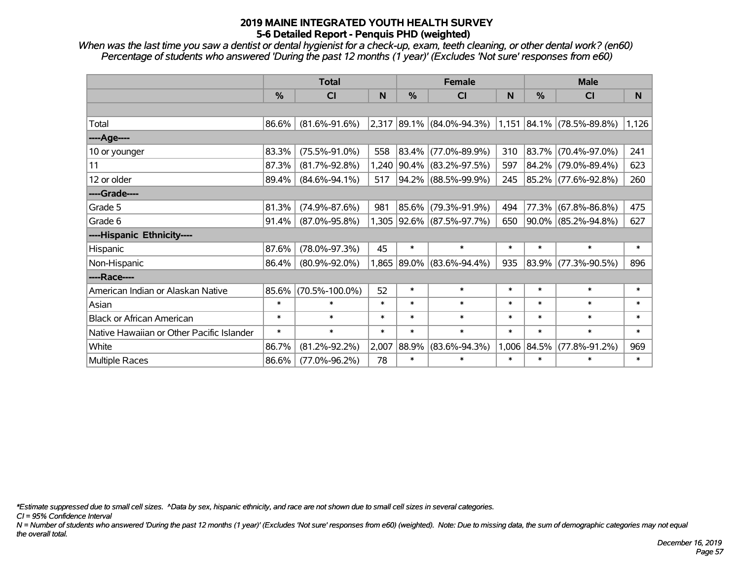*When was the last time you saw a dentist or dental hygienist for a check-up, exam, teeth cleaning, or other dental work? (en60) Percentage of students who answered 'During the past 12 months (1 year)' (Excludes 'Not sure' responses from e60)*

|                                           | <b>Total</b>  |                      |        | <b>Female</b> |                             | <b>Male</b> |               |                                |        |
|-------------------------------------------|---------------|----------------------|--------|---------------|-----------------------------|-------------|---------------|--------------------------------|--------|
|                                           | $\frac{0}{2}$ | CI                   | N      | $\%$          | <b>CI</b>                   | N           | $\frac{0}{0}$ | <b>CI</b>                      | N.     |
|                                           |               |                      |        |               |                             |             |               |                                |        |
| Total                                     | 86.6%         | $(81.6\% - 91.6\%)$  |        |               | $2,317$ 89.1% (84.0%-94.3%) |             |               | $1,151$ $84.1\%$ (78.5%-89.8%) | 1,126  |
| ----Age----                               |               |                      |        |               |                             |             |               |                                |        |
| 10 or younger                             | 83.3%         | $(75.5\% - 91.0\%)$  | 558    |               | 83.4% (77.0%-89.9%)         | 310         | 83.7%         | $(70.4\% - 97.0\%)$            | 241    |
| 11                                        | 87.3%         | $(81.7\% - 92.8\%)$  | 1,240  |               | 90.4% (83.2%-97.5%)         | 597         | 84.2%         | $(79.0\% - 89.4\%)$            | 623    |
| 12 or older                               | 89.4%         | $(84.6\% - 94.1\%)$  | 517    |               | 94.2% (88.5%-99.9%)         | 245         |               | 85.2% (77.6%-92.8%)            | 260    |
| ----Grade----                             |               |                      |        |               |                             |             |               |                                |        |
| Grade 5                                   | 81.3%         | $(74.9\% - 87.6\%)$  | 981    | 85.6%         | (79.3%-91.9%)               | 494         | 77.3%         | $(67.8\% - 86.8\%)$            | 475    |
| Grade 6                                   | 91.4%         | $(87.0\% - 95.8\%)$  |        |               | 1,305 92.6% (87.5%-97.7%)   | 650         |               | $90.0\%$ (85.2%-94.8%)         | 627    |
| ----Hispanic Ethnicity----                |               |                      |        |               |                             |             |               |                                |        |
| Hispanic                                  | 87.6%         | $(78.0\% - 97.3\%)$  | 45     | $\ast$        | $\ast$                      | $\ast$      | $\ast$        | $\ast$                         | $\ast$ |
| Non-Hispanic                              | 86.4%         | $(80.9\% - 92.0\%)$  | 1,865  | 89.0%         | $(83.6\% - 94.4\%)$         | 935         | 83.9%         | $(77.3\% - 90.5\%)$            | 896    |
| ----Race----                              |               |                      |        |               |                             |             |               |                                |        |
| American Indian or Alaskan Native         | 85.6%         | $(70.5\% - 100.0\%)$ | 52     | $\ast$        | $\ast$                      | $\ast$      | $\ast$        | $\ast$                         | $\ast$ |
| Asian                                     | $\ast$        | $\ast$               | $\ast$ | $\ast$        | $\ast$                      | $\ast$      | $\ast$        | $\ast$                         | $\ast$ |
| <b>Black or African American</b>          | $\ast$        | $\ast$               | $\ast$ | $\ast$        | $\ast$                      | $\ast$      | $\ast$        | $\ast$                         | $\ast$ |
| Native Hawaiian or Other Pacific Islander | $\ast$        | $\ast$               | $\ast$ | $\ast$        | $\ast$                      | $\ast$      | $\ast$        | $\ast$                         | $\ast$ |
| White                                     | 86.7%         | $(81.2\% - 92.2\%)$  | 2,007  | 88.9%         | $(83.6\% - 94.3\%)$         |             | 1,006 84.5%   | $(77.8\% - 91.2\%)$            | 969    |
| Multiple Races                            | 86.6%         | $(77.0\% - 96.2\%)$  | 78     | $\ast$        | $\ast$                      | $\ast$      | $\ast$        | $\ast$                         | $\ast$ |

*\*Estimate suppressed due to small cell sizes. ^Data by sex, hispanic ethnicity, and race are not shown due to small cell sizes in several categories.*

*CI = 95% Confidence Interval*

*N = Number of students who answered 'During the past 12 months (1 year)' (Excludes 'Not sure' responses from e60) (weighted). Note: Due to missing data, the sum of demographic categories may not equal the overall total.*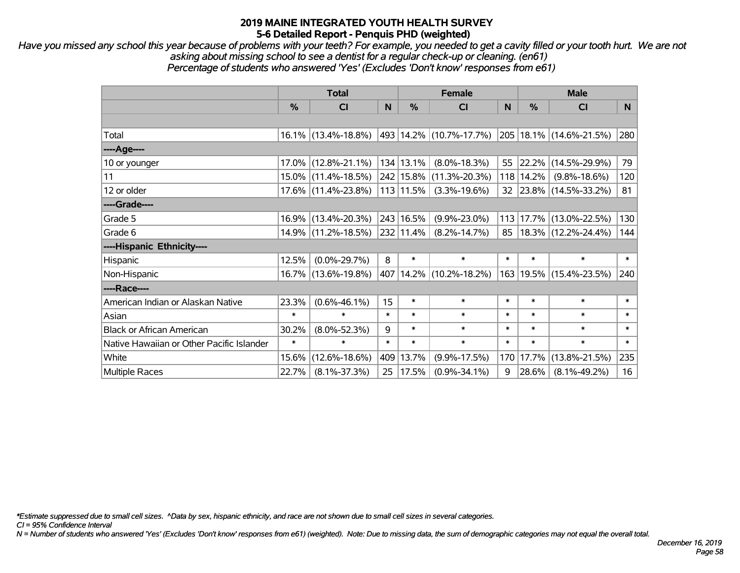*Have you missed any school this year because of problems with your teeth? For example, you needed to get a cavity filled or your tooth hurt. We are not asking about missing school to see a dentist for a regular check-up or cleaning. (en61) Percentage of students who answered 'Yes' (Excludes 'Don't know' responses from e61)*

|                                           | <b>Total</b> |                        |        | <b>Female</b> | <b>Male</b>                 |        |           |                             |        |
|-------------------------------------------|--------------|------------------------|--------|---------------|-----------------------------|--------|-----------|-----------------------------|--------|
|                                           | %            | <b>CI</b>              | N      | $\frac{0}{0}$ | <b>CI</b>                   | N      | %         | <b>CI</b>                   | N.     |
|                                           |              |                        |        |               |                             |        |           |                             |        |
| Total                                     |              | $16.1\%$ (13.4%-18.8%) |        |               | 493 14.2% (10.7%-17.7%)     |        |           | 205   18.1%   (14.6%-21.5%) | 280    |
| ----Age----                               |              |                        |        |               |                             |        |           |                             |        |
| 10 or younger                             |              | $17.0\%$ (12.8%-21.1%) |        | 134 13.1%     | $(8.0\% - 18.3\%)$          | 55     | 22.2%     | $(14.5\% - 29.9\%)$         | 79     |
| 11                                        |              | 15.0% (11.4%-18.5%)    |        | 242 15.8%     | $(11.3\% - 20.3\%)$         |        | 118 14.2% | $(9.8\% - 18.6\%)$          | 120    |
| 12 or older                               |              | $17.6\%$ (11.4%-23.8%) |        | $113$   11.5% | $(3.3\% - 19.6\%)$          |        |           | 32 23.8% (14.5%-33.2%)      | 81     |
| ----Grade----                             |              |                        |        |               |                             |        |           |                             |        |
| Grade 5                                   |              | 16.9% (13.4%-20.3%)    |        | 243 16.5%     | $(9.9\% - 23.0\%)$          |        | 113 17.7% | $(13.0\% - 22.5\%)$         | 130    |
| Grade 6                                   |              | 14.9% (11.2%-18.5%)    |        | 232 11.4%     | $(8.2\% - 14.7\%)$          | 85     |           | $ 18.3\% $ (12.2%-24.4%)    | 144    |
| ----Hispanic Ethnicity----                |              |                        |        |               |                             |        |           |                             |        |
| Hispanic                                  | 12.5%        | $(0.0\% - 29.7\%)$     | 8      | $\ast$        | $\ast$                      | $\ast$ | $\ast$    | $\ast$                      | $\ast$ |
| Non-Hispanic                              |              | 16.7% (13.6%-19.8%)    |        |               | 407   14.2%   (10.2%-18.2%) |        |           | 163   19.5%   (15.4%-23.5%) | 240    |
| ----Race----                              |              |                        |        |               |                             |        |           |                             |        |
| American Indian or Alaskan Native         | 23.3%        | $(0.6\% - 46.1\%)$     | 15     | $\ast$        | $\ast$                      | $\ast$ | $\ast$    | $\ast$                      | $\ast$ |
| Asian                                     | $\ast$       | $\ast$                 | $\ast$ | $\ast$        | $\ast$                      | $\ast$ | $\ast$    | $\ast$                      | $\ast$ |
| <b>Black or African American</b>          | 30.2%        | $(8.0\% - 52.3\%)$     | 9      | $\ast$        | $\ast$                      | $\ast$ | $\ast$    | $\ast$                      | $\ast$ |
| Native Hawaiian or Other Pacific Islander | $\ast$       | $\ast$                 | $\ast$ | $\ast$        | $\ast$                      | $\ast$ | $\ast$    | $\ast$                      | $\ast$ |
| White                                     | $15.6\%$     | $(12.6\% - 18.6\%)$    | 409    | 13.7%         | $(9.9\% - 17.5\%)$          | 170    | 17.7%     | $(13.8\% - 21.5\%)$         | 235    |
| <b>Multiple Races</b>                     | 22.7%        | $(8.1\% - 37.3\%)$     | 25     | 17.5%         | $(0.9\% - 34.1\%)$          | 9      | 28.6%     | $(8.1\% - 49.2\%)$          | 16     |

*\*Estimate suppressed due to small cell sizes. ^Data by sex, hispanic ethnicity, and race are not shown due to small cell sizes in several categories.*

*CI = 95% Confidence Interval*

*N = Number of students who answered 'Yes' (Excludes 'Don't know' responses from e61) (weighted). Note: Due to missing data, the sum of demographic categories may not equal the overall total.*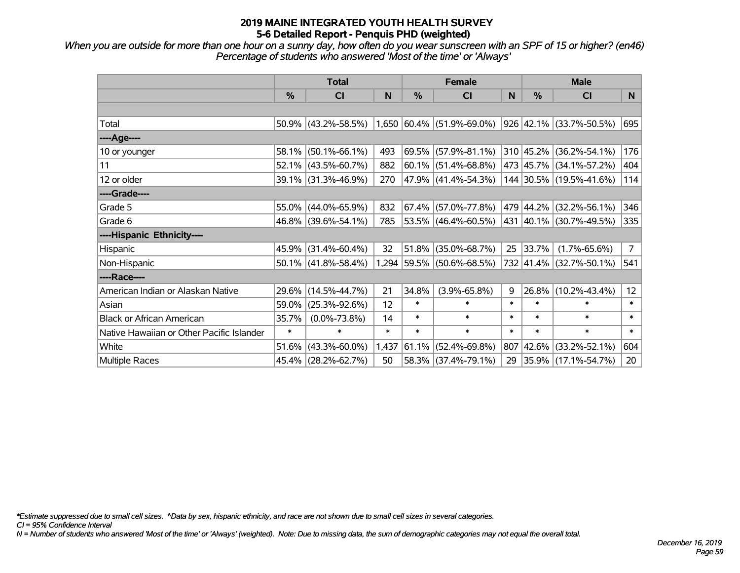*When you are outside for more than one hour on a sunny day, how often do you wear sunscreen with an SPF of 15 or higher? (en46) Percentage of students who answered 'Most of the time' or 'Always'*

|                                           | <b>Total</b>  |                        |        | <b>Female</b> | <b>Male</b>                    |        |          |                          |             |
|-------------------------------------------|---------------|------------------------|--------|---------------|--------------------------------|--------|----------|--------------------------|-------------|
|                                           | $\frac{0}{0}$ | <b>CI</b>              | N      | $\%$          | <b>CI</b>                      | N      | $\%$     | <b>CI</b>                | N.          |
|                                           |               |                        |        |               |                                |        |          |                          |             |
| Total                                     |               | $50.9\%$ (43.2%-58.5%) |        |               | $(1,650 60.4\% 51.9\%$ -69.0%) |        |          | 926 42.1% (33.7%-50.5%)  | 695         |
| ----Age----                               |               |                        |        |               |                                |        |          |                          |             |
| 10 or younger                             |               | 58.1% (50.1%-66.1%)    | 493    | 69.5%         | $(57.9\% - 81.1\%)$            |        |          | 310 45.2% (36.2%-54.1%)  | 176         |
| 11                                        |               | $52.1\%$ (43.5%-60.7%) | 882    |               | $60.1\%$ (51.4%-68.8%)         |        |          | 473 45.7% (34.1%-57.2%)  | 404         |
| 12 or older                               |               | 39.1% (31.3%-46.9%)    | 270    |               | 47.9% (41.4%-54.3%)            |        |          | 144 30.5% (19.5%-41.6%)  | 114         |
| ----Grade----                             |               |                        |        |               |                                |        |          |                          |             |
| Grade 5                                   |               | 55.0% (44.0%-65.9%)    | 832    | 67.4%         | $(57.0\% - 77.8\%)$            |        |          | 479 44.2% (32.2%-56.1%)  | 346         |
| Grade 6                                   |               | 46.8% (39.6%-54.1%)    | 785    |               | $53.5\%$ (46.4%-60.5%)         |        |          | 431 40.1% (30.7%-49.5%)  | 335         |
| ----Hispanic Ethnicity----                |               |                        |        |               |                                |        |          |                          |             |
| Hispanic                                  | 45.9%         | $(31.4\% - 60.4\%)$    | 32     | 51.8%         | $(35.0\% - 68.7\%)$            | 25     | 33.7%    | $(1.7\% - 65.6\%)$       | $7^{\circ}$ |
| Non-Hispanic                              |               | $50.1\%$ (41.8%-58.4%) |        |               | 1,294 59.5% (50.6%-68.5%)      |        |          | 732 41.4% (32.7%-50.1%)  | 541         |
| ----Race----                              |               |                        |        |               |                                |        |          |                          |             |
| American Indian or Alaskan Native         |               | 29.6% (14.5%-44.7%)    | 21     | 34.8%         | $(3.9\% - 65.8\%)$             | 9      | $26.8\%$ | $(10.2\% - 43.4\%)$      | 12          |
| Asian                                     |               | 59.0% (25.3%-92.6%)    | 12     | $\ast$        | $\ast$                         | $\ast$ | $\ast$   | $\ast$                   | $\ast$      |
| <b>Black or African American</b>          | 35.7%         | $(0.0\% - 73.8\%)$     | 14     | $\ast$        | $\ast$                         | $\ast$ | $\ast$   | $\ast$                   | $\ast$      |
| Native Hawaiian or Other Pacific Islander | $\ast$        | $\ast$                 | $\ast$ | $\ast$        | $\ast$                         | $\ast$ | $\ast$   | $\ast$                   | $\ast$      |
| White                                     | 51.6%         | $(43.3\% - 60.0\%)$    | 1,437  | 61.1%         | $(52.4\% - 69.8\%)$            | 807    |          | 42.6% (33.2%-52.1%)      | 604         |
| Multiple Races                            |               | 45.4% (28.2%-62.7%)    | 50     |               | 58.3% (37.4%-79.1%)            | 29     |          | $ 35.9\% $ (17.1%-54.7%) | 20          |

*\*Estimate suppressed due to small cell sizes. ^Data by sex, hispanic ethnicity, and race are not shown due to small cell sizes in several categories.*

*CI = 95% Confidence Interval*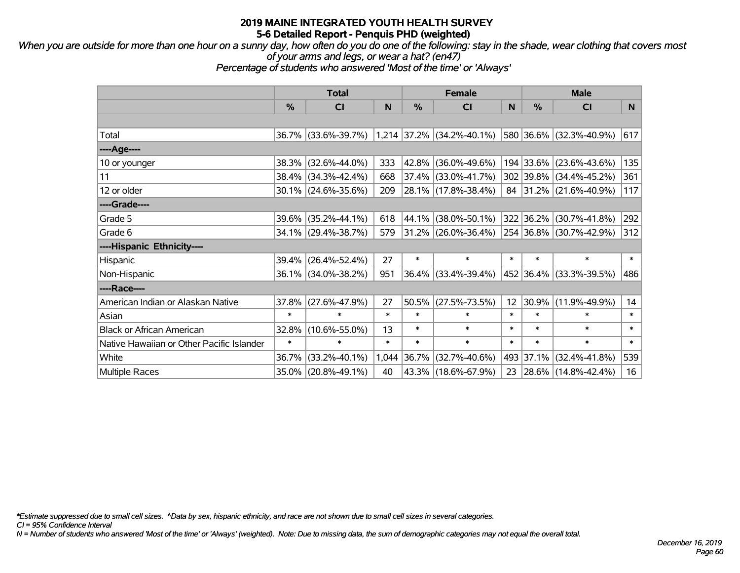*When you are outside for more than one hour on a sunny day, how often do you do one of the following: stay in the shade, wear clothing that covers most of your arms and legs, or wear a hat? (en47)*

*Percentage of students who answered 'Most of the time' or 'Always'*

|                                           | <b>Total</b> |                     |        | <b>Female</b> |                           |        | <b>Male</b>   |                          |        |
|-------------------------------------------|--------------|---------------------|--------|---------------|---------------------------|--------|---------------|--------------------------|--------|
|                                           | %            | <b>CI</b>           | N      | %             | <b>CI</b>                 | N      | $\frac{0}{0}$ | <b>CI</b>                | N.     |
|                                           |              |                     |        |               |                           |        |               |                          |        |
| Total                                     | 36.7%        | $(33.6\% - 39.7\%)$ |        |               | 1,214 37.2% (34.2%-40.1%) |        |               | 580 36.6% (32.3%-40.9%)  | 617    |
| ----Age----                               |              |                     |        |               |                           |        |               |                          |        |
| 10 or younger                             | 38.3%        | $(32.6\% - 44.0\%)$ | 333    | $42.8\%$      | $(36.0\% - 49.6\%)$       |        | 194 33.6%     | $(23.6\% - 43.6\%)$      | 135    |
| 11                                        | 38.4%        | $(34.3\% - 42.4\%)$ | 668    |               | 37.4% (33.0%-41.7%)       |        |               | 302 39.8% (34.4%-45.2%)  | 361    |
| 12 or older                               |              | 30.1% (24.6%-35.6%) | 209    |               | $28.1\%$ (17.8%-38.4%)    | 84     |               | $ 31.2\% $ (21.6%-40.9%) | 117    |
| ----Grade----                             |              |                     |        |               |                           |        |               |                          |        |
| Grade 5                                   | 39.6%        | $(35.2\% - 44.1\%)$ | 618    |               | 44.1% (38.0%-50.1%)       |        | 322 36.2%     | $(30.7\% - 41.8\%)$      | 292    |
| Grade 6                                   |              | 34.1% (29.4%-38.7%) | 579    |               | $31.2\%$ (26.0%-36.4%)    |        |               | 254 36.8% (30.7%-42.9%)  | 312    |
| ----Hispanic Ethnicity----                |              |                     |        |               |                           |        |               |                          |        |
| Hispanic                                  | 39.4%        | $(26.4\% - 52.4\%)$ | 27     | $\ast$        | $\ast$                    | $\ast$ | $\ast$        | $\ast$                   | $\ast$ |
| Non-Hispanic                              |              | 36.1% (34.0%-38.2%) | 951    |               | $36.4\%$ (33.4%-39.4%)    |        |               | 452 36.4% (33.3%-39.5%)  | 486    |
| ----Race----                              |              |                     |        |               |                           |        |               |                          |        |
| American Indian or Alaskan Native         | 37.8%        | $(27.6\% - 47.9\%)$ | 27     | 50.5%         | $(27.5\% - 73.5\%)$       | 12     | 30.9%         | $(11.9\% - 49.9\%)$      | 14     |
| Asian                                     | $\ast$       | $\ast$              | $\ast$ | $\ast$        | $\ast$                    | $\ast$ | $\ast$        | $\ast$                   | $\ast$ |
| <b>Black or African American</b>          | 32.8%        | $(10.6\% - 55.0\%)$ | 13     | $\ast$        | $\ast$                    | $\ast$ | $\ast$        | $\ast$                   | $\ast$ |
| Native Hawaiian or Other Pacific Islander | $\ast$       | $\ast$              | $\ast$ | $\ast$        | $\ast$                    | $\ast$ | $\ast$        | $\ast$                   | $\ast$ |
| White                                     | 36.7%        | $(33.2\% - 40.1\%)$ | 1,044  | 36.7%         | $(32.7\% - 40.6\%)$       | 493    | 37.1%         | $(32.4\% - 41.8\%)$      | 539    |
| <b>Multiple Races</b>                     | 35.0%        | $(20.8\% - 49.1\%)$ | 40     |               | 43.3% (18.6%-67.9%)       | 23     |               | 28.6% (14.8%-42.4%)      | 16     |

*\*Estimate suppressed due to small cell sizes. ^Data by sex, hispanic ethnicity, and race are not shown due to small cell sizes in several categories.*

*CI = 95% Confidence Interval*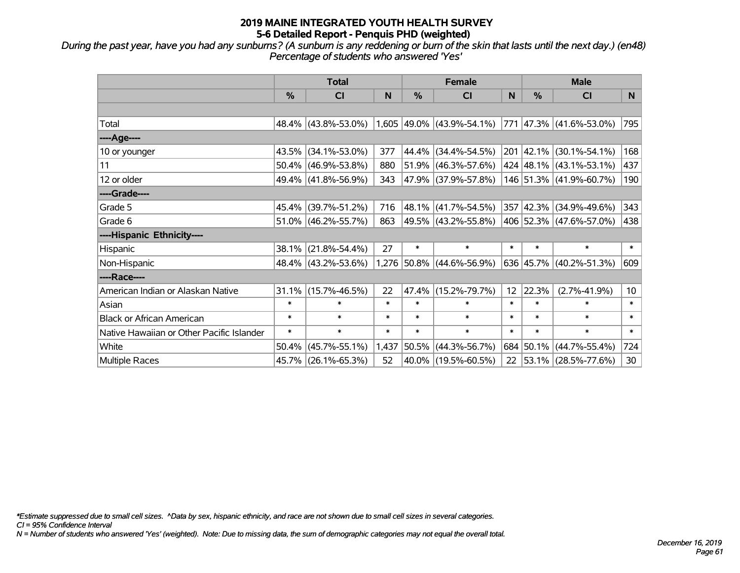*During the past year, have you had any sunburns? (A sunburn is any reddening or burn of the skin that lasts until the next day.) (en48) Percentage of students who answered 'Yes'*

|                                           | <b>Total</b>  |                        |        | <b>Female</b> | <b>Male</b>                 |                 |               |                             |                 |
|-------------------------------------------|---------------|------------------------|--------|---------------|-----------------------------|-----------------|---------------|-----------------------------|-----------------|
|                                           | $\frac{0}{0}$ | <b>CI</b>              | N      | $\frac{0}{0}$ | <b>CI</b>                   | N               | $\frac{0}{0}$ | <b>CI</b>                   | N.              |
|                                           |               |                        |        |               |                             |                 |               |                             |                 |
| Total                                     |               | 48.4% (43.8%-53.0%)    |        |               | $1,605$ 49.0% (43.9%-54.1%) |                 |               | 771 47.3% (41.6%-53.0%)     | 795             |
| ----Age----                               |               |                        |        |               |                             |                 |               |                             |                 |
| 10 or younger                             |               | 43.5% (34.1%-53.0%)    | 377    | 44.4%         | $(34.4\% - 54.5\%)$         |                 |               | 201 42.1% (30.1%-54.1%)     | 168             |
| 11                                        |               | $50.4\%$ (46.9%-53.8%) | 880    | 51.9%         | $(46.3\% - 57.6\%)$         |                 |               | 424 48.1% (43.1%-53.1%)     | 437             |
| 12 or older                               |               | 49.4% (41.8%-56.9%)    | 343    |               | $ 47.9\% $ (37.9%-57.8%)    |                 |               | 146 51.3% (41.9%-60.7%)     | 190             |
| ----Grade----                             |               |                        |        |               |                             |                 |               |                             |                 |
| Grade 5                                   |               | 45.4% (39.7%-51.2%)    | 716    | 48.1%         | $(41.7\% - 54.5\%)$         |                 |               | 357 42.3% (34.9%-49.6%)     | 343             |
| Grade 6                                   |               | $51.0\%$ (46.2%-55.7%) | 863    |               | $ 49.5\% $ (43.2%-55.8%)    |                 |               | 406   52.3%   (47.6%-57.0%) | 438             |
| ----Hispanic Ethnicity----                |               |                        |        |               |                             |                 |               |                             |                 |
| Hispanic                                  | 38.1%         | $(21.8\% - 54.4\%)$    | 27     | $\ast$        | $\ast$                      | $\ast$          | $\ast$        | $\ast$                      | $\ast$          |
| Non-Hispanic                              |               | 48.4% (43.2%-53.6%)    |        |               | 1,276 50.8% (44.6%-56.9%)   |                 |               | 636 45.7% (40.2%-51.3%)     | 609             |
| ----Race----                              |               |                        |        |               |                             |                 |               |                             |                 |
| American Indian or Alaskan Native         |               | $31.1\%$ (15.7%-46.5%) | 22     | 47.4%         | $(15.2\% - 79.7\%)$         | 12 <sup>2</sup> | 22.3%         | $(2.7\% - 41.9\%)$          | 10 <sup>°</sup> |
| Asian                                     | $\ast$        | $\ast$                 | $\ast$ | $\ast$        | $\ast$                      | $\ast$          | $\ast$        | $\ast$                      | $\ast$          |
| <b>Black or African American</b>          | $\ast$        | $\ast$                 | *      | $\ast$        | $\ast$                      | $\ast$          | $\ast$        | $\ast$                      | $\ast$          |
| Native Hawaiian or Other Pacific Islander | $\ast$        | $\ast$                 | $\ast$ | $\ast$        | $\ast$                      | $\ast$          | $\ast$        | $\ast$                      | $\ast$          |
| White                                     | 50.4%         | $(45.7\% - 55.1\%)$    | 1,437  | 50.5%         | $(44.3\% - 56.7\%)$         |                 | 684 50.1%     | $(44.7\% - 55.4\%)$         | 724             |
| Multiple Races                            |               | 45.7% (26.1%-65.3%)    | 52     |               | $ 40.0\% $ (19.5%-60.5%)    | 22              |               | $ 53.1\% $ (28.5%-77.6%)    | 30              |

*\*Estimate suppressed due to small cell sizes. ^Data by sex, hispanic ethnicity, and race are not shown due to small cell sizes in several categories.*

*CI = 95% Confidence Interval*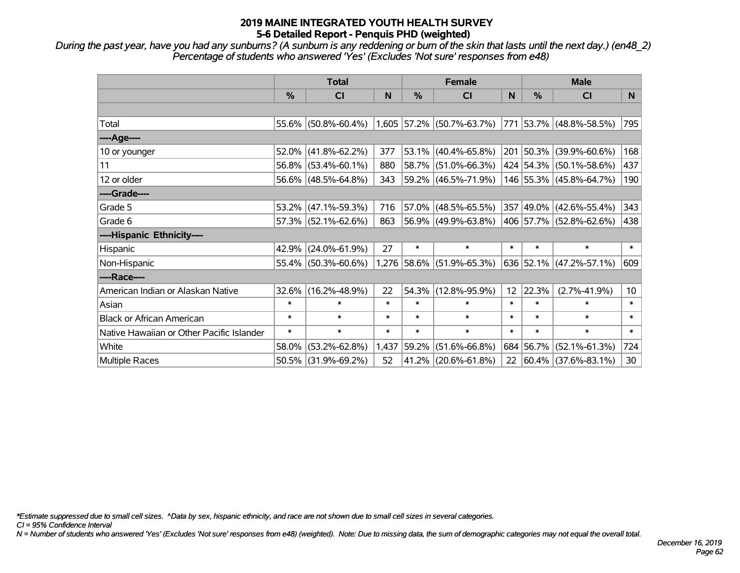*During the past year, have you had any sunburns? (A sunburn is any reddening or burn of the skin that lasts until the next day.) (en48\_2) Percentage of students who answered 'Yes' (Excludes 'Not sure' responses from e48)*

|                                           | <b>Total</b>  |                     |        | <b>Female</b> |                             |        | <b>Male</b>   |                          |                 |
|-------------------------------------------|---------------|---------------------|--------|---------------|-----------------------------|--------|---------------|--------------------------|-----------------|
|                                           | $\frac{0}{0}$ | CI                  | N      | $\frac{0}{0}$ | <b>CI</b>                   | N      | $\frac{0}{0}$ | <b>CI</b>                | N.              |
|                                           |               |                     |        |               |                             |        |               |                          |                 |
| Total                                     |               | 55.6% (50.8%-60.4%) |        |               | $1,605$ 57.2% (50.7%-63.7%) | 771    |               | 53.7% (48.8%-58.5%)      | 795             |
| ----Age----                               |               |                     |        |               |                             |        |               |                          |                 |
| 10 or younger                             | 52.0%         | $(41.8\% - 62.2\%)$ | 377    | 53.1%         | $(40.4\% - 65.8\%)$         | 201    | 50.3%         | $(39.9\% - 60.6\%)$      | 168             |
| 11                                        |               | 56.8% (53.4%-60.1%) | 880    |               | 58.7% (51.0%-66.3%)         |        |               | 424 54.3% (50.1%-58.6%)  | 437             |
| 12 or older                               |               | 56.6% (48.5%-64.8%) | 343    |               | 59.2% (46.5%-71.9%)         |        |               | 146 55.3% (45.8%-64.7%)  | 190             |
| ----Grade----                             |               |                     |        |               |                             |        |               |                          |                 |
| Grade 5                                   |               | 53.2% (47.1%-59.3%) | 716    |               | 57.0% (48.5%-65.5%)         | 357    |               | $ 49.0\% $ (42.6%-55.4%) | 343             |
| Grade 6                                   |               | 57.3% (52.1%-62.6%) | 863    |               | 56.9% (49.9%-63.8%)         |        |               | 406 57.7% (52.8%-62.6%)  | 438             |
| ----Hispanic Ethnicity----                |               |                     |        |               |                             |        |               |                          |                 |
| Hispanic                                  | 42.9%         | $(24.0\% - 61.9\%)$ | 27     | $\ast$        | $\ast$                      | $\ast$ | *             | $\ast$                   | $\ast$          |
| Non-Hispanic                              |               | 55.4% (50.3%-60.6%) |        |               | 1,276 58.6% (51.9%-65.3%)   |        |               | 636 52.1% (47.2%-57.1%)  | 609             |
| ----Race----                              |               |                     |        |               |                             |        |               |                          |                 |
| American Indian or Alaskan Native         | 32.6%         | $(16.2\% - 48.9\%)$ | 22     | 54.3%         | $(12.8\% - 95.9\%)$         | 12     | 22.3%         | $(2.7\% - 41.9\%)$       | 10 <sup>1</sup> |
| Asian                                     | $\ast$        | $\ast$              | $\ast$ | $\ast$        | $\ast$                      | $\ast$ | $\ast$        | $\ast$                   | $\ast$          |
| <b>Black or African American</b>          | $\ast$        | $\ast$              | $\ast$ | $\ast$        | $\ast$                      | $\ast$ | $\ast$        | $\ast$                   | $\ast$          |
| Native Hawaiian or Other Pacific Islander | $\ast$        | $\ast$              | $\ast$ | $\ast$        | $\ast$                      | $\ast$ | $\ast$        | $\ast$                   | $\ast$          |
| White                                     | 58.0%         | $(53.2\% - 62.8\%)$ | 1,437  | 59.2%         | $(51.6\% - 66.8\%)$         |        | 684 56.7%     | $(52.1\% - 61.3\%)$      | 724             |
| Multiple Races                            |               | 50.5% (31.9%-69.2%) | 52     |               | 41.2% (20.6%-61.8%)         | 22     |               | $ 60.4\% $ (37.6%-83.1%) | 30              |

*\*Estimate suppressed due to small cell sizes. ^Data by sex, hispanic ethnicity, and race are not shown due to small cell sizes in several categories.*

*CI = 95% Confidence Interval*

*N = Number of students who answered 'Yes' (Excludes 'Not sure' responses from e48) (weighted). Note: Due to missing data, the sum of demographic categories may not equal the overall total.*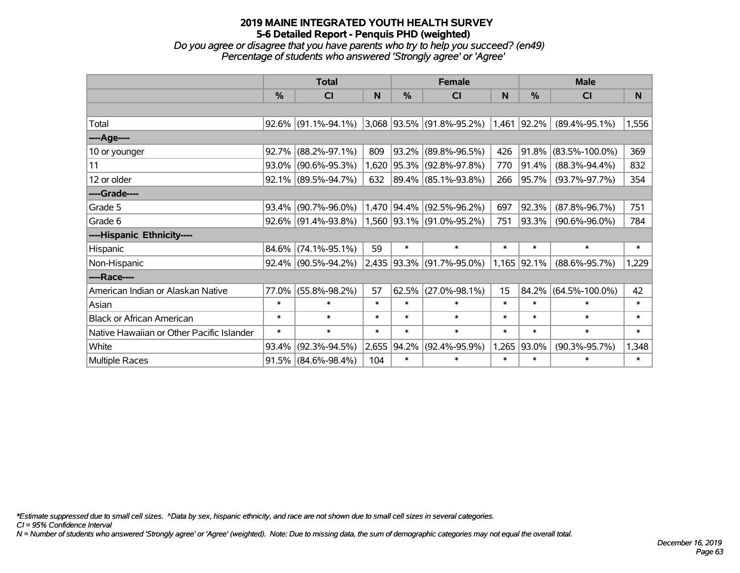*Do you agree or disagree that you have parents who try to help you succeed? (en49) Percentage of students who answered 'Strongly agree' or 'Agree'*

|                                           | <b>Total</b> |                        |        | <b>Female</b> |                             |        | <b>Male</b>   |                      |        |
|-------------------------------------------|--------------|------------------------|--------|---------------|-----------------------------|--------|---------------|----------------------|--------|
|                                           | %            | CI                     | N      | %             | <b>CI</b>                   | N      | $\frac{0}{0}$ | <b>CI</b>            | N      |
|                                           |              |                        |        |               |                             |        |               |                      |        |
| Total                                     |              | $92.6\%$ (91.1%-94.1%) |        |               | $3,068$ 93.5% (91.8%-95.2%) |        | 1,461 92.2%   | $(89.4\% - 95.1\%)$  | 1,556  |
| ----Age----                               |              |                        |        |               |                             |        |               |                      |        |
| 10 or younger                             | 92.7%        | $(88.2\% - 97.1\%)$    | 809    | 93.2%         | $(89.8\% - 96.5\%)$         | 426    | 91.8%         | $(83.5\% - 100.0\%)$ | 369    |
| 11                                        |              | 93.0% (90.6%-95.3%)    | 1,620  | 95.3%         | $(92.8\% - 97.8\%)$         | 770    | 91.4%         | $(88.3\% - 94.4\%)$  | 832    |
| 12 or older                               |              | $92.1\%$ (89.5%-94.7%) | 632    |               | 89.4% (85.1%-93.8%)         | 266    | 95.7%         | $(93.7\% - 97.7\%)$  | 354    |
| ----Grade----                             |              |                        |        |               |                             |        |               |                      |        |
| Grade 5                                   | 93.4%        | $(90.7\% - 96.0\%)$    |        | 1,470 94.4%   | $(92.5\% - 96.2\%)$         | 697    | 92.3%         | $(87.8\% - 96.7\%)$  | 751    |
| Grade 6                                   |              | $92.6\%$ (91.4%-93.8%) |        |               | 1,560 93.1% (91.0%-95.2%)   | 751    | 93.3%         | $(90.6\% - 96.0\%)$  | 784    |
| ----Hispanic Ethnicity----                |              |                        |        |               |                             |        |               |                      |        |
| Hispanic                                  | 84.6%        | $(74.1\% - 95.1\%)$    | 59     | $\ast$        | $\ast$                      | $\ast$ | $\ast$        | $\ast$               | $\ast$ |
| Non-Hispanic                              |              | $92.4\%$ (90.5%-94.2%) |        |               | 2,435 93.3% (91.7%-95.0%)   |        | 1,165 92.1%   | $(88.6\% - 95.7\%)$  | 1,229  |
| ----Race----                              |              |                        |        |               |                             |        |               |                      |        |
| American Indian or Alaskan Native         | 77.0%        | $(55.8\% - 98.2\%)$    | 57     | 62.5%         | $(27.0\% - 98.1\%)$         | 15     | 84.2%         | $(64.5\% - 100.0\%)$ | 42     |
| Asian                                     | $\ast$       | $\ast$                 | $\ast$ | $\ast$        | $\ast$                      | $\ast$ | $\ast$        | $\ast$               | $\ast$ |
| <b>Black or African American</b>          | $\ast$       | $\ast$                 | $\ast$ | $\ast$        | $\ast$                      | $\ast$ | $\ast$        | $\ast$               | $\ast$ |
| Native Hawaiian or Other Pacific Islander | $\ast$       | $\ast$                 | $\ast$ | $\ast$        | $\ast$                      | $\ast$ | $\ast$        | $\ast$               | $\ast$ |
| White                                     | 93.4%        | $(92.3\% - 94.5\%)$    | 2,655  | 94.2%         | $(92.4\% - 95.9\%)$         | 1,265  | 93.0%         | $(90.3\% - 95.7\%)$  | 1,348  |
| Multiple Races                            |              | $91.5\%$ (84.6%-98.4%) | 104    | $\ast$        | $\ast$                      | $\ast$ | $\ast$        | $\ast$               | $\ast$ |

*\*Estimate suppressed due to small cell sizes. ^Data by sex, hispanic ethnicity, and race are not shown due to small cell sizes in several categories.*

*CI = 95% Confidence Interval*